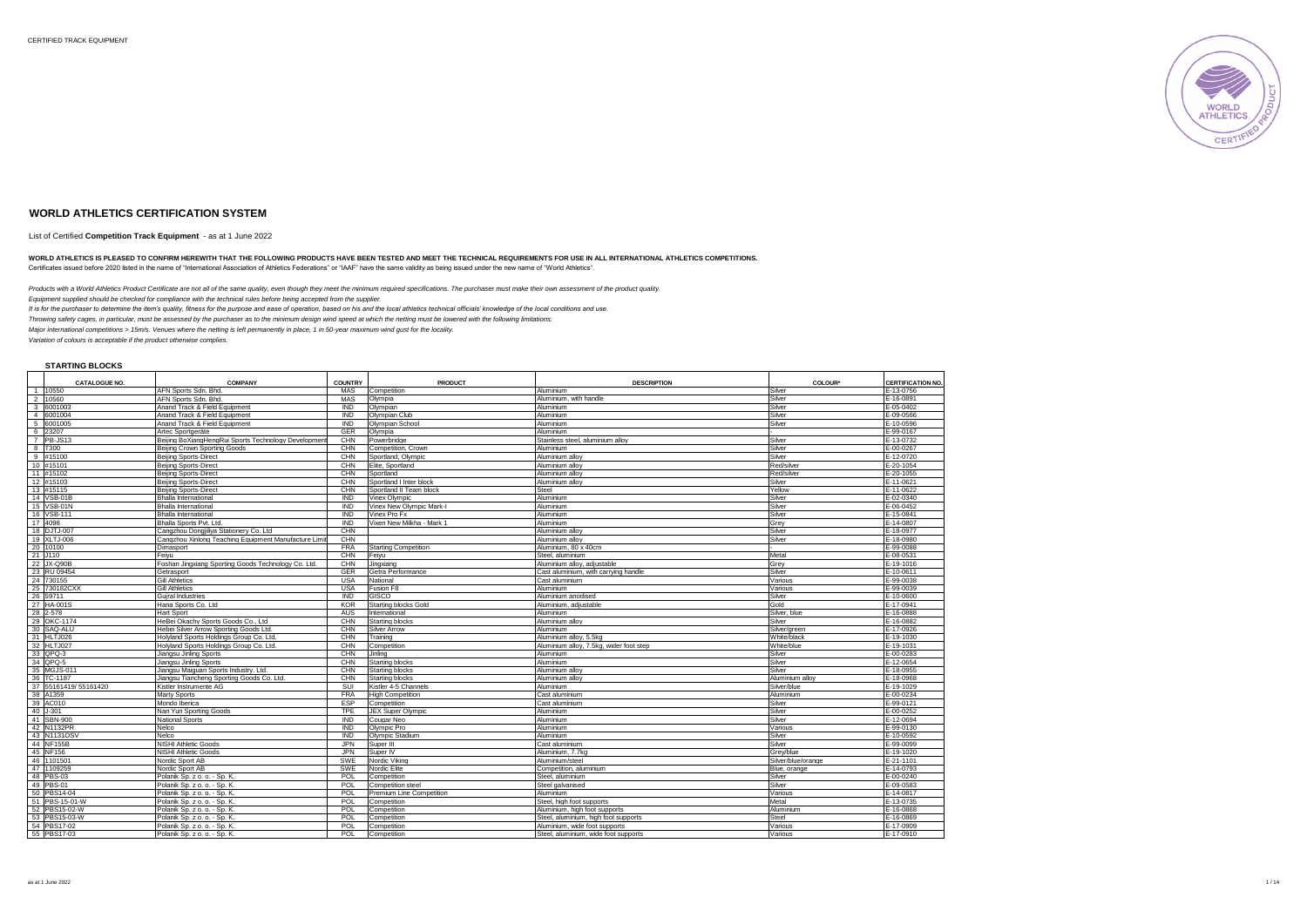

## **WORLD ATHLETICS CERTIFICATION SYSTEM**

List of Certified **Competition Track Equipment** - as at 1 June 2022

#### WORLD ATHLETICS IS PLEASED TO CONFIRM HEREWITH THAT THE FOLLOWING PRODUCTS HAVE BEEN TESTED AND MEET THE TECHNICAL REQUIREMENTS FOR USE IN ALL INTERNATIONAL ATHLETICS COMPETITIONS. Certificates issued before 2020 listed in the name of "International Association of Athletics Federations" or "IAAF" have the same validity as being issued under the new name of "World Athletics".

*Products with a World Athletics Product Certificate are not all of the same quality, even though they meet the minimum required specifications. The purchaser must make their own assessment of the product quality.*

*Equipment supplied should be checked for compliance with the technical rules before being accepted from the supplier.*

*It is for the purchaser to determine the item's quality, fitness for the purpose and ease of operation, based on his and the local athletics technical officials' knowledge of the local conditions and use.*

*Throwing safety cages, in particular, must be assessed by the purchaser as to the minimum design wind speed at which the netting must be lowered with the following limitations: Major international competitions > 15m/s. Venues where the netting is left permanently in place, 1 in 50-year maximum wind gust for the locality.*

*Variation of colours is acceptable if the product otherwise complies.* 

**STARTING BLOCKS**

|                         | <b>CATALOGUE NO.</b> | <b>COMPANY</b>                                        | <b>COUNTRY</b> | <b>PRODUCT</b>            | <b>DESCRIPTION</b>                      | <b>COLOUR</b>      | <b>CERTIFICATION NO.</b> |
|-------------------------|----------------------|-------------------------------------------------------|----------------|---------------------------|-----------------------------------------|--------------------|--------------------------|
|                         | 1 10550              | AFN Sports Sdn. Bhd.                                  | MAS            | Competition               | Aluminium                               | Silver             | E-13-0756                |
| $\overline{2}$          | 10560                | AFN Sports Sdn, Bhd                                   | MAS            | Olympia                   | Aluminium, with handle                  | Silver             | E-16-0891                |
| $\overline{\mathbf{3}}$ | 6001003              | Anand Track & Field Equipment                         | <b>IND</b>     | Olympian                  | Aluminium                               | Silver             | E-05-0402                |
|                         | 4 6001004            | Anand Track & Field Equipment                         | <b>IND</b>     | Olympian Club             | Aluminium                               | Silver             | E-09-0566                |
| 5                       | 6001005              | Anand Track & Field Equipment                         | <b>IND</b>     | Olympian School           | Aluminium                               | Silver             | E-10-0596                |
| 6                       | 23207                | Artec Sportgeräte                                     | <b>GER</b>     | Olympia                   | Aluminium                               |                    | E-99-0167                |
|                         | $7$ PB-JS13          | Beijing BoXiangHengRui Sports Technology Development  | CHN            | Powerbridge               | Stainless steel, aluminium allov        | Silver             | E-13-0732                |
| 8                       | T300                 | Beijing Crown Sporting Goods                          | CHN            | Competition, Crown        | Aluminium                               | Silver             | E-00-0267                |
| 9                       | #15100               | <b>Beijing Sports-Direct</b>                          | CHN            | Sportland, Olympic        | Aluminium allov                         | Silver             | E-12-0720                |
|                         | 10 #15101            | <b>Beijing Sports-Direct</b>                          | CHN            | Elite, Sportland          | Aluminium alloy                         | Red/silver         | E-20-1054                |
|                         | 11 #15102            | Beiling Sports-Direct                                 | CHN            | Sportland                 | Aluminium allov                         | Red/silver         | E-20-1055                |
|                         | 12 #15103            | <b>Beijing Sports-Direct</b>                          | CHN            | Sportland I Inter block   | Aluminium allov                         | Silver             | E-11-0621                |
|                         | 13 #15115            | <b>Beijing Sports-Direct</b>                          | CHN            | Sportland II Team block   | Steel                                   | Yellow             | E-11-0622                |
|                         | 14 VSB-01B           | Bhalla International                                  | <b>IND</b>     | Vinex Olympic             | Aluminium                               | Silver             | E-02-0340                |
|                         | 15 VSB-01N           | <b>Bhalla International</b>                           | <b>IND</b>     | Vinex New Olympic Mark-I  | Aluminium                               | Silver             | E-06-0452                |
|                         | 16 VSB-111           | <b>Bhalla International</b>                           | <b>IND</b>     | Vinex Pro Fx              | Aluminium                               | Silver             | E-15-0841                |
|                         | 17 4098              | Bhalla Sports Pvt. Ltd.                               | <b>IND</b>     | Vixen New Milkha - Mark 1 | Aluminium                               | Grev               | E-14-0807                |
|                         | 18 DJTJ-007          | Cangzhou Dongiiliya Stationery Co. Ltd                | CHN            |                           | Aluminium alloy                         | Silver             | E-18-0977                |
|                         | 19 XLTJ-006          | Cangzhou Xinlong Teaching Equipment Manufacture Limit | CHN            |                           | Aluminium alloy                         | Silver             | E-18-0980                |
|                         | 20 10100             | Dimasport                                             | <b>FRA</b>     | Starting Competition      | Aluminium, 80 x 40cm                    |                    | E-99-0088                |
|                         | 21 J110              | Feivu                                                 | CHN            | Feivu                     | Steel, aluminium                        | Metal              | E-08-0531                |
|                         | 22 JX-Q90B           | Foshan Jingxiang Sporting Goods Technology Co. Ltd.   | CHN            | Jingxiang                 | Aluminium allov, adiustable             | Grey               | E-19-1016                |
|                         | 23 RU 09454          | Getrasport                                            | <b>GER</b>     | Getra Performance         | Cast aluminium, with carrving handle    | Silver             | E-10-0611                |
|                         | 24 730155            | <b>Gill Athletics</b>                                 | <b>USA</b>     | National                  | Cast aluminium                          | Various            | E-99-0038                |
|                         | 25 730182CXX         | <b>Gill Athletics</b>                                 | <b>USA</b>     | Fusion F8                 | Aluminium                               | Various            | E-99-0039                |
|                         | 26 59711             | Guiral Industries                                     | <b>IND</b>     | GISCO                     | Aluminium anodised                      | Silver             | E-10-0600                |
|                         | 27 HA-001S           | Hana Sports Co. Ltd                                   | <b>KOR</b>     | Starting blocks Gold      | Aluminium, adjustable                   | Gold               | E-17-0941                |
|                         | 28 2-578             | Hart Sport                                            | <b>AUS</b>     | International             | <b>Aluminium</b>                        | Silver, blue       | E-16-0888                |
|                         | 29 OKC-1174          | HeBei Okachy Sports Goods Co., Ltd                    | CHN            | Starting blocks           | Aluminium alloy                         | Silver             | E-16-0882                |
|                         | 30 SAQ-ALU           | Hebei Silver Arrow Sporting Goods Ltd.                | CHN            | <b>Silver Arrow</b>       | Aluminium                               | Silver/green       | E-17-0926                |
|                         | 31 HLTJ026           | Holyland Sports Holdings Group Co. Ltd.               | CHN            | Training                  | Aluminium alloy, 5.5kg                  | White/black        | E-19-1030                |
|                         | 32 HLTJ027           | Holvland Sports Holdings Group Co. Ltd.               | CHN            | Competition               | Aluminium allov, 7.5kg, wider foot step | White/blue         | E-19-1031                |
|                         | 33 QPQ-3             | Jiangsu Jinling Sports                                | CHN            | Jinling                   | Aluminium                               | Silver             | E-00-0283                |
|                         | 34 QPQ-5             | Jiangsu Jinling Sports                                | CHN            | Starting blocks           | <b>Aluminium</b>                        | Silver             | E-12-0654                |
|                         | 35 MGJS-011          | Jiangsu Maiguan Sports Industry. Ltd.                 | CHN            | Starting blocks           | Aluminium allov                         | Silver             | E-18-0955                |
|                         | 36 TC-1187           | Jiangsu Tiancheng Sporting Goods Co. Ltd.             | CHN            | <b>Starting blocks</b>    | Aluminium alloy                         | Aluminium alloy    | E-18-0968                |
|                         | 37 55161419/55161420 | Kistler Instrumente AG                                | SUI            | Kistler 4-5 Channels      | Aluminium                               | Silver/blue        | E-19-1029                |
|                         | 38 A1359             | Marty Sports                                          | <b>FRA</b>     | <b>High Competition</b>   | Cast aluminium                          | Aluminium          | E-00-0234                |
|                         | 39 AC010             | Mondo Iberica                                         | <b>ESP</b>     | Competition               | Cast aluminium                          | Silver             | E-99-0121                |
|                         | 40 J-301             | Nan Yun Sporting Goods                                | <b>TPE</b>     | <b>JEX Super Olympic</b>  | Aluminium                               | Silver             | E-00-0252                |
|                         | 41 SBN-900           | <b>National Sports</b>                                | <b>IND</b>     | Cougar Neo                | Aluminium                               | Silver             | E-12-0694                |
|                         | 42 N1132PR           | Nelco                                                 | <b>IND</b>     | Olympic Pro               | Aluminium                               | Various            | E-99-0130                |
|                         | 43 N1131OSV          | Nelco                                                 | <b>IND</b>     | Olympic Stadium           | Aluminium                               | Silver             | E-10-0592                |
|                         | 44 NF155B            | NISHI Athletic Goods                                  | <b>JPN</b>     | Super III                 | Cast aluminium                          | Silver             | E-99-0099                |
|                         | 45 NF156             | NISHI Athletic Goods                                  | <b>JPN</b>     | Super <sub>IV</sub>       | Aluminium, 7.7kg                        | Grev/blue          | E-19-1020                |
|                         | 46 1101501           | Nordic Sport AB                                       | SWE            | Nordic Vikina             | Aluminium/steel                         | Silver/blue/orange | E-21-1101                |
|                         | 47 1109259           | Nordic Sport AB                                       | SWE            | Nordic Elite              | Competition, aluminium                  | Blue, orange       | E-14-0793                |
|                         | 48 PBS-03            | Polanik Sp. z o. o. - Sp. K                           | POL            | Competition               | Steel, aluminium                        | Silver             | E-00-0240                |
|                         | 49 PBS-01            | Polanik Sp. z o. o. - Sp. K.                          | POL            | Competition steel         | Steel galvanised                        | Silver             | E-09-0583                |
|                         | 50 PBS14-04          | Polanik Sp. z o. o. - Sp. K.                          | POL            | Premium Line Competition  | Aluminium                               | Various            | E-14-0817                |
|                         | 51 PBS-15-01-W       | Polanik Sp. z o. o. - Sp. K                           | POL            | Competition               | Steel, high foot supports               | Metal              | E-13-0735                |
|                         | 52 PBS15-02-W        | Polanik Sp. z o. o. - Sp. K                           | POL            | Competition               | Aluminium, high foot supports           | Aluminium          | E-16-0868                |
|                         | 53 PBS15-03-W        | Polanik Sp. z o. o. - Sp. K.                          | POL            | Competition               | Steel, aluminium, high foot supports    | Steel              | E-16-0869                |
|                         | 54 PBS17-02          | Polanik Sp. z o. o. - Sp. K                           | POL            | Competition               | Aluminium, wide foot supports           | Various            | E-17-0909                |
|                         | 55 PBS17-03          | Polanik Sp. z o. o. - Sp. K.                          | POL            | Competition               | Steel, aluminium, wide foot supports    | Various            | E-17-0910                |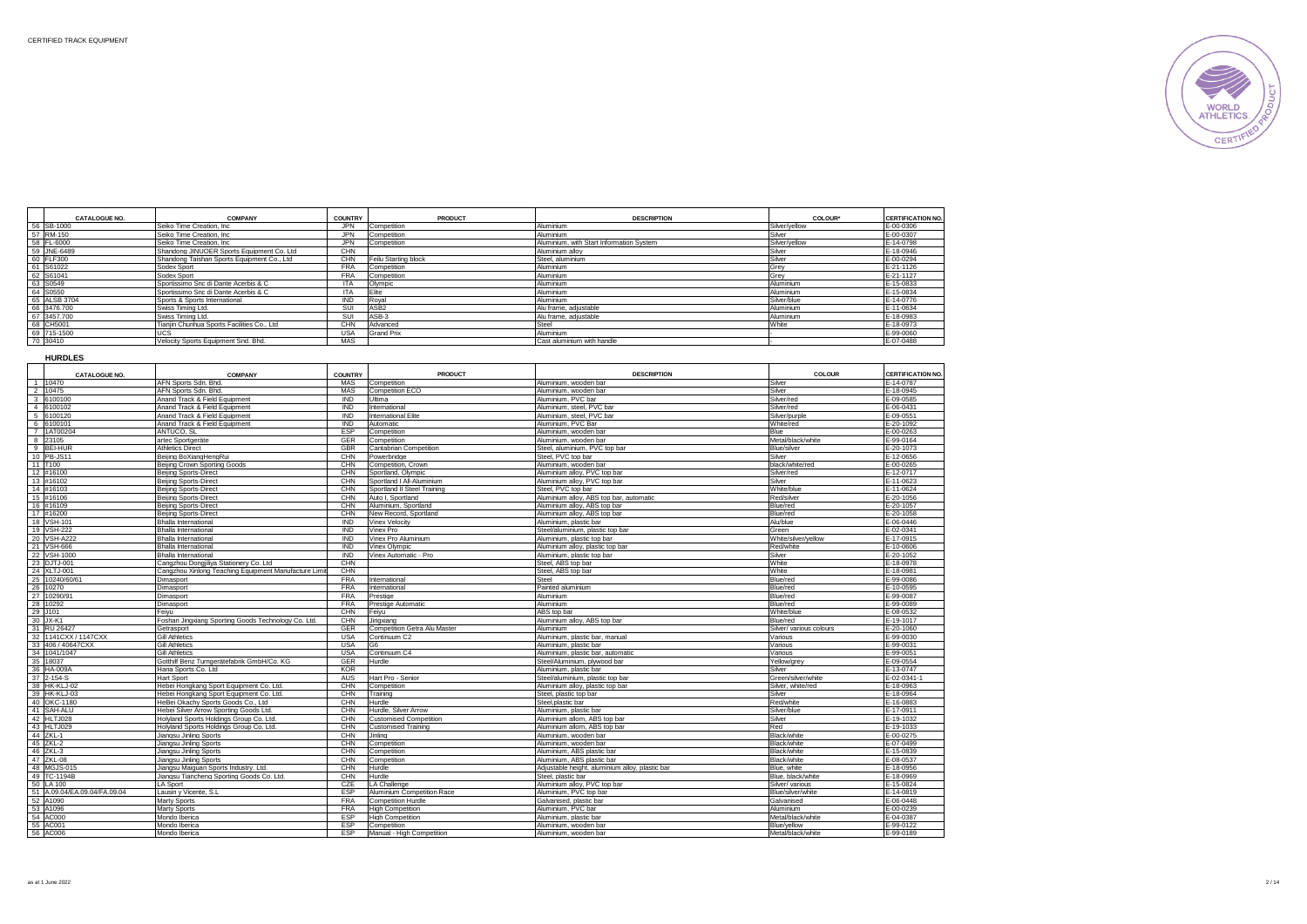

|           | <b>CATALOGUE NO.</b> | <b>COMPANY</b>                              | <b>COUNTRY</b> | PRODUCT              | <b>DESCRIPTION</b>                       | <b>COLOUR*</b>   | <b>CERTIFICATION NO.</b> |
|-----------|----------------------|---------------------------------------------|----------------|----------------------|------------------------------------------|------------------|--------------------------|
|           | 56 SB-1000           | Seiko Time Creation, Inc.                   | <b>JPN</b>     | Competition          | Aluminium                                | Silver/yellow    | E-00-0306                |
|           | 57 RM-150            | Seiko Time Creation, Inc.                   | <b>JPN</b>     | Competition          | Aluminium                                | Silver           | E-00-0307                |
|           | 58 FL-6000           | Seiko Time Creation, Inc.                   | <b>JPN</b>     | Competition          | Aluminium, with Start Information System | Silver/vellow    | E-14-0798                |
|           | 59 JNE-6489          | Shandong JINUOER Sports Equipment Co. Ltd   | CHN            |                      | Aluminium allov                          | Silver           | E-18-0946                |
|           | 60 FLF300            | Shandong Taishan Sports Equipment Co., Ltd  | CHN            | Feilu Starting block | Steel, aluminium                         | Silver           | E-00-0294                |
|           | 61 S61022            | Sodex Sport                                 | <b>FRA</b>     | Competition          | Aluminium                                | Grey             | E-21-1126                |
| 62 S61041 |                      | Sodex Sport                                 | <b>FRA</b>     | Competition          | Aluminium                                | Grev             | E-21-1127                |
| 63 S0549  |                      | Sportissimo Snc di Dante Acerbis & C        | <b>ITA</b>     | Olympic              | Aluminium                                | Aluminium        | E-15-0833                |
| 64 S0550  |                      | Sportissimo Snc di Dante Acerbis & C        | <b>ITA</b>     | <b>Elite</b>         | Aluminium                                | <b>Aluminium</b> | E-15-0834                |
|           | 65 ALSB 3704         | Sports & Sports International               | <b>IND</b>     | Roval                | Aluminium                                | Silver/blue      | E-14-0776                |
|           | 66 3476,700          | Swiss Timing Ltd.                           | SUI            | ASB <sub>2</sub>     | Alu frame, adiustable                    | Aluminium        | E-11-0634                |
|           | 67 3457.700          | Swiss Timing Ltd.                           | SUI            | ASB-3                | Alu frame, adjustable                    | Aluminium        | E-18-0983                |
|           | 68 CH5001            | Tianiin Chunhua Sports Facilities Co., Ltd. | CHN            | Advanced             | Steel                                    | White            | E-18-0973                |
|           | 69 715-1500          | UCS                                         | <b>USA</b>     | <b>Grand Prix</b>    | Aluminium                                |                  | E-99-0060                |
| 70 30410  |                      | Velocity Sports Equipment Snd, Bhd.         | MAS            |                      | Cast aluminium with handle               |                  | E-07-0488                |

| <b>HURDLES</b>               |                                                                   |                |                                       |                                                       |                          |                          |
|------------------------------|-------------------------------------------------------------------|----------------|---------------------------------------|-------------------------------------------------------|--------------------------|--------------------------|
| <b>CATALOGUE NO.</b>         | <b>COMPANY</b>                                                    | <b>COUNTRY</b> | <b>PRODUCT</b>                        | <b>DESCRIPTION</b>                                    | COLOUR                   | <b>CERTIFICATION NO.</b> |
| 1 10470                      | AFN Sports Sdn, Bhd.                                              | <b>MAS</b>     | Competition                           | Aluminium, wooden bar                                 | Silver                   | E-14-0787                |
| 2 10475                      | AFN Sports Sdn, Bhd.                                              | <b>MAS</b>     | Competition ECO                       | Aluminium, wooden ba                                  | Silver                   | E-18-0945                |
| 3 6100100                    | Anand Track & Field Equipment                                     | <b>IND</b>     | Ultima                                | Aluminium, PVC bar                                    | Silver/red               | E-09-0585                |
| 4 6100102                    | Anand Track & Field Equipment                                     | IND            | International                         | Aluminium, steel, PVC bar                             | Silver/red               | E-06-0431                |
| 5 6100120                    | Anand Track & Field Equipment                                     | IND            | <b>International Elite</b>            | Aluminium, steel, PVC bar                             | Silver/purple            | E-09-0551                |
| 6 6100101                    | Anand Track & Field Equipment                                     | <b>IND</b>     | Automatic                             | Aluminium, PVC Bar                                    | White/red                | E-20-1092                |
| 7 1AT00204                   | ANTUCO, SL                                                        | ESP            | Competition                           | Aluminium, wooden bar                                 | <b>Blue</b>              | E-00-0263                |
| 8 23105                      | artec Sportgeräte                                                 | GER            | Competition                           | Aluminium, wooden bar                                 | Metal/black/white        | E-99-0164                |
| 9 BEI-HUR                    | <b>Athletics Direct</b>                                           | GBR            | Cantabrian Competition                | Steel, aluminium, PVC top bar                         | Blue/silver              | E-20-1073                |
| 10 PB-JS11                   | Beijing BoXiangHengRui                                            | CHN            | Powerbridge                           | Steel, PVC top bar                                    | Silver                   | E-12-0656                |
| 11 T100                      | Beijing Crown Sporting Goods                                      | CHN            | Competition, Crown                    | Aluminium, wooden bar                                 | black/white/red          | E-00-0265                |
| 12 #16100                    | <b>Beijing Sports-Direct</b>                                      | CHN            | Sportland, Olympic                    | Aluminium alloy, PVC top bar                          | Silver/red               | E-12-0717                |
| 13 #16102                    | <b>Beijing Sports-Direct</b>                                      | CHN            | Sportland   All-Aluminium             | Aluminium alloy, PVC top bar                          | Silver                   | E-11-0623                |
| 14 #16103                    | <b>Beiling Sports-Direct</b>                                      | CHN            | Sportland II Steel Training           | Steel, PVC top bar                                    | White/blue               | E-11-0624                |
| 15 #16106                    | <b>Beiling Sports-Direct</b>                                      | CHN            | Auto I. Sportland                     | Aluminium alloy, ABS top bar, automatic               | Red/silver               | E-20-1056                |
| 16 #16109                    | <b>Beiling Sports-Direct</b>                                      | CHN            | Aluminium, Sportland                  | Aluminium alloy, ABS top bar                          | Blue/red                 | $E - 20 - 1057$          |
| 17 #16200                    | <b>Beijing Sports-Direct</b>                                      | CHN            | New Record, Sportland                 | Aluminium alloy, ABS top bar                          | Blue/red                 | E-20-1058                |
| 18 VSH-101                   | <b>Bhalla International</b>                                       | <b>IND</b>     | Vinex Velocity                        | Aluminium, plastic bar                                | Alu/blue                 | E-06-0446                |
| 19 VSH-222                   | <b>Bhalla International</b>                                       | <b>IND</b>     | Vinex Pro                             | Steel/aluminium, plastic top bar                      | Green                    | E-02-0341                |
| 20 VSH-A222                  | <b>Bhalla International</b>                                       | <b>IND</b>     | Vinex Pro Aluminium                   | Aluminium, plastic top bar                            | White/silver/vellow      | E-17-0915                |
| 21 VSH-666                   | Bhalla International                                              | <b>IND</b>     | Vinex Olympic                         | Aluminium alloy, plastic top bar                      | Red/white                | E-10-0606                |
| 22 VSH-1000                  | <b>Bhalla International</b>                                       | <b>IND</b>     | Vinex Automatic - Pro                 | Aluminium, plastic top bar                            | Silver                   | E-20-1052                |
| 23 DJTJ-001                  | Cangzhou Dongjiliya Stationery Co. Ltd                            | CHN            |                                       | Steel, ABS top bar                                    | White                    | E-18-0978                |
| 24 XLTJ-001                  | Cangzhou Xinlong Teaching Equipment Manufacture Limit             | CHN            |                                       | Steel, ABS top bar                                    | White                    | E-18-0981                |
| 25 10240/60/61               | Dimasport                                                         | <b>FRA</b>     | International                         | Steel                                                 | Blue/red                 | E-99-0086                |
| 26 10270                     | Dimasport                                                         | <b>FRA</b>     | International                         | Painted aluminium                                     | Blue/red                 | E-10-0595                |
| 27 10290/91                  | Dimasport                                                         | <b>FRA</b>     | Prestige                              | Aluminium                                             | Blue/red                 | E-99-0087                |
| 28 10292                     | Dimasport                                                         | <b>FRA</b>     | Prestige Automatic                    | Aluminium                                             | Blue/red                 | E-99-0089                |
| 29 J101                      | Feiyu                                                             | CHN            | Feiyu                                 | ABS top bar                                           | White/blue               | E-08-0532                |
| 30 JX-K1                     | Foshan Jingxiang Sporting Goods Technology Co. Ltd.               | CHN            | Jinaxiana                             | Aluminium allov. ABS top bar                          | Blue/red                 | E-19-1017                |
| 31 RU 26427                  | Getrasport                                                        | GER            | <b>Competition Getra Alu Master</b>   | Aluminium                                             | Silver/ various colours  | E-20-1060                |
| 32 1141 CXX / 1147 CXX       | <b>Gill Athletics</b>                                             | <b>USA</b>     | Continuum C2                          | Aluminium, plastic bar, manual                        | Various                  | E-99-0030                |
| 33 406 / 40647CXX            | <b>Gill Athletics</b>                                             | <b>USA</b>     | G6                                    | Aluminium, plastic bar                                | Various                  | E-99-003                 |
| 34 1041/1047                 | <b>Gill Athletics</b>                                             | <b>USA</b>     | Continuum C4                          | Aluminium, plastic bar, automatic                     | Various                  | E-99-0051                |
| 35 18037                     | Gotthilf Benz Turngerätefabrik GmbH/Co. KG                        | GER            | Hurdle                                | Steel/Aluminium, plywood bar                          | Yellow/grey              | E-09-0554                |
| 36 HA-009A                   | Hana Sports Co. Ltd                                               | KOR            |                                       | Aluminium, plastic bar                                | Silver                   | E-13-0747                |
| 37 2-154-S                   | <b>Hart Sport</b>                                                 | AUS            | Hart Pro - Senior                     | Steel/aluminium, plastic top bar                      | Green/silver/white       | E-02-0341-1              |
| 38 HK-KLJ-02                 | Hebei Hongkang Sport Equipment Co. Ltd.                           | CHN            | Competition                           | Aluminium alloy, plastic top bar                      | Silver, white/red        | E-18-0963                |
| 39 HK-KLJ-03                 | Hebei Hongkang Sport Equipment Co. Ltd.                           | CHN            | Training                              | Steel, plastic top bar                                | Silver                   | E-18-0964                |
| 40 OKC-1180<br>41 SAH-ALU    | HeBei Okachy Sports Goods Co., Ltd                                | CHN            | Hurdle                                | Steel, plastic bar                                    | Red/white<br>Silver/blue | E-16-0883<br>E-17-0911   |
|                              | Hebei Silver Arrow Sporting Goods Ltd.                            | CHN            | Hurdle, Silver Arrow                  | Aluminium, plastic bar                                |                          |                          |
| 42 HLTJ028<br>43 HLTJ029     | Holvland Sports Holdings Group Co. Ltd                            | CHN<br>CHN     | <b>Customised Competition</b>         | Aluminium allom. ABS top bar                          | Silver<br>Red            | E-19-1032<br>E-19-1033   |
| 44 ZKL-1                     | Holvland Sports Holdings Group Co. Ltd.<br>Jiangsu Jinling Sports | CHN            | <b>Customised Training</b><br>Jinlina | Aluminium allom. ABS top bar<br>Aluminium, wooden bar | Black/white              | E-00-0275                |
| 45 ZKL-2                     |                                                                   | CHN            | Competition                           | Aluminium, wooden bar                                 | Black/white              | E-07-0499                |
| 46 ZKL-3                     | Jiangsu Jinling Sports<br>Jiangsu Jinling Sports                  | CHN            | Competition                           | Aluminium, ABS plastic bar                            | Black/white              | E-15-0839                |
| 47 ZKL-08                    | Jiangsu Jinling Sports                                            | CHN            | Competition                           | Aluminium, ABS plastic bar                            | Black/white              | E-08-0537                |
| 48 MGJS-015                  | Jiangsu Maiguan Sports Industry. Ltd.                             | CHN            | Hurdle                                | Adjustable height, aluminium alloy, plastic bar       | Blue, white              | E-18-0956                |
| 49 TC-1194B                  | Jiangsu Tiancheng Sporting Goods Co. Ltd.                         | CHN            | Hurdle                                | Steel, plastic bar                                    | Blue, black/white        | E-18-0969                |
| 50 LA 100                    | LA Sport                                                          | CZE            | LA Challenge                          | Aluminium alloy, PVC top bar                          | Silver/ various          | E-15-0824                |
| 51 A.09.04/EA.09.04/FA.09.04 | Lausin y Vicente, S.L                                             | ESP            | Aluminium Competition Race            | Aluminium, PVC top bar                                | Blue/silver/white        | E-14-0819                |
| 52 A1090                     | Marty Sports                                                      | <b>FRA</b>     | <b>Competition Hurdle</b>             | Galvanised, plastic bar                               | Galvanised               | E-06-0448                |
| 53 A1096                     | Marty Sports                                                      | <b>FRA</b>     | <b>High Competition</b>               | Aluminium, PVC bar                                    | Aluminium                | E-00-0239                |
| 54 AC000                     | Mondo Iberica                                                     | <b>ESP</b>     | <b>High Competition</b>               | Aluminium, plastic bar                                | Metal/black/white        | $E - 04 - 0387$          |
| 55 AC001                     | Mondo Iberica                                                     | ESP            | Competition                           | Aluminium, wooden bar                                 | Blue/vellow              | E-99-0122                |
| 56 AC006                     | Mondo Iberica                                                     | <b>ESP</b>     | Manual - High Competition             | Aluminium, wooden ba                                  | Metal/black/white        | E-99-0189                |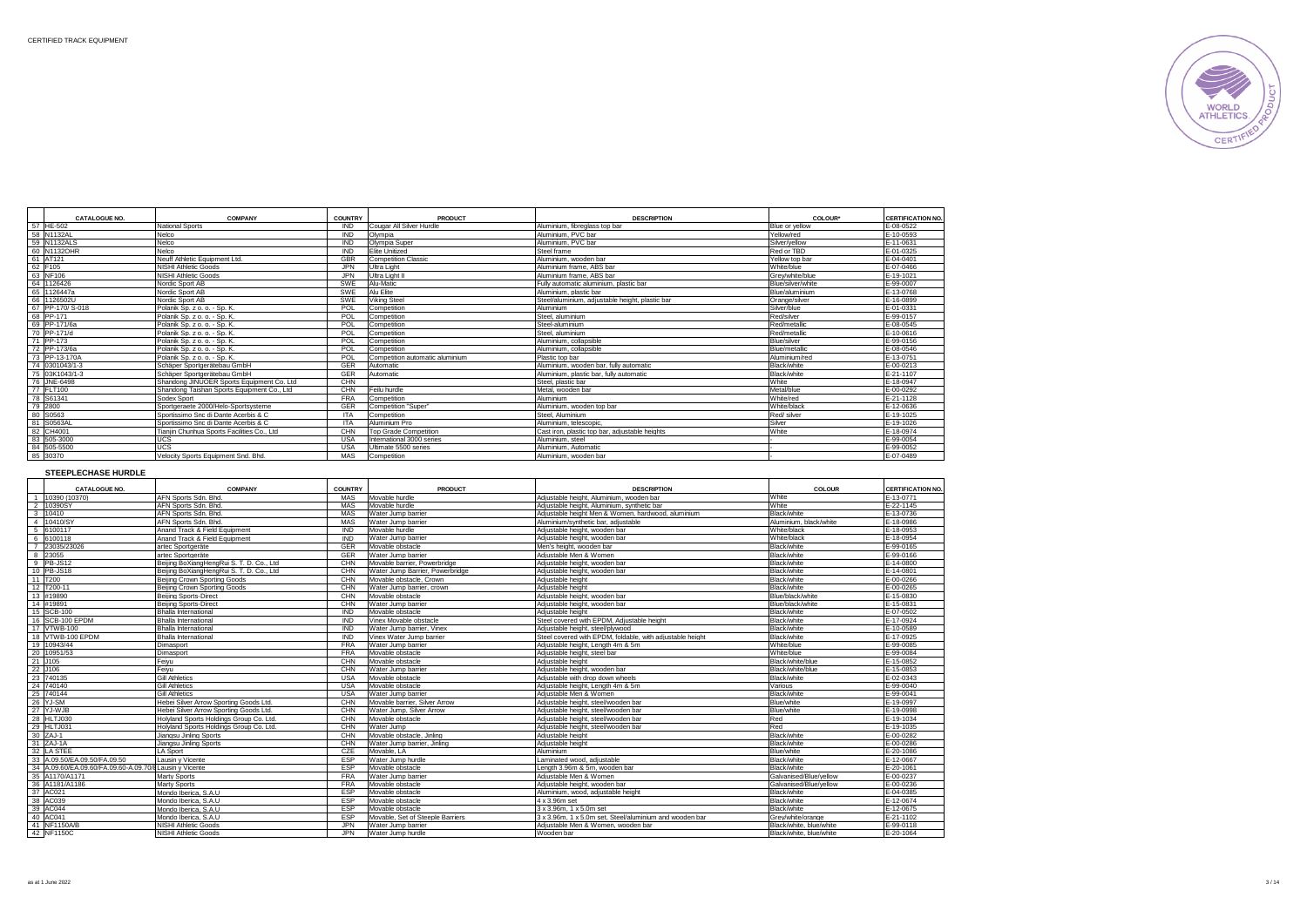

| <b>CATALOGUE NO.</b> | <b>COMPANY</b>                              | <b>COUNTRY</b> | PRODUCT                         | <b>DESCRIPTION</b>                              | COLOUR*            | <b>CERTIFICATION NO.</b> |
|----------------------|---------------------------------------------|----------------|---------------------------------|-------------------------------------------------|--------------------|--------------------------|
| 57 HE-502            | <b>National Sports</b>                      | <b>IND</b>     | Cougar All Silver Hurdle        | Aluminium, fibreglass top bar                   | Blue or vellow     | E-08-0522                |
| 58 N1132AL           | Nelco                                       | <b>IND</b>     | Olympia                         | Aluminium, PVC bar                              | Yellow/red         | E-10-0593                |
| 59 N1132ALS          | Nelco                                       | <b>IND</b>     | Olympia Super                   | Aluminium, PVC bar                              | Silver/vellow      | E-11-0631                |
| 60 N1132OHR          | Nelco                                       | <b>IND</b>     | Flite Unitized                  | Steel frame                                     | Red or TBD         | E-01-0325                |
| 61 AT121             | Neuff Athletic Equipment Ltd.               | <b>GBR</b>     | <b>Competition Classic</b>      | Aluminium, wooden bar                           | Yellow top bar     | F-04-0401                |
| 62 F105              | NISHI Athletic Goods                        | <b>JPN</b>     | Ultra Light                     | Aluminium frame, ABS bar                        | White/blue         | E-07-0466                |
| 63 NF106             | NISHI Athletic Goods                        | .JPN           | Ultra Light II                  | Aluminium frame. ABS har                        | Grev/white/blue    | F-19-1021                |
| 64<br>1126426        | Nordic Sport AB                             | SWE            | Alu-Matic                       | Fully automatic aluminium, plastic bar          | Blue/silver/white  | E-99-0007                |
| 65 1126447a          | Nordic Sport AB                             | SWE            | Alu Elite                       | Aluminium, plastic bar                          | Blue/aluminium     | E-13-0768                |
| 66 1126502U          | Nordic Sport AB                             | SWF            | <b>Viking Steel</b>             | Steel/aluminium, adiustable height, plastic bar | Orange/silver      | F-16-0899                |
| 67 PP-170/S-018      | Polanik Sp. z o. o. - Sp. K.                | POL            | Competition                     | Aluminium                                       | Silver/blue        | E-01-0331                |
| 68 PP-171            | Polanik Sp. z o. o. - Sp. K.                | POL            | Competition                     | Steel, aluminium                                | Red/silver         | E-99-0157                |
| 69 PP-171/6a         | Polanik Sp. z o. o. - Sp. K.                | POL            | Competition                     | Steel-aluminium                                 | Red/metallic       | E-08-0545                |
| 70 PP-171/d          | Polanik Sp. z o. o. - Sp. K.                | POL            | Competition                     | Steel, aluminium                                | Red/metallic       | E-10-0616                |
| 71 PP-173            | Polanik Sp. z o. o. - Sp. K.                | POL            | Competition                     | Aluminium, collapsible                          | <b>Blue/silver</b> | E-99-0156                |
| 72 PP-173/6a         | Polanik Sp. z o. o. - Sp. K.                | POL            | Competition                     | Aluminium, collapsible                          | Blue/metallic      | F-08-0546                |
| 73 PP-13-170A        | Polanik Sp. z o. o. - Sp. K.                | POL            | Competition automatic aluminium | Plastic top bar                                 | Aluminium/red      | E-13-0751                |
| 74 0301043/1-3       | Schäper Sportgerätebau GmbH                 | <b>GER</b>     | Automatic                       | Aluminium, wooden bar, fully automatic          | Black/white        | E-00-0213                |
| 75 03K1043/1-3       | Schäper Sportgerätebau GmbH                 | <b>GER</b>     | Automatic                       | Aluminium, plastic bar, fully automatic         | Black/white        | F-21-1107                |
| 76 JNE-6498          | Shandong JINUOER Sports Equipment Co. Ltd   | CHN            |                                 | Steel, plastic bar                              | White              | E-18-0947                |
| 77 FLT100            | Shandong Taishan Sports Equipment Co., Ltd. | CHN            | Feilu hurdle                    | Metal, wooden bar                               | Metal/blue         | F-00-0292                |
| 78 S61341            | Sodex Sport                                 | <b>FRA</b>     | Competition                     | Aluminium                                       | White/red          | E-21-1128                |
| 79<br>2800           | Sportgeraete 2000/Helo-Sportsysteme         | GER            | Competition "Super"             | Aluminium, wooden top bar                       | White/black        | E-12-0636                |
| 80 S0563             | Sportissimo Snc di Dante Acerbis & C        | <b>ITA</b>     | Competition                     | Steel, Aluminium                                | Red/ silver        | E-19-1025                |
| 81<br>S0563AL        | Sportissimo Snc di Dante Acerbis & C.       | <b>ITA</b>     | Aluminium Pro                   | Aluminium, telescopic.                          | Silver             | E-19-1026                |
| 82 CH4001            | Tianiin Chunhua Sports Facilities Co., Ltd. | CHN            | <b>Top Grade Competition</b>    | Cast iron, plastic top bar, adjustable heights  | White              | E-18-0974                |
| 83 505-3000          | UCS                                         | <b>USA</b>     | International 3000 series       | Aluminium, steel                                |                    | E-99-0054                |
| 84 505-5500          | <b>UCS</b>                                  | USA            | Ultimate 5500 series            | Aluminium, Automatic                            |                    | E-99-0052                |
| 85 30370             | Velocity Sports Equipment Snd, Bhd.         | MAS            | Competition                     | Aluminium, wooden bar                           |                    | E-07-0489                |

# **STEEPLECHASE HURDLE**

|                | <b>CATALOGUE NO.</b>                                | <b>COMPANY</b>                            | <b>COUNTRY</b> | <b>PRODUCT</b>                   | <b>DESCRIPTION</b>                                        | COLOUR                  | <b>CERTIFICATION NO.</b> |
|----------------|-----------------------------------------------------|-------------------------------------------|----------------|----------------------------------|-----------------------------------------------------------|-------------------------|--------------------------|
|                | 10390 (10370)                                       | AFN Sports Sdn. Bhd                       | MAS            | Movable hurdle                   | Adiustable height, Aluminium, wooden bar                  | <b>White</b>            | E-13-0771                |
| 2              | 10390SY                                             | AFN Sports Sdn, Bhd.                      | MAS            | Movable hurdle                   | Adiustable height, Aluminium, synthetic bar               | White                   | E-22-1145                |
|                | 3 10410                                             | AFN Sports Sdn, Bhd.                      | MAS            | Water Jump barrier               | Adjustable height Men & Women, hardwood, aluminium        | Black/white             | E-13-0736                |
| $\overline{4}$ | 10410/SY                                            | AFN Sports Sdn, Bhd.                      | MAS            | Water Jump barrier               | Aluminium/synthetic bar, adiustable                       | Aluminium, black/white  | E-18-0986                |
| 5              | 6100117                                             | Anand Track & Field Equipment             | <b>IND</b>     | Movable hurdle                   | Adiustable height, wooden bar                             | White/black             | E-18-0953                |
| 6              | 6100118                                             | Anand Track & Field Equipment             | <b>IND</b>     | Water Jump barrier               | Adjustable height, wooden bar                             | White/black             | E-18-0954                |
|                | 23035/23026                                         | artec Sportgeräte                         | GER            | Movable obstacle                 | Men's height, wooden bar                                  | Black/white             | E-99-0165                |
| 8              | 23055                                               | artec Sportgeräte                         | GER            | Water Jump barrier               | Adiustable Men & Women                                    | Black/white             | E-99-0166                |
|                | 9 PB-JS12                                           | Beiling BoXiangHengRui S. T. D. Co., Ltd. | CHN            | Movable barrier, Powerbridge     | Adiustable height, wooden bar                             | Black/white             | E-14-0800                |
| 10             | PB-JS18                                             | Beijing BoXiangHengRui S. T. D. Co., Ltd  | CHN            | Water Jump Barrier, Powerbridge  | Adjustable height, wooden bar                             | Black/white             | E-14-0801                |
|                | 11 T200                                             | Beiling Crown Sporting Goods              | CHN            | Movable obstacle, Crown          | Adiustable height                                         | Black/white             | E-00-0266                |
|                | 12 T200-11                                          | Beiling Crown Sporting Goods              | CHN            | Water Jump barrier, crown        | Adiustable height                                         | Black/white             | E-00-0265                |
|                | 13 #19890                                           | <b>Beijing Sports-Direct</b>              | CHN            | Movable obstacle                 | Adiustable height, wooden bar                             | Blue/black/white        | E-15-0830                |
|                | 14 #19891                                           | <b>Beijing Sports-Direct</b>              | CHN            | Water Jump barrier               | Adjustable height, wooden bar                             | Blue/black/white        | E-15-0831                |
|                | 15 SCB-100                                          | <b>Bhalla International</b>               | <b>IND</b>     | Movable obstacle                 | Adiustable height                                         | Black/white             | E-07-0502                |
|                | 16 SCB-100 EPDM                                     | <b>Bhalla</b> International               | <b>IND</b>     | Vinex Movable obstacle           | Steel covered with EPDM. Adjustable height                | Black/white             | $E-17-0924$              |
|                | 17 VTWB-100                                         | <b>Bhalla International</b>               | IND            | Water Jump barrier, Vinex        | Adiustable height, steel/plywood                          | Black/white             | E-10-0589                |
|                | 18 VTWB-100 EPDM                                    | <b>Bhalla International</b>               | <b>IND</b>     | Vinex Water Jump barrier         | Steel covered with EPDM, foldable, with adjustable height | Black/white             | E-17-0925                |
|                | 19 10943/44                                         | Dimasport                                 | <b>FRA</b>     | Water Jump barrier               | Adiustable height, Length 4m & 5m                         | White/blue              | E-99-0085                |
|                | 20 10951/53                                         | Dimasport                                 | <b>FRA</b>     | Movable obstacle                 | Adiustable height, steel bar                              | White/blue              | E-99-0084                |
|                | 21 J105                                             | Feiyu                                     | CHN            | Movable obstacle                 | Adiustable height                                         | Black/white/blue        | E-15-0852                |
|                | 22 J106                                             | Feivu                                     | CHN            | Water Jump barrier               | Adiustable height, wooden bar                             | Black/white/blue        | E-15-0853                |
|                | 23 740135                                           | <b>Gill Athletics</b>                     | <b>USA</b>     | Movable obstacle                 | Adiustable with drop down wheels                          | Black/white             | E-02-0343                |
|                | 24 740140                                           | <b>Gill Athletics</b>                     | USA            | Movable obstacle                 | Adjustable height. I ength 4m & 5m                        | Various                 | F-99-0040                |
|                | 25 740144                                           | <b>Gill Athletics</b>                     | <b>USA</b>     | Water Jump barrier               | Adiustable Men & Women                                    | Black/white             | E-99-0041                |
|                | 26 YJ-SM                                            | Hebei Silver Arrow Sporting Goods Ltd.    | CHN            | Movable barrier. Silver Arrow    | Adiustable height, steel/wooden bar                       | Blue/white              | E-19-0997                |
|                | 27 YJ-WJB                                           | Hebei Silver Arrow Sporting Goods Ltd.    | CHN            | Water Jump, Silver Arrow         | Adiustable height, steel/wooden bar                       | Blue/white              | E-19-0998                |
|                | 28 HLTJ030                                          | Holyland Sports Holdings Group Co. Ltd.   | CHN            | Movable obstacle                 | Adjustable height, steel/wooden bar                       | Red                     | E-19-1034                |
|                | 29 HLTJ031                                          | Holvland Sports Holdings Group Co. Ltd.   | CHN            | Water Jump                       | Adiustable height, steel/wooden bar                       | Red                     | E-19-1035                |
|                | 30 ZAJ-1                                            | Jiangsu Jinling Sports                    | CHN            | Movable obstacle, Jinling        | Adiustable height                                         | Black/white             | E-00-0282                |
|                | 31 ZAJ-1A                                           | Jiangsu Jinling Sports                    | CHN            | Water Jump barrier, Jinling      | Adjustable height                                         | Black/white             | E-00-0286                |
| 32             | <b>LA STEE</b>                                      | <b>LA Sport</b>                           | CZE            | Movable, LA                      | Aluminium                                                 | Blue/white              | E-20-1086                |
| 33             | A 09.50/FA 09.50/FA 09.50                           | Lausin v Vicente                          | <b>ESP</b>     | Water Jump hurdle                | Laminated wood, adjustable                                | Black/white             | E-12-0667                |
| 34             | A.09.60/EA.09.60/FA.09.60-A.09.70/ELausin v Vicente |                                           | <b>ESP</b>     | Movable obstacle                 | Length 3.96m & 5m, wooden bar                             | Black/white             | E-20-1061                |
|                | 35 A1170/A1171                                      | Marty Sports                              | <b>FRA</b>     | Water Jump barrier               | Adiustable Men & Women                                    | Galvanised/Blue/vellow  | E-00-0237                |
| 36             | A1181/A1186                                         | Marty Sports                              | <b>FRA</b>     | Movable obstacle                 | Adiustable height, wooden bar                             | Galvanised/Blue/vellow  | E-00-0236                |
|                | 37 AC021                                            | Mondo Iberica, S.A.U                      | <b>FSP</b>     | Movable obstacle                 | Aluminium, wood, adiustable height                        | Black/white             | F-04-0385                |
|                | 38 AC039                                            | Mondo Iberica, S.A.U                      | ESP            | Movable obstacle                 | 4 x 3.96m set                                             | Black/white             | E-12-0674                |
|                | 39 AC044                                            | Mondo Iberica, S.A.U                      | <b>ESP</b>     | Movable obstacle                 | 3 x 3.96m, 1 x 5.0m set                                   | Black/white             | E-12-0675                |
|                | 40 AC041                                            | Mondo Iberica, S.A.U                      | ESP            | Movable. Set of Steeple Barriers | 3 x 3.96m, 1 x 5.0m set. Steel/aluminium and wooden bar   | Grev/white/orange       | E-21-1102                |
|                | 41 NF1150A/B                                        | NISHI Athletic Goods                      | <b>JPN</b>     | Water Jump barrier               | Adiustable Men & Women, wooden bar                        | Black/white, blue/white | E-99-0118                |
|                | 42 NF1150C                                          | NISHI Athletic Goods                      | JPN.           | Water Jump hurdle                | Wooden bar                                                | Black/white, blue/white | E-20-1064                |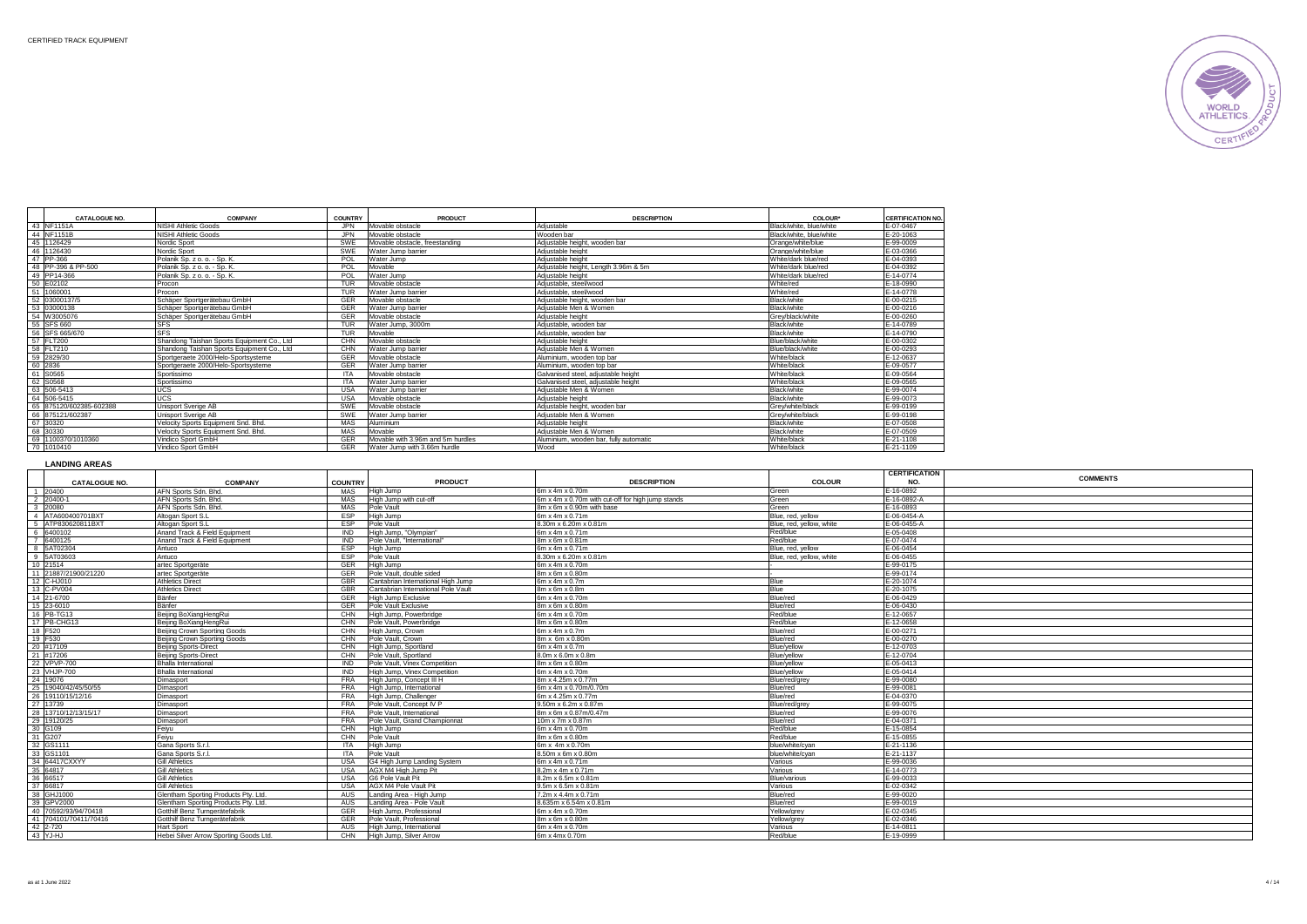

|    | <b>CATALOGUE NO.</b> | <b>COMPANY</b>                              | <b>COUNTRY</b> | PRODUCT                           | <b>DESCRIPTION</b>                     | <b>COLOUR</b> *         | <b>CERTIFICATION NO.</b> |
|----|----------------------|---------------------------------------------|----------------|-----------------------------------|----------------------------------------|-------------------------|--------------------------|
|    | 43 NF1151A           | NISHI Athletic Goods                        | <b>JPN</b>     | Movable obstacle                  | Adiustable                             | Black/white, blue/white | E-07-0467                |
|    | 44 NF1151B           | NISHI Athletic Goods                        | <b>JPN</b>     | Movable obstacle                  | Wooden har                             | Black/white, blue/white | F-20-1063                |
|    | 45 1126429           | Nordic Sport                                | SWE            | Movable obstacle, freestanding    | Adiustable height, wooden bar          | Orange/white/blue       | E-99-0009                |
|    | 46 1126430           | Nordic Sport                                | SWE            | Water Jump barrier                | Adjustable height                      | Orange/white/blue       | E-03-0366                |
|    | 47 PP-366            | Polanik Sp. z o. o. - Sp. K.                | POL            | Water Jump                        | Adiustable height                      | White/dark blue/red     | E-04-0393                |
| 48 | PP-396 & PP-500      | Polanik Sp. z o. o. - Sp. K.                | POL            | Movable                           | Adiustable height, Length 3,96m & 5m   | White/dark blue/red     | E-04-0392                |
|    | 49 PP14-366          | Polanik Sp. z o. o. - Sp. K.                | POL            | Water Jump                        | Adiustable height                      | White/dark blue/red     | F-14-0774                |
|    | 50 E02102            | Procon                                      | <b>TUR</b>     | Movable obstacle                  | Adiustable, steel/wood                 | White/red               | E-18-0990                |
| 51 | 1060001              | Procon                                      | <b>TUR</b>     | Water Jump barrier                | Adiustable, steel/wood                 | White/red               | E-14-0778                |
| 52 | 03000137/5           | Schäper Sportgerätebau GmbH                 | GER            | Movable obstacle                  | Adiustable height, wooden bar          | Black/white             | E-00-0215                |
| 53 | 03000138             | Schäper Sportgerätebau GmbH                 | GER            | Water Jump barrier                | Adiustable Men & Women                 | Black/white             | E-00-0216                |
| 54 | W3005076             | Schäper Sportgerätebau GmbH                 | GER            | Movable obstacle                  | Adiustable height                      | Grev/black/white        | E-00-0260                |
|    | 55 SFS 660           | <b>SFS</b>                                  | <b>TUR</b>     | Water Jump, 3000m                 | Adiustable, wooden bar                 | Black/white             | E-14-0789                |
|    | 56 SFS 665/670       | <b>SFS</b>                                  | <b>TUR</b>     | Movable                           | Adiustable, wooden bar                 | Black/white             | E-14-0790                |
|    | 57 FLT200            | Shandong Taishan Sports Foujoment Co., Ltd. | CHN            | Movable obstacle                  | Adjustable height                      | Blue/black/white        | E-00-0302                |
|    | 58 FLT210            | Shandong Taishan Sports Equipment Co., Ltd. | CHN            | Water Jump barrier                | Adiustable Men & Women                 | Blue/black/white        | E-00-0293                |
| 59 | 2829/30              | Sportgeraete 2000/Helo-Sportsysteme         | GER            | Movable obstacle                  | Aluminium, wooden top bar              | White/black             | E-12-0637                |
| 60 | 2836                 | Sportgeraete 2000/Helo-Sportsysteme         | GER            | Water Jump barrier                | Aluminium, wooden top bar              | White/black             | E-09-0577                |
| 61 | S0565                | Sportissimo                                 | <b>ITA</b>     | Movable obstacle                  | Galvanised steel, adiustable height    | White/black             | E-09-0564                |
| 62 | S0568                | Sportissimo                                 | <b>ITA</b>     | Water Jump barrier                | Galvanised steel, adiustable height    | White/black             | E-09-0565                |
|    | 63 506-5413          | <b>UCS</b>                                  | <b>USA</b>     | Water Jump barrier                | Adjustable Men & Women                 | Black/white             | E-99-0074                |
| 64 | 506-5415             | UCS                                         | <b>USA</b>     | Movable obstacle                  | Adiustable height                      | Black/white             | E-99-0073                |
| 65 | 875120/602385-602388 | Unisport Sverige AB                         | SWE            | Movable obstacle                  | Adiustable height, wooden bar          | Grev/white/black        | E-99-0199                |
|    | 66<br>875121/602387  | Unisport Sverige AB                         | SWE            | Water Jump barrier                | Adiustable Men & Women                 | Grev/white/black        | E-99-0198                |
|    | 67 30320             | Velocity Sports Equipment Snd, Bhd,         | MAS            | Aluminium                         | Adjustable height                      | Black/white             | E-07-0508                |
| 68 | 30330                | Velocity Sports Equipment Snd, Bhd,         | MAS            | Movable                           | Adjustable Men & Women                 | Black/white             | E-07-0509                |
| 69 | 1100370/1010360      | Vindico Sport GmbH                          | GER            | Movable with 3.96m and 5m hurdles | Aluminium, wooden bar, fully automatic | White/black             | E-21-1108                |
| 70 | 1010410              | Vindico Sport GmbH                          | GER            | Water Jump with 3.66m hurdle      | Wood                                   | White/black             | E-21-1109                |
|    |                      |                                             |                |                                   |                                        |                         |                          |

#### **LANDING AREAS**

|                       |                                        |                |                                     |                                                   |                          | <b>CERTIFICATION</b> | <b>COMMENTS</b> |
|-----------------------|----------------------------------------|----------------|-------------------------------------|---------------------------------------------------|--------------------------|----------------------|-----------------|
| CATALOGUE NO.         | <b>COMPANY</b>                         | <b>COUNTRY</b> | <b>PRODUCT</b>                      | <b>DESCRIPTION</b>                                | <b>COLOUR</b>            | NO.                  |                 |
| 1 20400               | AFN Sports Sdn. Bhd.                   | MAS            | High Jump                           | 6m x 4m x 0.70m                                   | Green                    | E-16-0892            |                 |
| 2 20400-1             | AFN Sports Sdn. Bhd.                   | MAS            | High Jump with cut-off              | 6m x 4m x 0.70m with cut-off for high jump stands | Green                    | E-16-0892-A          |                 |
| 3 20080               | AFN Sports Sdn. Bhd.                   | <b>MAS</b>     | Pole Vault                          | 8m x 6m x 0.90m with base                         | Green                    | E-16-0893            |                 |
| 4 ATA600400701BXT     | Altogan Sport S.I.                     | ESP            | High Jump                           | 6m x 4m x 0.71m                                   | Blue, red, yellow        | E-06-0454-A          |                 |
| 5 ATP830620811BXT     | Altogan Sport S.L.                     | <b>ESP</b>     | Pole Vault                          | 8.30m x 6.20m x 0.81m                             | Blue, red, vellow, white | E-06-0455-A          |                 |
| 6 6400102             | Anand Track & Field Equipment          | <b>IND</b>     | High Jump, "Olympian"               | 6m x 4m x 0.71m                                   | Red/blue                 | E-05-0408            |                 |
| 7 6400125             | Anand Track & Field Equipment          | <b>IND</b>     | Pole Vault. "International"         | 8m x 6m x 0.81m                                   | Red/blue                 | E-07-0474            |                 |
| 8 5AT02304            | Antuco                                 | <b>ESP</b>     | High Jump                           | 6m x 4m x 0.71m                                   | Blue, red, yellow        | E-06-0454            |                 |
| 9 5AT03603            | Antuco                                 | <b>FSP</b>     | Pole Vault                          | 8.30m x 6.20m x 0.81m                             | Blue, red, yellow, white | E-06-0455            |                 |
| 10 21514              | artec Sportgeräte                      | GER            | High Jump                           | 6m x 4m x 0.70m                                   |                          | E-99-0175            |                 |
| 11 21887/21900/21220  | artec Sportgeräte                      | <b>GER</b>     | Pole Vault, double sided            | 8m x 6m x 0.80m                                   |                          | E-99-0174            |                 |
| 12 C-HJ010            | <b>Athletics Direct</b>                | GBR            | Cantabrian International High Jump  | $6m \times 4m \times 0.7m$                        | Blue                     | E-20-1074            |                 |
| 13 C-PV004            | <b>Athletics Direct</b>                | GBR            | Cantabrian International Pole Vault | $8m \times 6m \times 0.8m$                        | Blue                     | E-20-1075            |                 |
| 14 21-6700            | Bänfer                                 | GFR            | High Jump Exclusive                 | 6m x 4m x 0.70m                                   | Blue/red                 | E-06-0429            |                 |
| 15 23-6010            | Bänfer                                 | GFR            | Pole Vault Exclusive                | 8m x 6m x 0.80m                                   | Blue/red                 | E-06-0430            |                 |
| 16 PB-TG13            | Beijing BoXiangHengRui                 | CHN            | High Jump, Powerbridge              | 6m x 4m x 0.70m                                   | Red/blue                 | E-12-0657            |                 |
| 17 PB-CHG13           | Beijing BoXiangHengRui                 | CHN            | Pole Vault, Powerbridge             | 8m x 6m x 0.80m                                   | Red/blue                 | E-12-0658            |                 |
| 18 F520               | Beijing Crown Sporting Goods           | CHN            | High Jump, Crown                    | 6m x 4m x 0.7m                                    | Blue/red                 | E-00-0271            |                 |
| 19 F530               | Beiling Crown Sporting Goods           | CHN            | Pole Vault, Crown                   | 8m x 6m x 0.80m                                   | Blue/red                 | E-00-0270            |                 |
| 20 #17109             | <b>Beijing Sports-Direct</b>           | <b>CHN</b>     | High Jump, Sportland                | 6m x 4m x 0.7m                                    | Blue/yellow              | E-12-0703            |                 |
| 21 #17206             | <b>Beijing Sports-Direct</b>           | CHN            | Pole Vault, Sportland               | 8.0m x 6.0m x 0.8m                                | Blue/yellow              | E-12-0704            |                 |
| 22 VPVP-700           | Bhalla International                   | <b>IND</b>     | Pole Vault, Vinex Competition       | 8m x 6m x 0.80m                                   | Blue/yellow              | E-05-0413            |                 |
| 23 VHJP-700           | <b>Bhalla International</b>            | <b>IND</b>     | High Jump, Vinex Competition        | 6m x 4m x 0.70m                                   | Blue/yellow              | E-05-0414            |                 |
| 24 19076              | Dimasport                              | <b>FRA</b>     | High Jump, Concept III H            | 8m x 4.25m x 0.77m                                | Blue/red/arev            | E-99-0080            |                 |
| 25 19040/42/45/50/55  | Dimasport                              | <b>FRA</b>     | High Jump, International            | 6m x 4m x 0.70m/0.70m                             | Blue/red                 | E-99-0081            |                 |
| 26 19110/15/12/16     | Dimasport                              | <b>FRA</b>     | High Jump, Challenger               | 6m x 4.25m x 0.77m                                | Blue/red                 | E-04-0370            |                 |
| 27 13739              | Dimasport                              | <b>FRA</b>     | Pole Vault, Concept IV P            | $9.50m \times 6.2m \times 0.87m$                  | Blue/red/arev            | E-99-0075            |                 |
| 28 13710/12/13/15/17  | Dimasport                              | <b>FRA</b>     | Pole Vault. International           | 8m x 6m x 0.87m/0.47m                             | Blue/red                 | E-99-0076            |                 |
| 29 19120/25           | Dimasport                              | <b>FRA</b>     | Pole Vault, Grand Championnat       | 10m x 7m x 0.87m                                  | Blue/red                 | E-04-0371            |                 |
| 30 G109               | Feivu                                  | CHN            | High Jump                           | 6m x 4m x 0.70m                                   | Red/blue                 | E-15-0854            |                 |
| 31 G207               | Feivu                                  | CHN            | Pole Vault                          | 8m x 6m x 0.80m                                   | Red/blue                 | E-15-0855            |                 |
| 32 GS1111             | Gana Sports S.r.l.                     | <b>ITA</b>     | High Jump                           | 6m x 4m x 0.70m                                   | blue/white/cvan          | E-21-1136            |                 |
| 33 GS1101             | Gana Sports S.r.l.                     | <b>ITA</b>     | Pole Vault                          | 8.50m x 6m x 0.80m                                | blue/white/cvan          | E-21-1137            |                 |
| 34 64417CXXYY         | <b>Gill Athletics</b>                  | <b>USA</b>     | G4 High Jump Landing System         | 6m x 4m x 0.71m                                   | Various                  | E-99-0036            |                 |
| 35 64817              | <b>Gill Athletics</b>                  | <b>USA</b>     | AGX M4 High Jump Pit                | 8.2m x 4m x 0.71m                                 | Various                  | E-14-0773            |                 |
| 36 66517              | <b>Gill Athletics</b>                  | <b>USA</b>     | G6 Pole Vault Pit                   | 8.2m x 6.5m x 0.81m                               | Blue/various             | E-99-0033            |                 |
| 37 66817              | <b>Gill Athletics</b>                  | <b>USA</b>     | AGX M4 Pole Vault Pit               | 9.5m x 6.5m x 0.81m                               | Various                  | E-02-0342            |                 |
| 38 GHJ1000            | Glentham Sporting Products Pty. Ltd.   | AUS            | Landing Area - High Jump            | $7.2m \times 4.4m \times 0.71m$                   | Blue/red                 | E-99-0020            |                 |
| 39 GPV2000            | Glentham Sporting Products Ptv. Ltd.   | AUS            | Landing Area - Pole Vault           | 8.635m x 6.54m x 0.81m                            | Blue/red                 | E-99-0019            |                 |
| 40 70592/93/94/70418  | Gotthilf Benz Turngerätefabrik         | GER            | High Jump, Professional             | 6m x 4m x 0.70m                                   | Yellow/grey              | E-02-0345            |                 |
| 41 704101/70411/70416 | Gotthilf Benz Turngerätefabrik         | GER            | Pole Vault, Professional            | 8m x 6m x 0.80m                                   | Yellow/grev              | E-02-0346            |                 |
| 42 2-720              | Hart Sport                             | <b>AUS</b>     | High Jump, International            | 6m x 4m x 0.70m                                   | Various                  | E-14-0811            |                 |
| 43 YJ-HJ              | Hebei Silver Arrow Sporting Goods Ltd. | CHN            | High Jump, Silver Arrow             | 6m x 4mx 0.70m                                    | Red/blue                 | E-19-0999            |                 |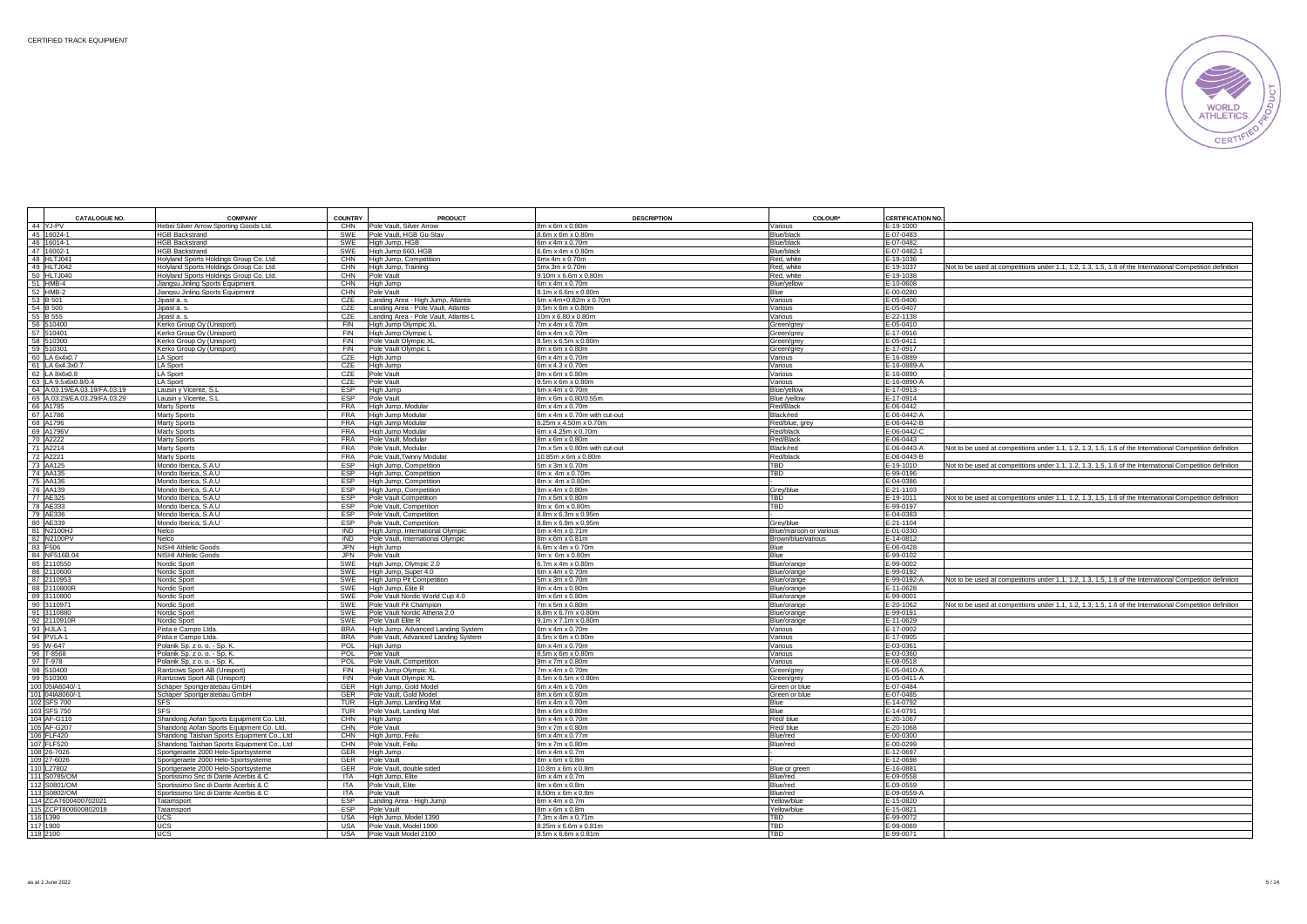

| <b>CATALOGUE NO.</b>                                | <b>COMPANY</b>                                                               | COUNTRY                        | PRODUCT                                                    | <b>DESCRIPTION</b>                         | COLOUR*                        | <b>CERTIFICATION NO</b>                                                                                                            |
|-----------------------------------------------------|------------------------------------------------------------------------------|--------------------------------|------------------------------------------------------------|--------------------------------------------|--------------------------------|------------------------------------------------------------------------------------------------------------------------------------|
| 44 YJ-PV                                            | Hebei Silver Arrow Sporting Goods Ltd.                                       | CHN                            | Pole Vault, Silver Arrow                                   | 8m x 6m x 0.80m                            | Various                        | E-19-1000                                                                                                                          |
| 45 16024-1                                          | <b>HGB Backstrand</b>                                                        | SWE                            | Pole Vault, HGB Gu-Stav                                    | 8.6m x 6m x 0.80m                          | Blue/black                     | E-07-0483                                                                                                                          |
| 46 16014-1                                          | <b>HGB Backstrand</b>                                                        | SWE                            | High Jump, HGB                                             | 6m x 4m x 0.70m                            | Blue/black                     | E-07-0482                                                                                                                          |
| 47 16002-1                                          | <b>HGB Backstrand</b>                                                        | SWE                            | High Jump 660, HGB                                         | 6.6m x 4m x 0.80m                          | Blue/black                     | E-07-0482-                                                                                                                         |
| 48 HLTJ041                                          | Holyland Sports Holdings Group Co. Ltd                                       | CHN                            | High Jump, Competition                                     | 6mx 4m x 0.70m                             | Red. white                     | E-19-1036                                                                                                                          |
| 49 HLTJ042                                          | Holyland Sports Holdings Group Co. Ltd.                                      | CHN                            | High Jump, Training                                        | 5mx 3m x 0.70m                             | Red, white                     | E-19-1037<br>Not to be used at competitions under 1.1, 1.2, 1.3, 1.5, 1.6 of the International Competition definition              |
| 50 HLTJ040                                          | Holyland Sports Holdings Group Co. Ltd.                                      | CHN                            | Pole Vault                                                 | 9.10m x 6.6m x 0.80m                       | Red, white                     | E-19-1038                                                                                                                          |
| 51 HMB-4<br>52 HMB-2                                | Jiangsu Jinling Sports Equipment                                             | CHN<br>CHN                     | High Jump<br>Pole Vault                                    | 6m x 4m x 0.70m<br>8.1m x 6.6m x 0.80m     | Blue/yellow<br>Blue            | E-10-0608<br>E-00-0280                                                                                                             |
| 53 B 501                                            | Jiangsu Jinling Sports Equipment<br>Jipast a. s.                             | CZE                            | Landing Area - High Jump, Atlantis                         | 6m x 4m+0.82m x 0.70m                      | Various                        | E-05-0406                                                                                                                          |
| 54 B 500                                            | Jipast a, s.                                                                 | CZE                            | Landing Area - Pole Vault, Atlantis                        | 9.5m x 6m x 0.80m                          | Various                        | E-05-0407                                                                                                                          |
| 55 B 555                                            | Jipast a, s.                                                                 | CZE                            | Landing Area - Pole Vault, Atlantis I                      | 10m x 6.80 x 0.80m                         | Various                        | $-22 - 1138$                                                                                                                       |
| 56 510400                                           | Kerko Group Oy (Unisport)                                                    | FIN                            | High Jump Olympic XL                                       | 7m x 4m x 0.70m                            | Green/gre                      | E-05-0410                                                                                                                          |
| 57 510401                                           | Kerko Group Oy (Unisport)                                                    | FIN                            | High Jump Olympic L                                        | 6m x 4m x 0.70m                            | Green/grey                     | E-17-0916                                                                                                                          |
| 58 510300                                           | Kerko Group Oy (Unisport)                                                    | <b>FIN</b>                     | Pole Vault Olympic XL                                      | $3.5m \times 6.5m \times 0.80m$            | Green/grey                     | E-05-0411                                                                                                                          |
| 59 510301                                           | Kerko Group Oy (Unisport)                                                    | FIN                            | Pole Vault Olympic L                                       | 8m x 6m x 0.80m                            | Green/grey                     | E-17-0917                                                                                                                          |
| 60 LA 6x4x0.7                                       | LA Sport                                                                     | CZE                            | High Jump                                                  | 6m x 4m x 0.70m                            | Various                        | E-16-0889                                                                                                                          |
| 61 LA 6x4.3x0.7                                     | LA Sport                                                                     | CZE                            | High Jump                                                  | 6m x 4.3 x 0.70m                           | Various                        | E-16-0889-A                                                                                                                        |
| 62 LA 8x6x0.8                                       | LA Sport                                                                     | CZE                            | Pole Vault                                                 | 8m x 6m x 0.80m                            | Various                        | E-16-0890                                                                                                                          |
| 63 LA 9.5x6x0.8/0.4<br>64 A.03.19/EA.03.19/FA.03.19 | LA Sport<br>Lausin y Vicente, S                                              | C <sub>7</sub> F<br><b>FSP</b> | Pole Vault                                                 | 9.5m x 6m x 0.80m<br>6m x 4m x 0.70m       | Various                        | E-16-0890-A<br>E-17-0913                                                                                                           |
| 65 A.03.29/EA.03.29/FA.03.29                        | Lausin y Vicente, S.                                                         | <b>ESP</b>                     | High Jump<br>Pole Vault                                    | 8m x 6m x 0.80/0.55m                       | Blue/yellow<br>Blue /yellow    | E-17-0914                                                                                                                          |
| 66 A1785                                            | <b>Marty Sports</b>                                                          | <b>FRA</b>                     | High Jump, Modular                                         | 6m x 4m x 0.70m                            | Red/Black                      | E-06-0442                                                                                                                          |
| 67 A1786                                            | <b>Marty Sports</b>                                                          | <b>FRA</b>                     | High Jump Modular                                          | 6m x 4m x 0.70m with cut-out               | Black/red                      | E-06-0442-A                                                                                                                        |
| 68 A1796                                            | Marty Sports                                                                 | <b>FRA</b>                     | High Jump Modular                                          | 6.25m x 4.50m x 0.70m                      | Red/blue, are                  | E-06-0442-B                                                                                                                        |
| 69 A1796V                                           | Marty Sports                                                                 | <b>FRA</b>                     | High Jump Modular                                          | 6m x 4.25m x 0.70m                         | Red/black                      | E-06-0442-0                                                                                                                        |
| 70 A2222                                            | <b>Marty Sports</b>                                                          | <b>FRA</b>                     | Pole Vault, Modular                                        | 8m x 6m x 0.80m                            | Red/Black                      | E-06-0443                                                                                                                          |
| 71 A2214                                            | Marty Sports                                                                 | <b>FRA</b>                     | Pole Vault, Modular                                        | 7m x 5m x 0.80m with cut-out               | Black/red                      | E-06-0443-A<br>Not to be used at competitions under 1.1, 1.2, 1.3, 1.5, 1.6 of the International Competition definition            |
| 72 A2221                                            | Marty Sports                                                                 | <b>FRA</b>                     | Pole Vault, Twinny Modular                                 | 10.85m x 6m x 0.80m                        | Red/black                      | E-06-0443-B                                                                                                                        |
| 73 AA125                                            | Mondo Iberica, S.A.U                                                         | <b>ESP</b>                     | High Jump, Competition                                     | 5m x 3m x 0.70m                            | TBD                            | E-19-1010<br>Not to be used at competitions under 1.1, 1.2, 1.3, 1.5, 1.6 of the International Competition definition              |
| 74 AA135                                            | Mondo Iberica, S.A.U                                                         | <b>ESP</b>                     | High Jump, Competition                                     | 6m x 4m x 0.70m                            | TBD                            | E-99-0196                                                                                                                          |
| 75 AA136                                            | Mondo Iberica, S.A.U                                                         | <b>FSP</b>                     | High Jump, Competition                                     | 8m x 4m x 0.80m                            |                                | E-04-0386                                                                                                                          |
| 76 AA139                                            | Mondo Iberica, S.A.U                                                         | <b>FSP</b>                     | High Jump, Competition                                     | 8m x 4m x 0.80m                            | Grey/blue                      | E-21-1103                                                                                                                          |
| 77 AE325                                            | Mondo Iberica, S.A.U                                                         | ESP<br><b>FSP</b>              | Pole Vault Competition                                     | 7m x 5m x 0.80m                            | TBD                            | E-19-1011<br>Not to be used at competitions under 1.1, 1.2, 1.3, 1.5, 1.6 of the International Competition definition              |
| 78 AE333<br>79 AE336                                | Mondo Iberica, S.A.U                                                         | ESP                            | Pole Vault, Competition                                    | 8m x 6m x 0.80m                            | TBD                            | E-99-0197<br>E-04-0383                                                                                                             |
| 80 AE339                                            | Mondo Iberica, S.A.U<br>Mondo Iberica, S.A.U                                 | ESP                            | Pole Vault, Competition<br>Pole Vault, Competition         | 8.8m x 6.3m x 0.95m<br>8.8m x 6.9m x 0.95m | Grey/blue                      | E-21-1104                                                                                                                          |
| 81 N2100H                                           | Nelco                                                                        | <b>IND</b>                     | High Jump, International Olympic                           | 6m x 4m x 0.71m                            | Blue/maroon or various         | E-01-0330                                                                                                                          |
| 82 N2100PV                                          | Nelco                                                                        | <b>IND</b>                     | Pole Vault, International Olympic                          | 8m x 6m x 0.81m                            | Brown/blue/various             | $-14 - 0812$                                                                                                                       |
| 83 F506                                             | <b>NISHI Athletic Goods</b>                                                  | JPN                            | High Jump                                                  | 6.6m x 4m x 0.70m                          | Blue                           | $-06 - 0428$                                                                                                                       |
| 84 NF516B.04                                        | <b>NISHI Athletic Goods</b>                                                  | <b>JPN</b>                     | Pole Vault                                                 | 9m x 6m x 0.80m                            | Blue                           | $-99 - 0102$                                                                                                                       |
| 85 2110550                                          | Nordic Sport                                                                 | SWE                            | High Jump, Olympic 2.0                                     | 6.7m x 4m x 0.80m                          | Blue/orange                    | E-99-0002                                                                                                                          |
| 86 2110600                                          | Nordic Sport                                                                 | SWE                            | High Jump, Super 4.0                                       | 6m x 4m x 0.70m                            | Blue/orange                    | E-99-0192                                                                                                                          |
| 87 2110953                                          | Nordic Sport                                                                 | SWE                            | High Jump Pit Competition                                  | 5m x 3m x 0.70m                            | Blue/orange                    | E-99-0192-A<br>Not to be used at competitions under 1.1, 1.2, 1.3, 1.5, 1.6 of the International Competition definition            |
| 88 2110800R                                         | Nordic Sport                                                                 | SWE                            | High Jump, Elite R                                         | 8m x 4m x 0.80m                            | Blue/orange                    | E-11-0628                                                                                                                          |
| 89 3110800<br>90 3110971                            | Nordic Sport<br>Nordic Sport                                                 | SWE<br>SWE                     | Pole Vault Nordic World Cup 4.0<br>Pole Vault Pit Champion | 8m x 6m x 0.80m<br>7m x 5m x 0.80m         | Blue/orange                    | E-99-0001<br>E-20-1062<br>Not to be used at competitions under 1.1, 1.2, 1.3, 1.5, 1.6 of the International Competition definition |
| 91 3110880                                          | Nordic Sport                                                                 | SWE                            | Pole Vault Nordic Athena 2.0                               | 8.8m x 6.7m x 0.80m                        | Blue/orange<br>Blue/orange     | E-99-0191                                                                                                                          |
| 92 2110910R                                         | Nordic Sport                                                                 | SWE                            | Pole Vault Elite R                                         | 9.1m x 7.1m x 0.80m                        | Blue/orange                    | E-11-0629                                                                                                                          |
| 93 HJLA-1                                           | Pista e Campo Ltda.                                                          | <b>BRA</b>                     | High Jump, Advanced Landing System                         | 6m x 4m x 0.70m                            | Various                        | $-17 - 0902$                                                                                                                       |
| 94 PVLA-1                                           | Pista e Campo Ltda.                                                          | <b>BRA</b>                     | Pole Vault, Advanced Landing System                        | 8.5m x 6m x 0.80m                          | Various                        | E-17-0905                                                                                                                          |
| 95 W-647                                            | Polanik Sp. z o. o. - Sp. K.                                                 | POL                            | High Jump                                                  | 6m x 4m x 0.70m                            | Various                        | E-03-0361                                                                                                                          |
| 96 T-8568                                           | Polanik Sp. z o. o. - Sp. K.                                                 | POL                            | Pole Vault                                                 | 8.5m x 6m x 0.80m                          | Various                        | E-03-0360                                                                                                                          |
| 97 T-978                                            | Polanik Sp. z o. o. - Sp. K.                                                 | POL                            | Pole Vault, Competition                                    | 9m x 7m x 0.80m                            | Various                        | E-08-0518                                                                                                                          |
| 98 510400                                           | Rantzows Sport AB (Unisport)                                                 | FIN                            | High Jump Olympic XL                                       | 7m x 4m x 0.70m                            | Green/grey                     | E-05-0410-A                                                                                                                        |
| 99 510300                                           | Rantzows Sport AB (Unisport)                                                 | FIN<br>GFR                     | Pole Vault Olympic XL                                      | 8.5m x 6.5m x 0.80m<br>6m x 4m x 0.70m     | Green/grey                     | E-05-0411-A<br>$-07 - 0484$                                                                                                        |
| 100 05IA6040/-<br>101 04IA8060/-                    | Schäper Sportgerätebau GmbH                                                  | <b>GFR</b>                     | High Jump, Gold Mode<br>Pole Vault, Gold Model             | 8m x 6m x 0.80m                            | Green or blue<br>Green or blue | $-07 - 0485$                                                                                                                       |
| 102 SFS 700                                         | Schäper Sportgerätebau GmbH<br><b>SFS</b>                                    | <b>TUR</b>                     | High Jump, Landing Mat                                     | 6m x 4m x 0.70m                            | Blue                           | $-14 - 0792$                                                                                                                       |
| 103 SFS 750                                         | <b>SES</b>                                                                   | <b>TUR</b>                     | Pole Vault, Landing Mat                                    | 8m x 6m x 0.80m                            | Blue                           | $-14 - 0791$                                                                                                                       |
| 104 AF-G110                                         | Shandong Aofan Sports Equipment Co. Ltd.                                     | CHN                            | High Jump                                                  | 6m x 4m x 0.70m                            | Red/blue                       | $-20 - 1067$                                                                                                                       |
| 105 AF-G207                                         | Shandong Aofan Sports Equipment Co. Ltd.                                     | CHN                            | Pole Vault                                                 | 9m x 7m x 0.80m                            | Red/blue                       | E-20-1068                                                                                                                          |
| 106 FLF420                                          | Shandong Taishan Sports Equipment Co., Ltd                                   | CHN                            | High Jump, Feilu                                           | 6m x 4m x 0.77m                            | Blue/red                       | E-00-0300                                                                                                                          |
| 107 FLF520                                          | Shandong Taishan Sports Equipment Co., Ltd.                                  | CHN                            | Pole Vault, Feilu                                          | 9m x 7m x 0.80m                            | Blue/red                       | E-00-0299                                                                                                                          |
| 108 26-7026                                         | Sportgeraete 2000 Helo-Sportsysteme                                          | <b>GER</b>                     | High Jump                                                  | 6m x 4m x 0.7m                             |                                | E-12-0697                                                                                                                          |
| 109 27-6026                                         | Sportgeraete 2000 Helo-Sportsysteme                                          | GFR                            | Pole Vault                                                 | 8m x 6m x 0.8m                             |                                | E-12-0698                                                                                                                          |
| 110 L27802                                          | Sportgeraete 2000 Helo-Sportsysteme                                          | GFR                            | Pole Vault, double sided                                   | 10.8m x 6m x 0.8m                          | Blue or green                  | E-16-0881                                                                                                                          |
| 111 S0785/ON<br>112 S0801/ON                        | Sportissimo Snc di Dante Acerbis & C                                         | <b>ITA</b><br><b>ITA</b>       | High Jump, Elite                                           | 6m x 4m x 0.7m                             | Blue/red                       | E-09-0558<br>E-09-0559                                                                                                             |
| 113 S0802/ON                                        | Sportissimo Snc di Dante Acerbis & C<br>Sportissimo Snc di Dante Acerbis & C | <b>ITA</b>                     | Pole Vault, Elite<br>Pole Vault                            | 8m x 6m x 0.8m<br>8.50m x 6m x 0.8m        | Blue/red<br>Blue/red           | E-09-0559-A                                                                                                                        |
| 114 ZCAT600400702021                                | Tatamsport                                                                   | ESP                            | Landing Area - High Jump                                   | 6m x 4m x 0.7m                             | Yellow/blue                    | E-15-0820                                                                                                                          |
| 115 ZCPT800600802018                                | Tatamsport                                                                   | <b>FSP</b>                     | Pole Vault                                                 | 8m x 6m x 0.8m                             | Yellow/blue                    | E-15-0821                                                                                                                          |
| 116 1390                                            | <b>UCS</b>                                                                   | <b>USA</b>                     | High Jump, Model 1390                                      | 7.3m x 4m x 0.71m                          | TBD                            | E-99-0072                                                                                                                          |
| 117 1900                                            | UCS                                                                          | <b>USA</b>                     | Pole Vault, Model 1900                                     | 8.25m x 6.6m x 0.81m                       | TBD                            | E-99-0069                                                                                                                          |
| 118 2100                                            | <b>UCS</b>                                                                   | USA                            | Pole Vault Model 2100                                      | 9.5m x 6.6m x 0.81m                        | TBD                            | E-99-0071                                                                                                                          |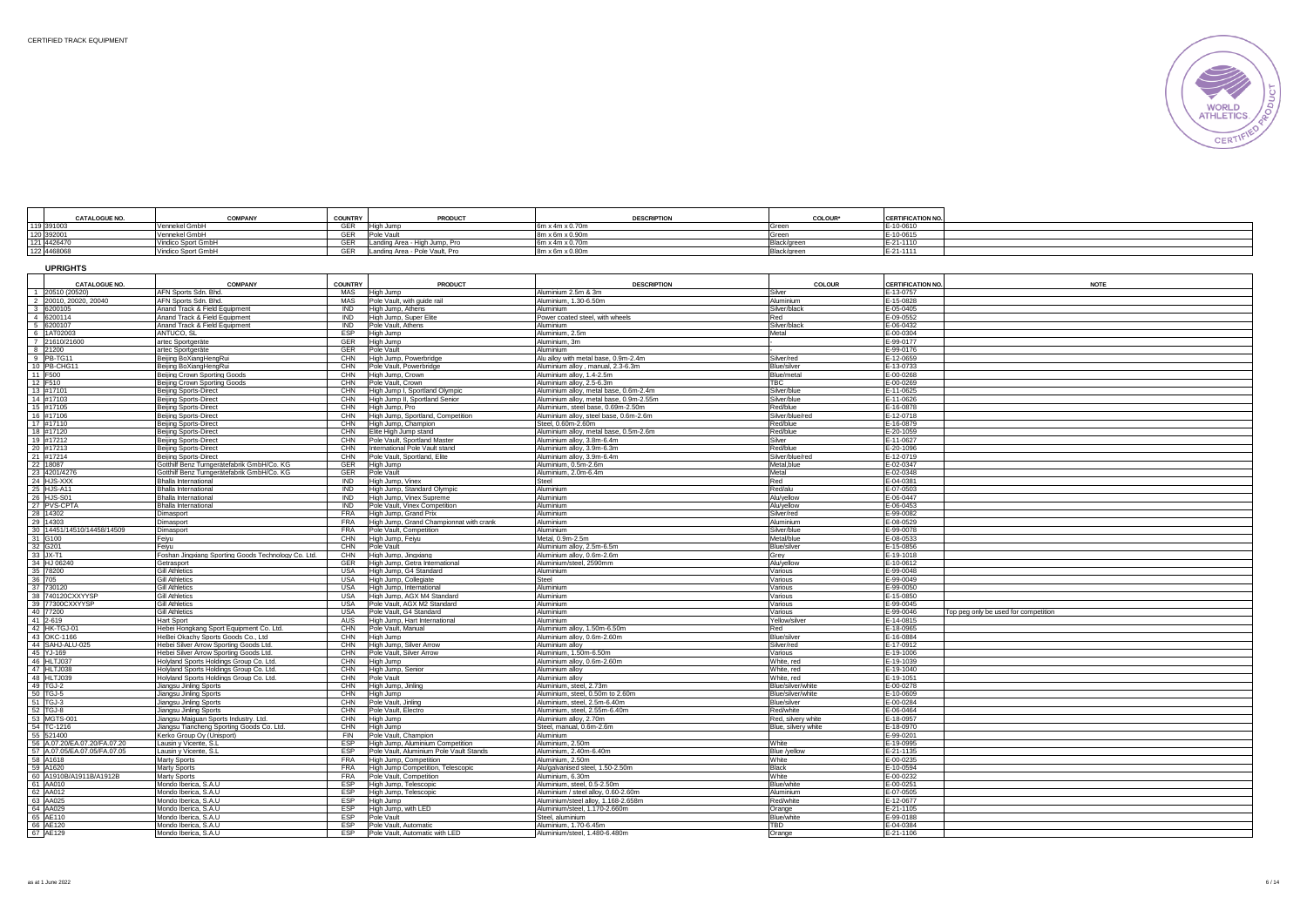**UPRIGHTS**



| <b>CATALOGUE NO.</b>                                   | <b>COMPANY</b>     | <b>COUNTRY</b> | <b>PRODUCT</b>                 | <b>DESCRIPTION</b>          | <b>COLOUF</b> | <b>CERTIFICATION NO.</b> |  |
|--------------------------------------------------------|--------------------|----------------|--------------------------------|-----------------------------|---------------|--------------------------|--|
| 119 391003<br>120 392001<br>121 4426470<br>122 4468068 | Vennekel Gmbl      | GER            | High Jump                      | $3m \times 4m \times 0.70m$ |               | $-10 - 0610$             |  |
|                                                        | Vennekel GmbF      | CFD            | Pole Vault                     | 8m x 6m x 0.90m             |               | $-10 - 0615$             |  |
|                                                        | Vindico Sport GmbH | GFR            | Landing Area - High Jump, Pro  | 6m x 4m x 0.70m             | Black/gree    | -21-1110                 |  |
|                                                        | Vindico Sport GmbH | GFR            | Landing Area - Pole Vault, Pro | $m \times 6m \times 0.80m$  | Black/green   | -21-1111                 |  |

| <b>CATALOGUE NO.</b>         | <b>COMPANY</b>                                                      | <b>COUNTRY</b> | <b>PRODUCT</b>                                                 | <b>DESCRIPTION</b>                                       | <b>COLOUR</b>       | <b>CERTIFICATION NO.</b> | <b>NOTE</b>                          |
|------------------------------|---------------------------------------------------------------------|----------------|----------------------------------------------------------------|----------------------------------------------------------|---------------------|--------------------------|--------------------------------------|
| 1 20510 (20520)              | AFN Sports Sdn. Bhd.                                                | <b>MAS</b>     | High Jump                                                      | Aluminium 2.5m & 3m                                      | Silver              | E-13-0757                |                                      |
| 2 20010, 20020, 20040        | AFN Sports Sdn, Bhd                                                 | <b>MAS</b>     | Pole Vault, with quide rail                                    | Aluminium, 1,30-6,50m                                    | Aluminium           | E-15-0828                |                                      |
| 3 6200105                    | Anand Track & Field Equipment                                       | <b>IND</b>     | High Jump, Athens                                              | Aluminium                                                | Silver/black        | E-05-0405                |                                      |
| 4 6200114                    | Anand Track & Field Equipment                                       | <b>IND</b>     | High Jump, Super Elite                                         | Power coated steel, with wheels                          | Red                 | E-09-0552                |                                      |
| 5 6200107                    | Anand Track & Field Equipment                                       | <b>IND</b>     | Pole Vault, Athens                                             | Aluminium                                                | Silver/black        | E-06-0432                |                                      |
| 6 1AT02003                   | ANTUCO, SL                                                          | <b>FSP</b>     | High Jump                                                      | Aluminium, 2.5m                                          | Metal               | E-00-0304                |                                      |
| 7 21610/21600                | artec Sportgeräte                                                   | GER            | High Jump                                                      | Aluminium, 3m                                            |                     | $E-99-0177$              |                                      |
| 8 21200                      | artec Sportgeräte                                                   | GER            | Pole Vault                                                     | Aluminium                                                |                     | E-99-0176                |                                      |
| 9 PB-TG11                    | Beijing BoXiangHengRui                                              | CHN            | High Jump, Powerbridge                                         | Alu allov with metal base, 0.9m-2.4m                     | Silver/red          | E-12-0659                |                                      |
| 10 PB-CHG1                   | Beijing BoXiangHengRu                                               | CHN            | Pole Vault, Powerbridge                                        | Aluminium allov, manual, 2.3-6.3m                        | Blue/silver         | E-13-0733                |                                      |
| 11 F500                      | Beijing Crown Sporting Goods                                        | CHN            | High Jump, Crown                                               | Aluminium alloy, 1.4-2.5m                                | Blue/metal          | E-00-0268                |                                      |
| 12 F510                      | <b>Beijing Crown Sporting Goods</b>                                 | CHN            | Pole Vault, Crown                                              | Aluminium alloy, 2.5-6.3m                                | TBC                 | E-00-0269                |                                      |
| 13 #17101                    | Beijing Sports-Direct                                               | CHN            | High Jump I, Sportland Olympic                                 | Aluminium allov, metal base, 0.6m-2.4m                   | Silver/blue         | E-11-0625                |                                      |
| 14 #17103                    | <b>Beijing Sports-Direct</b>                                        | CHN            | High Jump II, Sportland Senior                                 | Aluminium allov, metal base, 0.9m-2.55m                  | Silver/blue         | E-11-0626                |                                      |
| 15 #17105                    |                                                                     | CHN            | High Jump, Pro                                                 | Aluminium, steel base, 0.69m-2.50m                       | Red/blue            | E-16-0878                |                                      |
| 16 #17106                    | Beijing Sports-Direct                                               | CHN            |                                                                | Aluminium alloy, steel base, 0.6m-2.6m                   | Silver/blue/re      | E-12-0718                |                                      |
| 17 #17110                    | Beijing Sports-Direct                                               | CHN            | High Jump, Sportland, Competition<br>High Jump, Champion       | Steel, 0.60m-2.60m                                       | Red/blue            | E-16-0879                |                                      |
| 18 #17120                    | <b>Beijing Sports-Direct</b>                                        | CHN            | Elite High Jump stand                                          | Aluminium alloy, metal base, 0.5m-2.6m                   | Red/blue            | E-20-1059                |                                      |
| 19 #17212                    | Beijing Sports-Direct                                               | CHN            |                                                                | Aluminium alloy, 3.8m-6.4m                               | Silver              | E-11-0627                |                                      |
| 20 #17213                    | Beijing Sports-Direct                                               | CHN            | Pole Vault, Sportland Master<br>International Pole Vault stand |                                                          | Red/blue            | E-20-1096                |                                      |
| 21 #17214                    | Beijing Sports-Direct                                               | CHN            |                                                                | Aluminium alloy, 3.9m-6.3m<br>Aluminium allov. 3.9m-6.4m | Silver/blue/rec     | E-12-0719                |                                      |
| 22 18087                     | Beijing Sports-Direct<br>Gotthilf Benz Turngerätefabrik GmbH/Co. KG | GER            | Pole Vault, Sportland, Elite                                   | Aluminium, 0.5m-2.6m                                     | Metal.blue          | E-02-0347                |                                      |
| 23 4201/4276                 | Gotthilf Benz Turngerätefabrik GmbH/Co. KG                          | GER            | High Jump                                                      | Aluminium, 2.0m-6.4m                                     | Metal               | E-02-0348                |                                      |
|                              |                                                                     |                | Pole Vault                                                     |                                                          |                     |                          |                                      |
| 24 HJS-XXX                   | <b>Bhalla International</b>                                         | IND            | High Jump, Vinex                                               | Steel                                                    | Red                 | E-04-0381                |                                      |
| 25 HJS-A11                   | <b>Bhalla International</b>                                         | <b>IND</b>     | High Jump, Standard Olympic                                    | Aluminium                                                | Red/alu             | E-07-0503                |                                      |
| 26 HJS-S01                   | Bhalla International                                                | <b>IND</b>     | High Jump, Vinex Supreme                                       | Aluminium                                                | Alu/yellow          | E-06-0447                |                                      |
| 27 PVS-CPT                   | <b>Bhalla Internationa</b>                                          | <b>IND</b>     | Pole Vault, Vinex Competition                                  | Aluminium                                                | Alu/yellow          | E-06-0453                |                                      |
| 28 14302                     | <b>Dimasport</b>                                                    | <b>FRA</b>     | High Jump, Grand Prix                                          | Aluminium                                                | Silver/red          | E-99-0082                |                                      |
| 29 14303                     | <b>Dimasport</b>                                                    | <b>FRA</b>     | High Jump, Grand Championnat with crank                        | Aluminium                                                | Aluminium           | E-08-0529                |                                      |
| 30 14451/14510/14458/14509   | <b>Dimasport</b>                                                    | <b>FRA</b>     | Pole Vault, Competition                                        | Aluminium                                                | Silver/blue         | E-99-0078                |                                      |
| 31 G100                      | Feiyu                                                               | CHN            | High Jump, Feiyu                                               | Metal, 0.9m-2.5m                                         | Metal/blue          | E-08-0533                |                                      |
| 32 G201                      | Feiyu                                                               | CHN            | Pole Vault                                                     | Aluminium allov. 2.5m-6.5m                               | Blue/silver         | E-15-0856                |                                      |
| 33 JX-T1                     | Foshan Jingxiang Sporting Goods Technology Co. Ltd.                 | CHN            | High Jump, Jingxiang                                           | Aluminium allov. 0.6m-2.6m                               | Grey                | E-19-1018                |                                      |
| 34 HJ 06240                  | Getrasport                                                          | GER            | High Jump, Getra International                                 | Aluminium/steel, 2590mm                                  | Alu/yellow          | E-10-0612                |                                      |
| 35 78200                     | <b>Gill Athletics</b>                                               | <b>USA</b>     | High Jump, G4 Standard                                         | Aluminium                                                | Various             | E-99-0048                |                                      |
| 36 705                       | Gill Athletics                                                      | <b>USA</b>     | High Jump, Collegiate                                          | Steel                                                    | Various             | E-99-0049                |                                      |
| 37 730120                    | <b>Gill Athletics</b>                                               | <b>USA</b>     | High Jump, International                                       | Aluminium                                                | Various             | E-99-0050                |                                      |
| 38 740120CXXYYSP             | <b>Gill Athletics</b>                                               | USA            | High Jump, AGX M4 Standard                                     | Aluminium                                                | Various             | E-15-0850                |                                      |
| 39 77300CXXYYSP              | <b>Gill Athletics</b>                                               | USA            | Pole Vault, AGX M2 Standard                                    | Aluminium                                                | Various             | $E - 99 - 0045$          |                                      |
| 40 77200                     | <b>Gill Athletics</b>                                               | <b>USA</b>     | Pole Vault, G4 Standard                                        | Aluminium                                                | Various             | $-99 - 0046$             | Top peg only be used for competition |
| 41 2-619                     | Hart Sport                                                          | AUS            | High Jump, Hart International                                  | Aluminium                                                | Yellow/silve        | E-14-0815                |                                      |
| 42 HK-TGJ-01                 | Hebei Hongkang Sport Equipment Co. Ltd.                             | CHN            | Pole Vault, Manual                                             | Aluminium alloy, 1.50m-6.50m                             | Red                 | E-18-0965                |                                      |
| 43 OKC-1166                  | HeBei Okachy Sports Goods Co., Ltd                                  | CHN            | High Jump                                                      | Aluminium allov. 0.6m-2.60m                              | Blue/silver         | E-16-0884                |                                      |
| 44 SAHJ-ALU-025              | Hebei Silver Arrow Sporting Goods Ltd.                              | CHN            | High Jump, Silver Arrow                                        | Aluminium alloy                                          | Silver/red          | E-17-0912                |                                      |
| 45 YJ-169                    | Hebei Silver Arrow Sporting Goods Ltd                               | CHN            | Pole Vault, Silver Arrow                                       | Aluminium. 1.50m-6.50m                                   | Various             | E-19-1006                |                                      |
| 46 HLTJ037                   | Holyland Sports Holdings Group Co. Ltd.                             | CHN            | High Jump                                                      | Aluminium alloy, 0.6m-2.60m                              | White, red          | E-19-1039                |                                      |
| 47 HLTJ038                   | Holyland Sports Holdings Group Co. Ltd.                             | CHN            | High Jump, Senior                                              | Aluminium alloy                                          | White, red          | E-19-1040                |                                      |
| 48 HLTJ039                   | Holyland Sports Holdings Group Co. Ltd.                             | CHN            | Pole Vault                                                     | Aluminium alloy                                          | White, red          | E-19-1051                |                                      |
| 49 TGJ-2                     | Jiangsu Jinling Sports                                              | CHN            | High Jump, Jinling                                             | Aluminium, steel, 2.73m                                  | Blue/silver/white   | E-00-0278                |                                      |
| 50 TGJ-5                     | Jiangsu Jinling Sports                                              | CHN            | High Jump                                                      | Aluminium, steel, 0.50m to 2.60m                         | Blue/silver/white   | E-10-0609                |                                      |
| 51 TGJ-3                     | Jiangsu Jinling Sports                                              | CHN            | Pole Vault, Jinling                                            | Aluminium, steel, 2.5m-6.40m                             | Blue/silver         | E-00-0284                |                                      |
| 52 TGJ-8                     | iangsu Jinling Sports                                               | CHN            | Pole Vault, Electro                                            | Aluminium, steel, 2.55m-6.40m                            | Red/white           | $E - 06 - 0464$          |                                      |
| 53 MGTS-001                  | iangsu Maiguan Sports Industry. Ltd.                                | CHN            | High Jump                                                      | Aluminium alloy, 2.70m                                   | Red, silvery white  | E-18-0957                |                                      |
| 54 TC-1216                   | iangsu Tiancheng Sporting Goods Co. Ltd                             | CHN            | High Jump                                                      | Steel, manual, 0.6m-2.6m                                 | Blue, silvery white | E-18-0970                |                                      |
| 55 521400                    | Kerko Group Oy (Unisport)                                           | <b>FIN</b>     | Pole Vault, Champion                                           | Aluminium                                                |                     | E-99-0201                |                                      |
| 56 A.07.20/EA.07.20/FA.07.20 | Lausin y Vicente, S.L.                                              | ESP            | High Jump, Aluminium Competition                               | Aluminium, 2.50m                                         | White               | E-19-0995                |                                      |
| 57 A.07.05/EA.07.05/FA.07.05 | Lausin y Vicente, S.L                                               | ESP            | Pole Vault, Aluminium Pole Vault Stands                        | Aluminium, 2.40m-6.40m                                   | Blue /yellow        | E-21-1135                |                                      |
| 58 A1618                     | <b>Marty Sports</b>                                                 | <b>FRA</b>     | High Jump, Competition                                         | Aluminium, 2.50m                                         | White               | E-00-0235                |                                      |
| 59 A1620                     | Marty Sports                                                        | <b>FRA</b>     | High Jump Competition, Telescopic                              | Alu/galvanised steel, 1.50-2.50m                         | Black               | E-10-0594                |                                      |
| 60 A1910B/A1911B/A1912B      | Marty Sports                                                        | <b>FRA</b>     | Pole Vault, Competition                                        | Aluminium, 6.30m                                         | White               | E-00-0232                |                                      |
| 61 AA010                     | Mondo Iberica, S.A.U                                                | ESP            | High Jump, Telescopic                                          | Aluminium, steel, 0.5-2.50m                              | Blue/white          | E-00-0251                |                                      |
| 62 AA012                     | Mondo Iberica, S.A.U                                                | ESP            | High Jump, Telescopic                                          | Aluminium / steel allov. 0.60-2.60m                      | Aluminium           | E-07-0505                |                                      |
| 63 AA025                     | Mondo Iberica, S.A.U                                                | <b>FSP</b>     | High Jump                                                      | Aluminium/steel allov. 1.168-2.658n                      | Red/white           | E-12-0677                |                                      |
| 64 AA029                     | Mondo Iberica, S.A.U                                                | <b>FSP</b>     | High Jump, with LED                                            | Aluminium/steel, 1.170-2.660m                            | Orange              | E-21-1105                |                                      |
| 65 AE110                     | Mondo Iberica, S.A.U                                                | <b>ESP</b>     | Pole Vault                                                     | Steel, aluminium                                         | Blue/white          | $E-99-0188$              |                                      |
| 66 AE120                     | Mondo Iberica, S.A.U                                                | <b>ESP</b>     | Pole Vault, Automatic                                          | Aluminium, 1,70-6,45m                                    | TBD                 | E-04-0384                |                                      |
| 67 AE129                     | Mondo Iberica, S.A.U                                                | <b>ESP</b>     | Pole Vault, Automatic with LED                                 | Aluminium/steel, 1.480-6.480m                            | Orange              | E-21-1106                |                                      |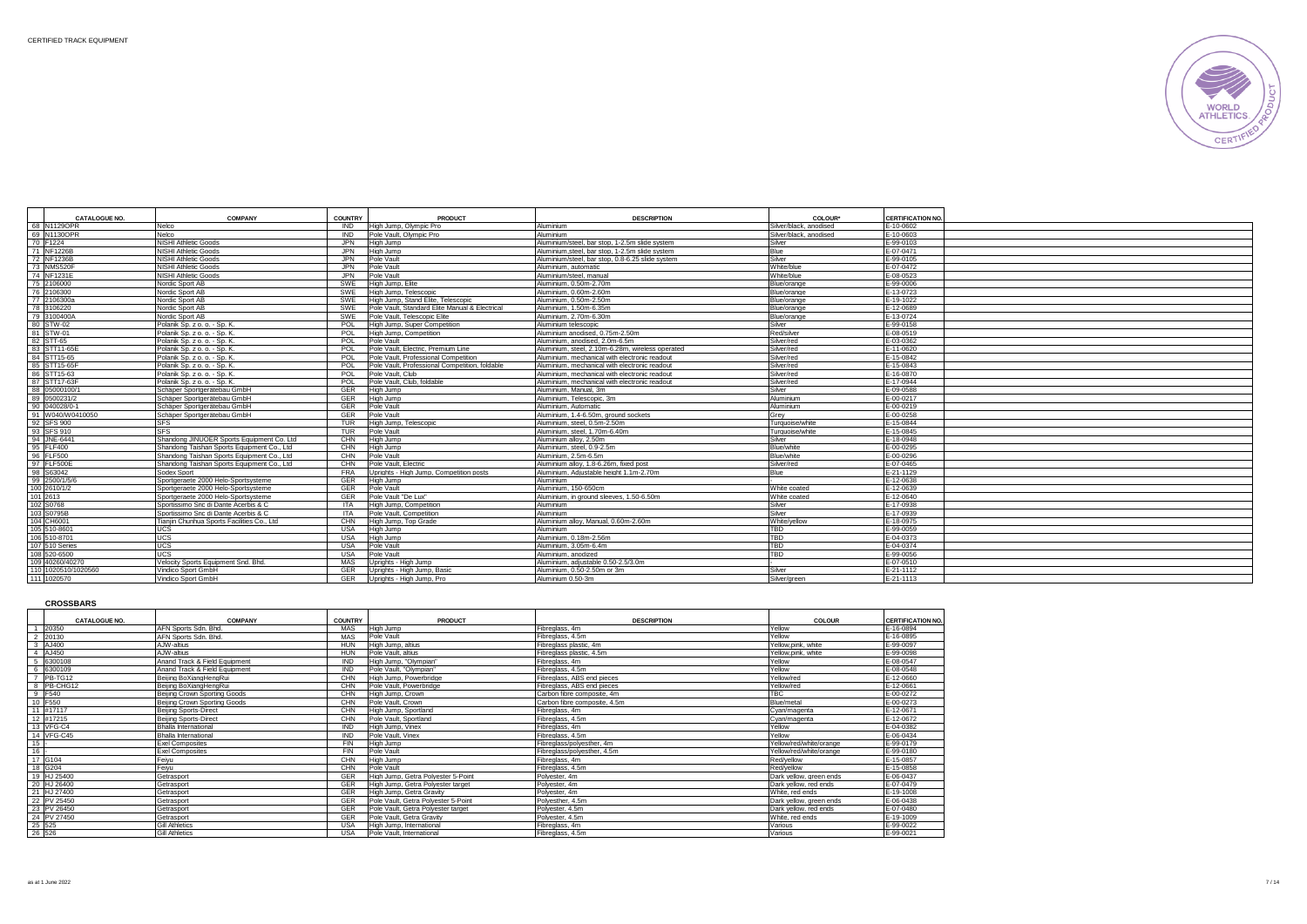

| CATALOGUE NO.       | <b>COMPANY</b>                              | <b>COUNTRY</b> | <b>PRODUCT</b>                                 | <b>DESCRIPTION</b>                               | COLOUR*                | <b>CERTIFICATION NO.</b> |  |
|---------------------|---------------------------------------------|----------------|------------------------------------------------|--------------------------------------------------|------------------------|--------------------------|--|
| 68 N1129OPR         | Nelco                                       | <b>IND</b>     | High Jump, Olympic Pro                         | Aluminium                                        | Silver/black, anodised | E-10-0602                |  |
| 69 N1130OPR         | Nelco                                       | <b>IND</b>     | Pole Vault, Olympic Pro                        | Aluminium                                        | Silver/black, anodised | E-10-0603                |  |
| 70 F1224            | NISHI Athletic Goods                        | <b>JPN</b>     | High Jump                                      | Aluminium/steel, bar stop, 1-2.5m slide system   | Silver                 | E-99-0103                |  |
| 71 NF1226B          | <b>NISHI Athletic Goods</b>                 | <b>JPN</b>     | High Jump                                      | Aluminium steel, bar stop, 1-2.5m slide system   | Blue                   | E-07-0471                |  |
| 72 NF1236B          | NISHI Athletic Goods                        | <b>JPN</b>     | Pole Vault                                     | Aluminium/steel, bar stop, 0.8-6.25 slide system | Silver                 | E-99-0105                |  |
| 73 NMS520F          | NISHI Athletic Goods                        | <b>JPN</b>     | Pole Vault                                     | Aluminium, automatic                             | White/blue             | E-07-0472                |  |
| 74 NF1231E          | NISHI Athletic Goods                        | <b>JPN</b>     | Pole Vault                                     | Aluminium/steel, manual                          | White/blue             | E-08-0523                |  |
| 75 2106000          | Nordic Sport AB                             | SWE            | High Jump, Elite                               | Aluminium, 0.50m-2.70m                           | Blue/orange            | E-99-0006                |  |
| 76 2106300          | Nordic Sport AB                             | SWE            | High Jump, Telescopic                          | Aluminium, 0.60m-2.60m                           | Blue/orange            | E-13-0723                |  |
| 77 2106300a         | Nordic Sport AB                             | SWE            | High Jump, Stand Elite, Telescopic             | Aluminium, 0.50m-2.50m                           | Blue/orange            | E-19-1022                |  |
| 78 3106220          | Nordic Sport AB                             | SWE            | Pole Vault. Standard Elite Manual & Electrical | Aluminium, 1.50m-6.35m                           | Blue/orange            | E-12-0689                |  |
| 79 3100400A         | Nordic Sport AB                             | <b>SWE</b>     | Pole Vault, Telescopic Elite                   | Aluminium, 2.70m-6.30m                           | Blue/orange            | E-13-0724                |  |
| 80 STW-02           | Polanik Sp. z o. o. - Sp. K.                | POL            | High Jump, Super Competition                   | Aluminium telescopic                             | Silver                 | E-99-0158                |  |
| 81 STW-01           | Polanik Sp. z o. o. - Sp. K.                | POL            | High Jump, Competition                         | Aluminium anodised, 0.75m-2.50m                  | Red/silver             | E-08-0519                |  |
| 82 STT-65           | Polanik Sp. z o. o. - Sp. K.                | POL            | Pole Vault                                     | Aluminium, anodised, 2.0m-6.5m                   | Silver/red             | E-03-0362                |  |
| 83 STT11-65E        | Polanik Sp. z o. o. - Sp. K.                | POL            | Pole Vault, Electric, Premium Line             | Aluminium, steel. 2.10m-6.28m, wireless operated | Silver/red             | $-11 - 0620$             |  |
| 84 STT15-65         | Polanik Sp. z o. o. - Sp. K.                | POL            | Pole Vault, Professional Competition           | Aluminium, mechanical with electronic readout    | Silver/red             | E-15-0842                |  |
| 85 STT15-65F        | Polanik Sp. z o. o. - Sp. K.                | POL            | Pole Vault, Professional Competition, foldable | Aluminium, mechanical with electronic readout    | Silver/red             | $-15 - 0843$             |  |
| 86 STT15-63         | Polanik Sp. z o. o. - Sp. K.                | POL            | Pole Vault, Club                               | Aluminium, mechanical with electronic readout    | Silver/red             | $E - 16 - 0870$          |  |
| 87 STT17-63F        | Polanik Sp. z o. o. - Sp. K.                | POL            | Pole Vault, Club, foldable                     | Aluminium, mechanical with electronic readout    | Silver/red             | E-17-0944                |  |
| 88 05000100/1       | Schäper Sportgerätebau GmbH                 | <b>GER</b>     | High Jump                                      | Aluminium, Manual, 3m                            | Silver                 | E-09-0588                |  |
| 89 0500231/2        | Schäper Sportgerätebau GmbH                 | GER            | High Jump                                      | Aluminium, Telescopic, 3m                        | Aluminium              | E-00-0217                |  |
| 90 040028/0-1       | Schäper Sportgerätebau GmbH                 | GER            | Pole Vault                                     | Aluminium, Automatic                             | Aluminium              | E-00-0219                |  |
| 91 W040/W0410050    | Schäper Sportgerätebau GmbH                 | GER            | Pole Vault                                     | Aluminium, 1.4-6.50m, around sockets             | Grev                   | E-00-0258                |  |
| 92 SFS 900          | <b>SFS</b>                                  | <b>TUR</b>     | High Jump, Telescopic                          | Aluminium, steel, 0.5m-2.50m                     | Turguoise/white        | E-15-0844                |  |
| 93 SFS 910          | <b>SFS</b>                                  | <b>TUR</b>     | Pole Vault                                     | Aluminium, steel, 1,70m-6,40m                    | Turguoise/white        | E-15-0845                |  |
| 94 JNE-6441         | Shandong JINUOER Sports Equipment Co. Ltd   | CHN            | High Jump                                      | Aluminium allov. 2.50m                           | Silver                 | E-18-0948                |  |
| 95 FLF400           | Shandong Taishan Sports Equipment Co., Ltd. | CHN            | High Jump                                      | Aluminium, steel, 0.9-2.5m                       | Blue/white             | E-00-0295                |  |
| 96 FLF500           | Shandong Taishan Sports Equipment Co., Ltd  | CHN            | Pole Vault                                     | Aluminium, 2.5m-6.5m                             | Blue/white             | E-00-0296                |  |
| 97 FLF500E          | Shandong Taishan Sports Equipment Co., Ltd  | CHN            | Pole Vault, Electric                           | Aluminium alloy, 1.8-6.26m, fixed post           | Silver/red             | E-07-0465                |  |
| 98 S63042           | Sodex Sport                                 | <b>FRA</b>     | Uprights - High Jump, Competition posts        | Aluminium. Adiustable height 1.1m-2.70m          | Blue                   | E-21-1129                |  |
| 99 2500/1/5/6       | Sportgeraete 2000 Helo-Sportsysteme         | GER            | High Jump                                      | Aluminium                                        |                        | E-12-0638                |  |
| 100 2610/1/2        | Sportgeraete 2000 Helo-Sportsysteme         | GER            | Pole Vault                                     | Aluminium, 150-650cm                             | White coated           | E-12-0639                |  |
| 101 2613            | Sportgeraete 2000 Helo-Sportsysteme         | GER            | Pole Vault "De Lux"                            | Aluminium, in ground sleeves, 1.50-6.50m         | White coated           | E-12-0640                |  |
| 102 S0768           | Sportissimo Snc di Dante Acerbis & C        | ITA.           | High Jump, Competition                         | Aluminium                                        | Silver                 | E-17-0938                |  |
| 103 S0795B          | Sportissimo Snc di Dante Acerbis & C        | <b>ITA</b>     | Pole Vault, Competition                        | Aluminium                                        | Silver                 | E-17-0939                |  |
| 104 CH6001          | Tianiin Chunhua Sports Facilities Co., Ltd  | CHN            | High Jump, Top Grade                           | Aluminium allov. Manual. 0.60m-2.60m             | White/vellow           | E-18-0975                |  |
| 105 510-8601        | <b>UCS</b>                                  | <b>USA</b>     | High Jump                                      | Aluminium                                        | TBD                    | E-99-0059                |  |
| 106 510-8701        | UCS                                         | USA            | High Jump                                      | Aluminium, 0.18m-2.56m                           | <b>TBD</b>             | E-04-0373                |  |
| 107 510 Series      | UCS                                         | USA            | Pole Vault                                     | Aluminium, 3.05m-6.4m                            | TBD                    | $-04 - 0374$             |  |
| 108 520-6500        | UCS                                         | <b>USA</b>     | Pole Vault                                     | Aluminium, anodized                              | <b>TBD</b>             | E-99-0056                |  |
| 109 40260/40270     | Velocity Sports Equipment Snd, Bhd,         | MAS            | Uprights - High Jump                           | Aluminium, adiustable 0.50-2.5/3.0m              |                        | $-07 - 0510$             |  |
| 110 1020510/1020560 | Vindico Sport GmbH                          | GFR            | Uprights - High Jump, Basic                    | Aluminium, 0.50-2.50m or 3m                      | Silver                 | E-21-1112                |  |
| 111 1020570         | Vindico Sport GmbH                          | <b>GER</b>     | Uprights - High Jump, Pro                      | Aluminium 0.50-3m                                | Silver/green           | E-21-1113                |  |

**CROSSBARS**

|               | CATALOGUE NO. | <b>COMPANY</b>                | COUNTRY    | PRODUCT                             | <b>DESCRIPTION</b>           | <b>COLOUR</b>           | <b>CERTIFICATION NO</b> |
|---------------|---------------|-------------------------------|------------|-------------------------------------|------------------------------|-------------------------|-------------------------|
|               |               | AFN Sports Sdn. Bhd           | <b>MAS</b> |                                     |                              | Yellow                  |                         |
|               | 20350         |                               |            | High Jump                           | Fibreglass, 4m               |                         | E-16-0894               |
| $\mathcal{P}$ | 20130         | AFN Sports Sdn. Bhd.          | <b>MAS</b> | Pole Vault                          | Fibreglass, 4.5m             | Yellow                  | E-16-0895               |
|               | 3 AJ400       | AJW-altius                    | <b>HUN</b> | High Jump, altius                   | Fibreglass plastic, 4m       | Yellow.pink, white      | E-99-0097               |
|               | AJ450         | AJW-altius                    | <b>HUN</b> | Pole Vault, altius                  | Fibreglass plastic, 4.5m     | Yellow.pink, white      | E-99-0098               |
|               | 6300108       | Anand Track & Field Equipment | <b>IND</b> | High Jump, "Olympian"               | Fibreglass, 4m               | Yellow                  | E-08-0547               |
|               | 6300109       | Anand Track & Field Equipment | <b>IND</b> | Pole Vault, "Olympian"              | Fibreglass, 4.5m             | Yellow                  | E-08-0548               |
|               | PB-TG12       | Beiling BoXiangHengRui        | CHN        | High Jump, Powerbridge              | Fibrealass, ABS end pieces   | Yellow/red              | F-12-0660               |
| 8             | PB-CHG12      | Beiling BoXiangHengRui        | CHN        | Pole Vault, Powerbridge             | Fibreglass, ABS end pieces   | Yellow/red              | E-12-0661               |
| 9             | F540          | Beiling Crown Sporting Goods  | CHN        | High Jump, Crown                    | Carbon fibre composite, 4m   | <b>TBC</b>              | E-00-0272               |
| 10            | <b>F550</b>   | Beijing Crown Sporting Goods  | CHN        | Pole Vault, Crown                   | Carbon fibre composite, 4.5m | Blue/metal              | E-00-0273               |
| 11            | #17117        | Beiling Sports-Direct         | CHN        | High Jump, Sportland                | Fibreglass, 4m               | Cvan/magenta            | E-12-0671               |
|               | 12 #17215     | <b>Beijing Sports-Direct</b>  | CHN        | Pole Vault, Sportland               | Fibrealass, 4.5m             | Cyan/magenta            | E-12-0672               |
|               | 13 VFG-C4     | <b>Bhalla International</b>   | <b>IND</b> | High Jump, Vinex                    | Fibreglass, 4m               | Yellow                  | E-04-0382               |
|               | 14 VFG-C45    | <b>Bhalla International</b>   | <b>IND</b> | Pole Vault, Vinex                   | Fibreglass, 4.5m             | Yellow                  | E-06-0434               |
| 15            |               | <b>Exel Composites</b>        | <b>FIN</b> | High Jump                           | Fibreglass/polvesther, 4m    | Yellow/red/white/orange | E-99-0179               |
| 16            |               | <b>Exel Composites</b>        | <b>FIN</b> | Pole Vault                          | Fibreglass/polyesther, 4.5m  | Yellow/red/white/orange | E-99-0180               |
| 17            | G104          | Feiyu                         | CHN        | High Jump                           | Fibreglass, 4m               | Red/vellow              | E-15-0857               |
|               | 18 G204       | Feiyu                         | CHN        | Pole Vault                          | Fibreglass, 4.5m             | Red/vellow              | E-15-0858               |
|               | 19 HJ 25400   | Getrasport                    | <b>GER</b> | High Jump, Getra Polvester 5-Point  | Polyester, 4m                | Dark vellow, green ends | E-06-0437               |
|               | 20 HJ 26400   | Getrasport                    | <b>GER</b> | High Jump, Getra Polvester target   | Polvester, 4m                | Dark vellow, red ends   | E-07-0479               |
|               | 21 HJ 27400   | Getrasport                    | <b>GER</b> | High Jump, Getra Gravity            | Polvester, 4m                | White, red ends         | E-19-1008               |
|               | 22 PV 25450   | Getrasport                    | <b>GER</b> | Pole Vault, Getra Polvester 5-Point | Polvesther, 4.5m             | Dark vellow, green ends | E-06-0438               |
|               | 23 PV 26450   | Getrasport                    | <b>GER</b> | Pole Vault, Getra Polvester target  | Polvester, 4.5m              | Dark vellow, red ends   | E-07-0480               |
|               | 24 PV 27450   | Getrasport                    | <b>GER</b> | Pole Vault, Getra Gravity           | Polvester, 4.5m              | White, red ends         | E-19-1009               |
|               | 25 525        | <b>Gill Athletics</b>         | <b>USA</b> | High Jump, International            | Fibreglass, 4m               | Various                 | E-99-0022               |
|               | 26 526        | <b>Gill Athletics</b>         | <b>USA</b> | Pole Vault, International           | Fibreglass, 4.5m             | Various                 | E-99-0021               |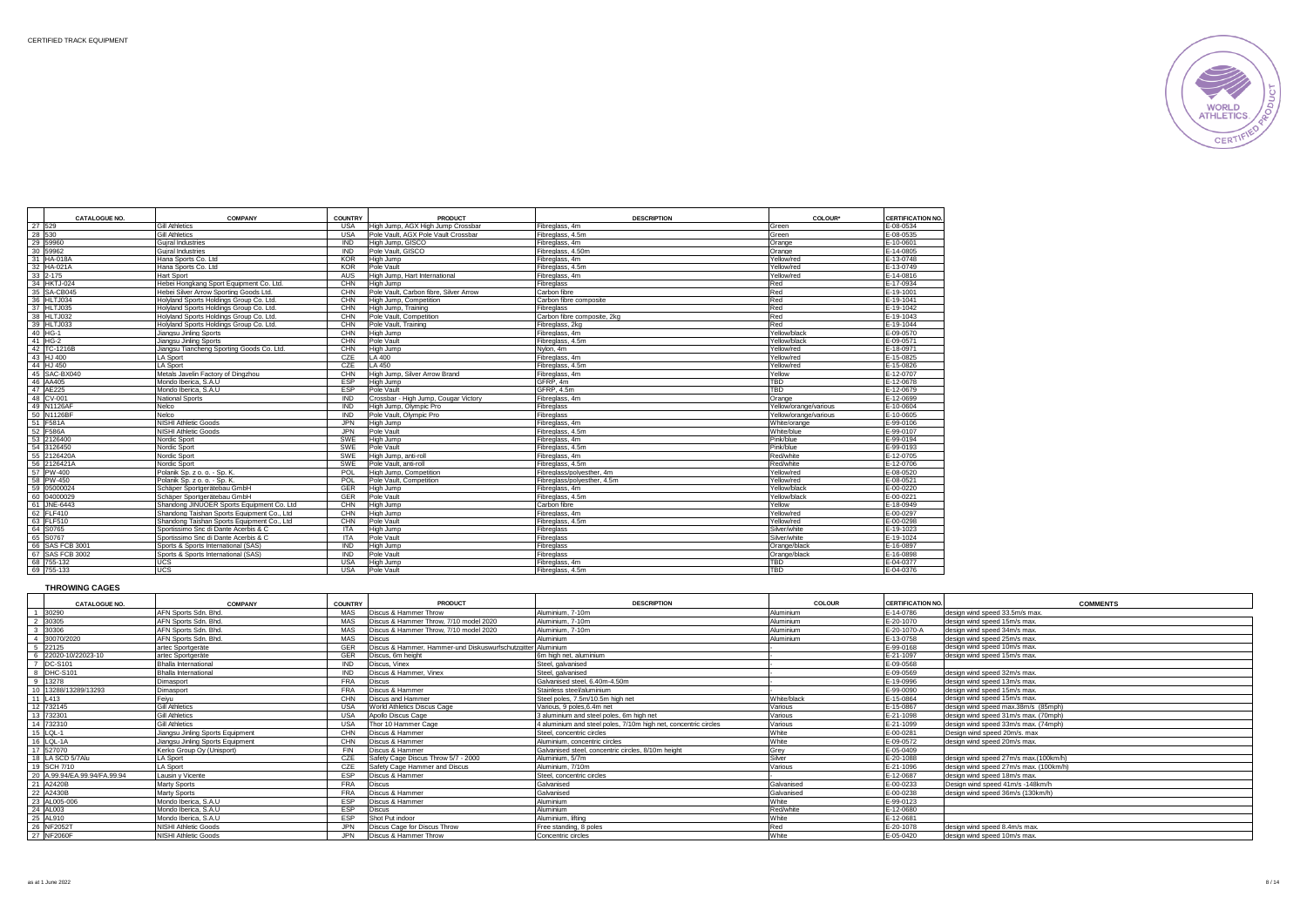

|        | <b>CATALOGUE NO.</b> | <b>COMPANY</b>                              | <b>COUNTRY</b> | <b>PRODUCT</b>                         | <b>DESCRIPTION</b>          | <b>COLOUR</b> *       | <b>CERTIFICATION NO.</b> |
|--------|----------------------|---------------------------------------------|----------------|----------------------------------------|-----------------------------|-----------------------|--------------------------|
| 27 529 |                      | <b>Gill Athletics</b>                       | <b>USA</b>     | High Jump, AGX High Jump Crossbar      | Fibreglass, 4m              | Green                 | E-08-0534                |
|        | 28 530               | <b>Gill Athletics</b>                       | <b>USA</b>     | Pole Vault, AGX Pole Vault Crossbar    | Fibreglass, 4.5m            | Green                 | E-08-0535                |
|        | 29 59960             | Guiral Industries                           | <b>IND</b>     | High Jump, GISCO                       | Fibreglass, 4m              | Orange                | E-10-0601                |
|        | 30 59962             | <b>Guiral Industries</b>                    | <b>IND</b>     | Pole Vault, GISCO                      | Fibreglass, 4,50m           | Orange                | F-14-0805                |
|        | 31 HA-018A           | Hana Sports Co. Ltd                         | <b>KOR</b>     | High Jump                              | Fibreglass, 4m              | Yellow/red            | E-13-0748                |
|        | 32 HA-021A           | Hana Sports Co. Ltd                         | <b>KOR</b>     | Pole Vault                             | Fibreglass, 4.5m            | Yellow/red            | E-13-0749                |
|        | 33 2-175             | <b>Hart Sport</b>                           | <b>AUS</b>     | High Jump, Hart International          | Fibreglass, 4m              | Yellow/red            | E-14-0816                |
|        | 34 HKTJ-024          | Hebei Hongkang Sport Equipment Co. Ltd.     | CHN            | High Jump                              | Fibreglass                  | Red                   | E-17-0934                |
|        | 35 SA-CB045          | Hebei Silver Arrow Sporting Goods Ltd.      | CHN            | Pole Vault, Carbon fibre, Silver Arrow | Carbon fibre                | Red                   | E-19-1001                |
|        | 36 HLTJ034           | Holvland Sports Holdings Group Co. Ltd.     | CHN            | High Jump, Competition                 | Carbon fibre composite      | Red                   | E-19-1041                |
|        | 37 HLTJ035           | Holyland Sports Holdings Group Co. Ltd.     | CHN            | High Jump, Training                    | Fibreglass                  | Red                   | E-19-1042                |
|        | 38 HLTJ032           | Holyland Sports Holdings Group Co. Ltd.     | CHN            | Pole Vault, Competition                | Carbon fibre composite, 2kg | Red                   | E-19-1043                |
|        | 39 HLTJ033           | Holvland Sports Holdings Group Co. Ltd.     | CHN            | Pole Vault, Training                   | Fibreglass, 2kg             | Red                   | $F-19-1044$              |
|        | 40 HG-1              | Jiangsu Jinling Sports                      | CHN            | High Jump                              | Fibreglass, 4m              | Yellow/black          | E-09-0570                |
|        | 41 HG-2              | Jiangsu Jinling Sports                      | CHN            | Pole Vault                             | Fibreglass, 4.5m            | Yellow/black          | E-09-0571                |
|        | 42 TC-1216B          | Jiangsu Tiancheng Sporting Goods Co. Ltd.   | CHN            | High Jump                              | Nylon, 4m                   | Yellow/red            | E-18-0971                |
|        | 43 HJ 400            | <b>LA Sport</b>                             | CZE            | LA 400                                 | Fibreglass, 4m              | Yellow/red            | E-15-0825                |
|        | 44 HJ 450            | <b>LA Sport</b>                             | CZE            | I A 450                                | Fibreglass, 4.5m            | Yellow/red            | E-15-0826                |
|        | 45 SAC-BX040         | Metals Javelin Factory of Dingzhou          | CHN            | High Jump, Silver Arrow Brand          | Fibreglass, 4m              | Yellow                | E-12-0707                |
|        | 46 AA405             | Mondo Iberica, S.A.U                        | <b>ESP</b>     | High Jump                              | GFRP. 4m                    | <b>TBD</b>            | E-12-0678                |
|        | 47 AE225             | Mondo Iberica, S.A.U                        | ESP            | Pole Vault                             | GFRP. 4.5m                  | <b>TBD</b>            | E-12-0679                |
|        | 48 CV-001            | <b>National Sports</b>                      | <b>IND</b>     | Crossbar - High Jump, Cougar Victory   | Fibreglass, 4m              | Orange                | E-12-0699                |
|        | 49 N1126AF           | Nelco                                       | <b>IND</b>     | High Jump, Olympic Pro                 | Fibreglass                  | Yellow/orange/various | E-10-0604                |
|        | 50 N1126BF           | Nelco                                       | <b>IND</b>     | Pole Vault, Olympic Pro                | Fibreglass                  | Yellow/orange/various | E-10-0605                |
|        | 51 F581A             | NISHI Athletic Goods                        | <b>JPN</b>     | High Jump                              | Fibreglass, 4m              | White/orange          | E-99-0106                |
|        | 52 F586A             | <b>NISHI Athletic Goods</b>                 | <b>JPN</b>     | Pole Vault                             | Fibreglass, 4.5m            | White/blue            | E-99-0107                |
|        | 53 2126400           | Nordic Sport                                | SWE            | High Jump                              | Fibreglass, 4m              | Pink/blue             | E-99-0194                |
|        | 54 3126450           | Nordic Sport                                | SWE            | Pole Vault                             | Fibreglass, 4.5m            | Pink/blue             | E-99-0193                |
|        | 55 2126420A          | Nordic Sport                                | SWE            | High Jump, anti-roll                   | Fibreglass, 4m              | Red/white             | E-12-0705                |
|        | 56 2126421A          | Nordic Sport                                | SWE            | Pole Vault, anti-roll                  | Fibreglass, 4.5m            | Red/white             | E-12-0706                |
|        | 57 PW-400            | Polanik Sp. z o. o. - Sp. K.                | POL            | High Jump, Competition                 | Fibreglass/polvesther, 4m   | Yellow/red            | E-08-0520                |
|        | 58 PW-450            | Polanik Sp. z o. o. - Sp. K.                | POL            | Pole Vault. Competition                | Fibreglass/polvesther, 4.5m | Yellow/red            | E-08-0521                |
|        | 59 05000024          | Schäper Sportgerätebau GmbH                 | GER            | High Jump                              | Fibreglass, 4m              | Yellow/black          | E-00-0220                |
|        | 60 04000029          | Schäper Sportgerätebau GmbH                 | GER            | Pole Vault                             | Fibreglass, 4.5m            | Yellow/black          | E-00-0221                |
|        | 61 JNE-6443          | Shandong JINUOER Sports Equipment Co. Ltd   | CHN            | <b>High Jump</b>                       | Carbon fibre                | Yellow                | E-18-0949                |
|        | 62 FLF410            | Shandong Taishan Sports Equipment Co., Ltd. | CHN            | High Jump                              | Fibreglass, 4m              | Yellow/red            | E-00-0297                |
|        | 63 FLF510            | Shandong Taishan Sports Equipment Co., Ltd. | CHN            | Pole Vault                             | Fibreglass, 4.5m            | Yellow/red            | E-00-0298                |
|        | 64 S0765             | Sportissimo Snc di Dante Acerbis & C        | <b>ITA</b>     | High Jump                              | Fibrealass                  | Silver/white          | E-19-1023                |
|        | 65 S0767             | Sportissimo Snc di Dante Acerbis & C        | <b>ITA</b>     | Pole Vault                             | Fibreglass                  | Silver/white          | $E - 19 - 1024$          |
|        | 66 SAS FCB 3001      | Sports & Sports International (SAS)         | <b>IND</b>     | High Jump                              | Fibrealass                  | Orange/black          | E-16-0897                |
|        | 67 SAS FCB 3002      | Sports & Sports International (SAS)         | <b>IND</b>     | Pole Vault                             | Fibrealass                  | Orange/black          | F-16-0898                |
|        | 68 755-132           | <b>UCS</b>                                  | <b>USA</b>     | High Jump                              | Fibreglass, 4m              | <b>TBD</b>            | E-04-0377                |
|        | 69 755-133           | <b>UCS</b>                                  | <b>USA</b>     | Pole Vault                             | Fibrealass, 4.5m            | <b>TRD</b>            | E-04-0376                |

### **THROWING CAGES**

| <b>CATALOGUE NO.</b>         | COMPANY                          | <b>COUNTRY</b> | PRODUCT                                                      | <b>DESCRIPTION</b>                                              | <b>COLOUR</b> | <b>CERTIFICATION NO.</b> | <b>COMMENTS</b>                        |
|------------------------------|----------------------------------|----------------|--------------------------------------------------------------|-----------------------------------------------------------------|---------------|--------------------------|----------------------------------------|
| 1 30290                      | AFN Sports Sdn. Bhd.             | MAS            | Discus & Hammer Throw                                        | Aluminium. 7-10m                                                | Aluminium     | E-14-0786                | design wind speed 33.5m/s max.         |
| 2 30305                      | AFN Sports Sdn, Bhd.             | MAS            | Discus & Hammer Throw, 7/10 model 2020                       | Aluminium. 7-10m                                                | Aluminium     | F-20-1070                | design wind speed 15m/s max.           |
| 3 30306                      | AFN Sports Sdn. Bhd.             | MAS            | Discus & Hammer Throw, 7/10 model 2020                       | Aluminium, 7-10m                                                | Aluminium     | E-20-1070-A              | design wind speed 34m/s max            |
| 4 30070/2020                 | AFN Sports Sdn. Bhd.             | MAS            | <b>Discus</b>                                                | Aluminium                                                       | Aluminium     | E-13-0758                | design wind speed 25m/s max.           |
| 5 22125                      | artec Sportgeräte                |                | Discus & Hammer, Hammer-und Diskuswurfschutzgitter Aluminium |                                                                 |               | E-99-0168                | design wind speed 10m/s max.           |
| 6 22020-10/22023-10          | artec Sportgeräte                | <b>GER</b>     | Discus, 6m height                                            | 6m high net, aluminium                                          |               | E-21-1097                | design wind speed 15m/s max.           |
| 7 DC-S101                    | Bhalla International             | <b>IND</b>     | Discus, Vinex                                                | Steel, galvanised                                               |               | E-09-0568                |                                        |
| 8 DHC-S101                   | Bhalla International             | <b>IND</b>     | Discus & Hammer, Vinex                                       | Steel, galvanised                                               |               | E-09-0569                | design wind speed 32m/s max.           |
| 9 13278                      | Dimasport                        | <b>FRA</b>     | <b>Discus</b>                                                | Galvanised steel, 6.40m-4.50m                                   |               | $-19 - 0996$             | design wind speed 13m/s max.           |
| 10 13288/13289/13293         | Dimasport                        | <b>FRA</b>     | Discus & Hammer                                              | Stainless steel/aluminium                                       |               | E-99-0090                | design wind speed 15m/s max.           |
| 11 L413                      | Feiyu                            | CHN            | Discus and Hammer                                            | Steel poles, 7,5m/10,5m high net                                | White/black   | E-15-0864                | design wind speed 15m/s max            |
| 12 732145                    | <b>Gill Athletics</b>            | USA            | World Athletics Discus Cage                                  | Various, 9 poles, 6,4m net                                      | Various       | $-15 - 0867$             | design wind speed max.38m/s (85mph)    |
| 13 732301                    | <b>Gill Athletics</b>            | <b>USA</b>     | Apollo Discus Cage                                           | 3 aluminium and steel poles, 6m high net                        | Various       | E-21-1098                | design wind speed 31m/s max. (70mph)   |
| 14 732310                    | <b>Gill Athletics</b>            | USA            | Thor 10 Hammer Cage                                          | 4 aluminium and steel poles, 7/10m high net, concentric circles | Various       | $-21 - 1099$             | design wind speed 33m/s max. (74mph)   |
| 15 LQL-1                     | Jiangsu Jinling Sports Equipment | <b>CHN</b>     | Discus & Hammer                                              | Steel, concentric circles                                       | White         | E-00-0281                | Design wind speed 20m/s. max           |
| 16 LQL-1A                    | Jiangsu Jinling Sports Equipment | CHN            | Discus & Hammer                                              | Aluminium, concentric circles                                   | White         | E-09-0572                | design wind speed 20m/s max.           |
| 17 527070                    | Kerko Group Oy (Unisport)        | <b>FIN</b>     | Discus & Hammer                                              | Galvanised steel, concentric circles, 8/10m height              | Grev          | E-05-0409                |                                        |
| 18 LA SCD 5/7Alu             | <b>LA Sport</b>                  |                | Safety Cage Discus Throw 5/7 - 2000                          | Aluminium, 5/7m                                                 | Silver        | E-20-1088                | design wind speed 27m/s max.(100km/h)  |
| 19 SCH 7/10                  | <b>LA Sport</b>                  | CZE            | Safety Cage Hammer and Discus                                | Aluminium, 7/10m                                                | Various       | E-21-1096                | design wind speed 27m/s max. (100km/h) |
| 20 A.99.94/EA.99.94/FA.99.94 | Lausin v Vicente                 | <b>FSP</b>     | Discus & Hammer                                              | Steel, concentric circles                                       |               | F-12-0687                | design wind speed 18m/s max.           |
| 21 A2420B                    | Marty Sports                     | <b>FRA</b>     | <b>Discus</b>                                                | Galvanised                                                      | Galvanised    | E-00-0233                | Design wind speed 41m/s -148km/h       |
| 22 A2430B                    | <b>Marty Sports</b>              | <b>FRA</b>     | Discus & Hammer                                              | Galvanised                                                      | Galvanised    | E-00-0238                | design wind speed 36m/s (130km/h)      |
| 23 AL005-006                 | Mondo Iberica, S.A.U             | <b>FSP</b>     | Discus & Hammer                                              | Aluminium                                                       | White         | E-99-0123                |                                        |
| 24 AL003                     | Mondo Iberica, S.A.U             | <b>ESP</b>     | <b>Discus</b>                                                | Aluminium                                                       | Red/white     | E-12-0680                |                                        |
| 25 AL910                     | Mondo Iberica, S.A.U             | <b>FSP</b>     | Shot Put indoor                                              | Aluminium, lifting                                              | White         | E-12-0681                |                                        |
| 26 NF2052T                   | <b>NISHI Athletic Goods</b>      |                | Discus Cage for Discus Throw                                 | Free standing, 8 poles                                          | Red           | E-20-1078                | design wind speed 8.4m/s max.          |
| 27 NF2060F                   | NISHI Athletic Goods             | .JPN           | Discus & Hammer Throw                                        | Concentric circles                                              | White         | E-05-0420                | design wind speed 10m/s max.           |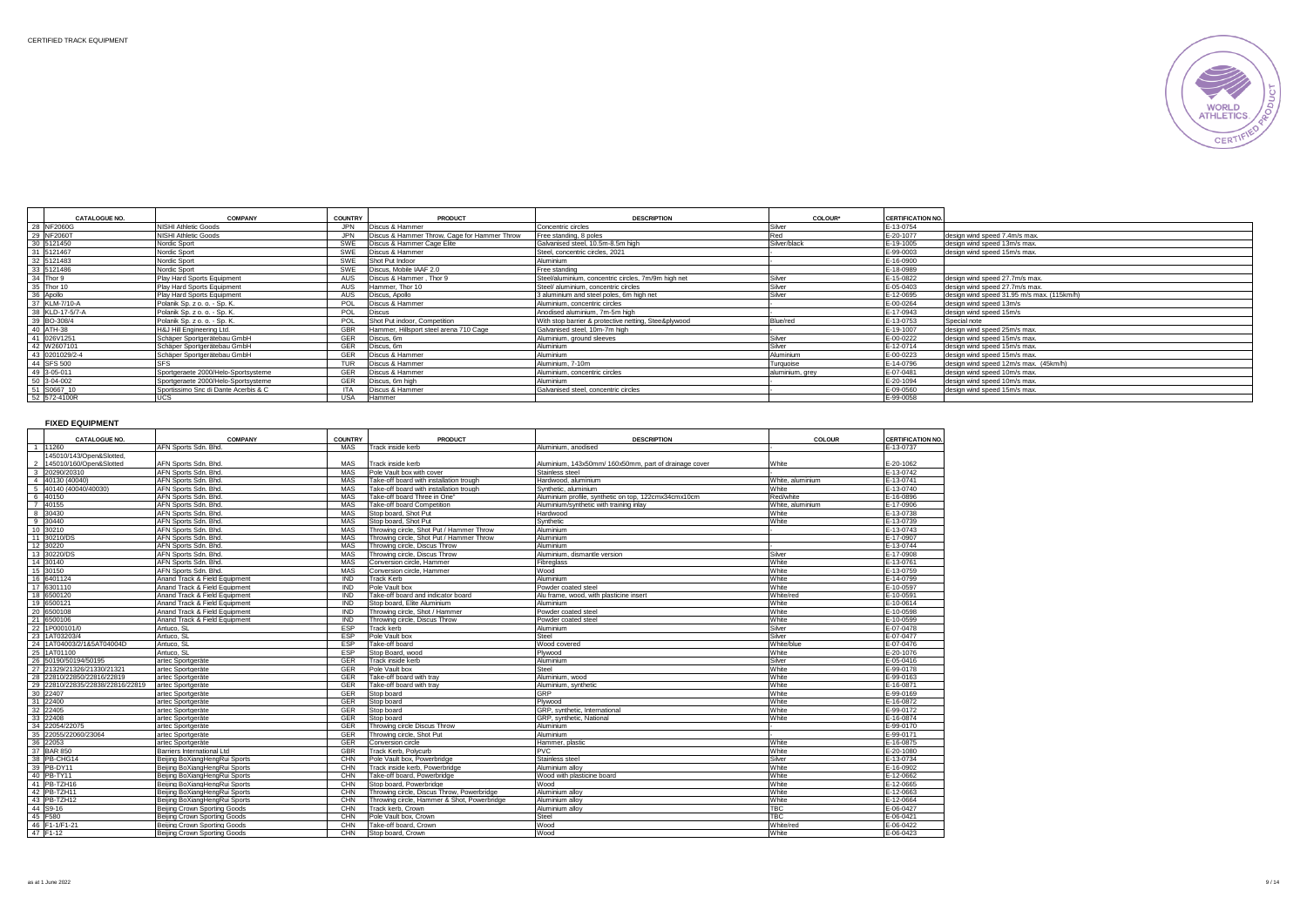

| <b>CATALOGUE NO.</b> | <b>COMPANY</b>                        | <b>COUNTRY</b> | PRODUCT                                      | <b>DESCRIPTION</b>                                   | COLOUR*         | <b>CERTIFICATION NO.</b>                                |
|----------------------|---------------------------------------|----------------|----------------------------------------------|------------------------------------------------------|-----------------|---------------------------------------------------------|
| 28 NF2060G           | NISHI Athletic Goods                  | <b>JPN</b>     | Discus & Hammer                              | Concentric circles                                   | Silver          | E-13-0754                                               |
| 29 NF2060T           | NISHI Athletic Goods                  | JPN.           | Discus & Hammer Throw. Cage for Hammer Throw | Free standing, 8 poles                               | Red             | E-20-1077<br>design wind speed 7.4m/s max.              |
| 30 5121450           | Nordic Sport                          | SWE            | Discus & Hammer Cage Elite                   | Galvanised steel, 10.5m-8.5m high                    | Silver/black    | E-19-1005<br>design wind speed 13m/s max.               |
| 31 5121467           | Nordic Sport                          | SWE            | Discus & Hammer                              | Steel, concentric circles, 2021                      |                 | E-99-0003<br>design wind speed 15m/s max.               |
| 32 5121483           | Nordic Sport                          | SWE            | Shot Put Indoor                              | Aluminium                                            |                 | E-16-0900                                               |
| 33 5121486           | Nordic Sport                          | SWE            | Discus, Mobile IAAF 2.0                      | Free standing                                        |                 | E-18-0989                                               |
| 34 Thor 9            | Play Hard Sports Equipment            | AUS            | Discus & Hammer, Thor 9                      | Steel/aluminium, concentric circles, 7m/9m high net  | Silver          | design wind speed 27.7m/s max.<br>E-15-0822             |
| 35 Thor 10           | Play Hard Sports Equipment            | AUS            | Hammer, Thor 10                              | Steel/ aluminium, concentric circles                 | Silver          | E-05-0403<br>design wind speed 27.7m/s max.             |
| 36 Apollo            | Play Hard Sports Equipment            | AUS            | Discus, Apollo                               | 3 aluminium and steel poles, 6m high net             | Silver          | E-12-0695<br>design wind speed 31.95 m/s max. (115km/h) |
| 37 KLM-7/10-A        | Polanik Sp. z o. o. - Sp. K.          | <b>POL</b>     | Discus & Hammer                              | Aluminium, concentric circles                        |                 | E-00-0264<br>design wind speed 13m/s                    |
| 38 KLD-17-5/7-A      | Polanik Sp. z o. o. - Sp. K.          | POL            | <b>Discus</b>                                | Anodised aluminium, 7m-5m high                       |                 | E-17-0943<br>design wind speed 15m/s                    |
| 39 BO-308/4          | Polanik Sp. z o. o. - Sp. K.          | POL            | Shot Put indoor, Competition                 | With stop barrier & protective netting, Stee&plywood | Blue/red        | E-13-0753<br>Special note                               |
| 40 ATH-38            | <b>IH&amp;J Hill Engineering Ltd.</b> | GBR            | Hammer, Hillsport steel arena 710 Cage       | Galvanised steel, 10m-7m high                        |                 | E-19-1007<br>design wind speed 25m/s max.               |
| 41 026V1251          | Schäper Sportgerätebau GmbH           | GER            | Discus, 6m                                   | Aluminium, ground sleeves                            | Silver          | E-00-0222<br>design wind speed 15m/s max.               |
| 42 W2607101          | Schäper Sportgerätebau GmbH           | GER            | Discus, 6m                                   | Aluminium                                            | Silver          | E-12-0714<br>design wind speed 15m/s max.               |
| 43 0201029/2-4       | Schäper Sportgerätebau GmbH           | GER            | Discus & Hammer                              | Aluminium                                            | Aluminium       | E-00-0223<br>design wind speed 15m/s max.               |
| 44 SFS 500           |                                       | <b>TUR</b>     | Discus & Hammer                              | Aluminium, 7-10m                                     | Turquoise       | E-14-0796<br>design wind speed 12m/s max. (45km/h)      |
| 49 3-05-011          | Sportgeraete 2000/Helo-Sportsysteme   | GER            | Discus & Hammer                              | Aluminium, concentric circles                        | aluminium, grey | E-07-0481<br>design wind speed 10m/s max.               |
| 50 3-04-002          | Sportgeraete 2000/Helo-Sportsysteme   | GER            | Discus, 6m high                              | Aluminium                                            |                 | E-20-1094<br>design wind speed 10m/s max.               |
| 51 S0667_10          | Sportissimo Snc di Dante Acerbis & C  | <b>ITA</b>     | Discus & Hammer                              | Galvanised steel, concentric circles                 |                 | E-09-0560<br>design wind speed 15m/s max.               |
| 52 572-4100R         | UCS                                   | <b>USA</b>     | Hammer                                       |                                                      |                 | E-99-0058                                               |

**FIXED EQUIPMENT**

| <b>CATALOGUE NO.</b>                     | <b>COMPANY</b>                | <b>COUNTRY</b> | <b>PRODUCT</b>                              | <b>DESCRIPTION</b>                                    | <b>COLOUR</b>    | <b>CERTIFICATION NO.</b> |
|------------------------------------------|-------------------------------|----------------|---------------------------------------------|-------------------------------------------------------|------------------|--------------------------|
| 11260                                    | AFN Sports Sdn, Bhd           | MAS            | Track inside kerb                           | Aluminium, anodised                                   |                  | F-13-0737                |
| 145010/143/Open&Slotted,                 |                               |                |                                             |                                                       |                  |                          |
| 145010/160/Open&Slotted<br>$\mathcal{P}$ | AFN Sports Sdn, Bhd.          | <b>MAS</b>     | Track inside kerb                           | Aluminium, 143x50mm/ 160x50mm, part of drainage cover | White            | E-20-1062                |
| 20290/20310<br>3                         | AFN Sports Sdn, Bhd           | <b>MAS</b>     | Pole Vault box with cover                   | Stainless steel                                       |                  | E-13-0742                |
| 4 40130 (40040)                          | AFN Sports Sdn. Bhd.          | MAS            | Take-off board with installation trough     | Hardwood, aluminium                                   | White, aluminium | E-13-0741                |
| 40140 (40040/40030)<br>5                 | AFN Sports Sdn. Bhd           | MAS            | Take-off board with installation trough     | Synthetic, aluminium                                  | White            | E-13-0740                |
| 6 40150                                  | AFN Sports Sdn. Bhd           | MAS            | Take-off board Three in One"                | Aluminium profile, synthetic on top, 122cmx34cmx10cm  | Red/white        | E-16-0896                |
| 7 40155                                  | AFN Sports Sdn. Bhd           | <b>MAS</b>     | Take-off board Competition                  | Aluminium/synthetic with training inlay               | White, aluminium | E-17-0906                |
| 8 30430                                  | AFN Sports Sdn. Bhd.          | <b>MAS</b>     | Stop board, Shot Put                        | Hardwood                                              | White            | E-13-0738                |
| 30440<br>9                               | AFN Sports Sdn. Bhd           | MAS            | Stop board, Shot Put                        | Synthetic                                             | White            | E-13-0739                |
| 10 30210                                 | AFN Sports Sdn. Bhd.          | MAS            | Throwing circle, Shot Put / Hammer Throw    | Aluminium                                             |                  | E-13-0743                |
| 11 30210/DS                              | AFN Sports Sdn. Bhd           | MAS            | Throwing circle, Shot Put / Hammer Throw    | Aluminium                                             |                  | E-17-0907                |
| 12 30220                                 | AFN Sports Sdn. Bhd           | MAS            | Throwing circle, Discus Throw               | Aluminium                                             |                  | E-13-0744                |
| 13 30220/DS                              | AFN Sports Sdn. Bhd.          | MAS            | Throwing circle, Discus Throw               | Aluminium, dismantle version                          | Silver           | E-17-0908                |
| 14 30140                                 | AFN Sports Sdn. Bhd.          | MAS            | Conversion circle, Hammer                   | Fibrealass                                            | White            | E-13-0761                |
| 15 30150                                 | AFN Sports Sdn, Bhd.          | <b>MAS</b>     | Conversion circle, Hammer                   | Wood                                                  | White            | E-13-0759                |
| 16 6401124                               | Anand Track & Field Equipment | IND            | <b>Track Kerb</b>                           | Aluminium                                             | White            | E-14-0799                |
| 17 6301110                               | Anand Track & Field Equipment | <b>IND</b>     | Pole Vault box                              | Powder coated steel                                   | White            | E-10-0597                |
| 18 6500120                               | Anand Track & Field Equipment | <b>IND</b>     | Take-off board and indicator board          | Alu frame, wood, with plasticine insert               | White/red        | E-10-0591                |
| 19 6500121                               | Anand Track & Field Equipment | <b>IND</b>     | Stop board, Elite Aluminium                 | Aluminium                                             | White            | E-10-0614                |
| 20 6500108                               | Anand Track & Field Equipment | <b>IND</b>     | Throwing circle, Shot / Hammer              | Powder coated steel                                   | White            | E-10-0598                |
| 21 6500106                               | Anand Track & Field Equipment | <b>IND</b>     | Throwing circle, Discus Throw               | Powder coated steel                                   | White            | E-10-0599                |
| 22 1P000101/0                            | Antuco, SL                    | ESP            | Track kerb                                  | Aluminium                                             | Silver           | E-07-0478                |
| 23 1AT03203/4                            | Antuco, SL                    | ESP            | Pole Vault box                              | Steel                                                 | Silver           | E-07-0477                |
| 24 1AT04003/2/1&5AT04004D                | Antuco, SL                    | ESP            | Take-off board                              | Wood covered                                          | White/blue       | E-07-0476                |
| 25 1AT01100                              | Antuco, SL                    | <b>ESP</b>     | Stop Board, wood                            | Plywood                                               | White            | E-20-1076                |
| 26 50190/50194/50195                     | artec Sportgeräte             | GER            | Track inside kerb                           | Aluminium                                             | Silver           | E-05-0416                |
| 27 21329/21326/21330/21321               | artec Sportgeräte             | GER            | Pole Vault box                              | Steel                                                 | White            | E-99-0178                |
| 28 22810/22850/22816/22819               | artec Sportgeräte             | <b>GER</b>     | Take-off board with trav                    | Aluminium, wood                                       | White            | E-99-0163                |
| 29 22810/22835/22838/22816/22819         | artec Sportgeräte             | <b>GER</b>     | Take-off board with trav                    | Aluminium, synthetic                                  | White            | E-16-0871                |
| 30 22407                                 | artec Sportgeräte             | <b>GER</b>     | Stop board                                  | GRP                                                   | White            | E-99-0169                |
| 31 22400                                 | artec Sportgeräte             | <b>GER</b>     | Stop board                                  | Plywood                                               | White            | E-16-0872                |
| 32 22405                                 | artec Sportgeräte             | <b>GER</b>     | Stop board                                  | GRP, synthetic, International                         | White            | E-99-0172                |
| 33 22408                                 | artec Sportgeräte             | <b>GER</b>     | Stop board                                  | GRP, svnthetic, National                              | White            | E-16-0874                |
| 34 22054/22075                           | artec Sportgeräte             | <b>GER</b>     | Throwing circle Discus Throw                | Aluminium                                             |                  | E-99-0170                |
| 35 22055/22060/23064                     | artec Sportgeräte             | <b>GER</b>     | Throwing circle, Shot Put                   | Aluminium                                             |                  | E-99-0171                |
| 36 22053                                 | artec Sportgeräte             | <b>GER</b>     | Conversion circle                           | Hammer, plastic                                       | White            | E-16-0875                |
| 37 BAR 850                               | Barriers International Ltd    | <b>GBR</b>     | Track Kerb, Polycurb                        | PVC.                                                  | White            | E-20-1080                |
| 38 PB-CHG14                              | Beijing BoXiangHengRui Sports | CHN            | Pole Vault box, Powerbridge                 | Stainless steel                                       | Silver           | E-13-0734                |
| 39 PB-DY11                               | Beiling BoXiangHengRui Sports | CHN            | Track inside kerb. Powerbridge              | Aluminium allov                                       | White            | E-16-0902                |
| 40 PB-TY11                               | Beijing BoXiangHengRui Sports | CHN            | Take-off board, Powerbridge                 | Wood with plasticine board                            | White            | E-12-0662                |
| 41 PB-TZH16                              | Beiling BoXiangHengRui Sports | CHN            | Stop board, Powerbridge                     | Wood                                                  | White            | E-12-0665                |
| 42 PB-TZH11                              | Beijing BoXiangHengRui Sports | CHN            | Throwing circle, Discus Throw, Powerbridge  | Aluminium alloy                                       | White            | E-12-0663                |
| 43 PB-TZH12                              | Beiling BoXiangHengRui Sports | CHN            | Throwing circle, Hammer & Shot, Powerbridge | Aluminium allov                                       | White            | E-12-0664                |
| 44 S9-16                                 | Beiling Crown Sporting Goods  | CHN            | Track kerb, Crown                           | Aluminium allov                                       | <b>TBC</b>       | E-06-0427                |
| 45 F580                                  | Beijing Crown Sporting Goods  | CHN            | Pole Vault box. Crown                       | Steel                                                 | <b>TBC</b>       | E-06-0421                |
| 46 F1-1/F1-21                            | Beijing Crown Sporting Goods  | CHN            | Take-off board, Crown                       | Wood                                                  | White/red        | E-06-0422                |
| 47 F1-12                                 | Beiling Crown Sporting Goods  | CHN            | Stop board, Crown                           | Wood                                                  | White            | E-06-0423                |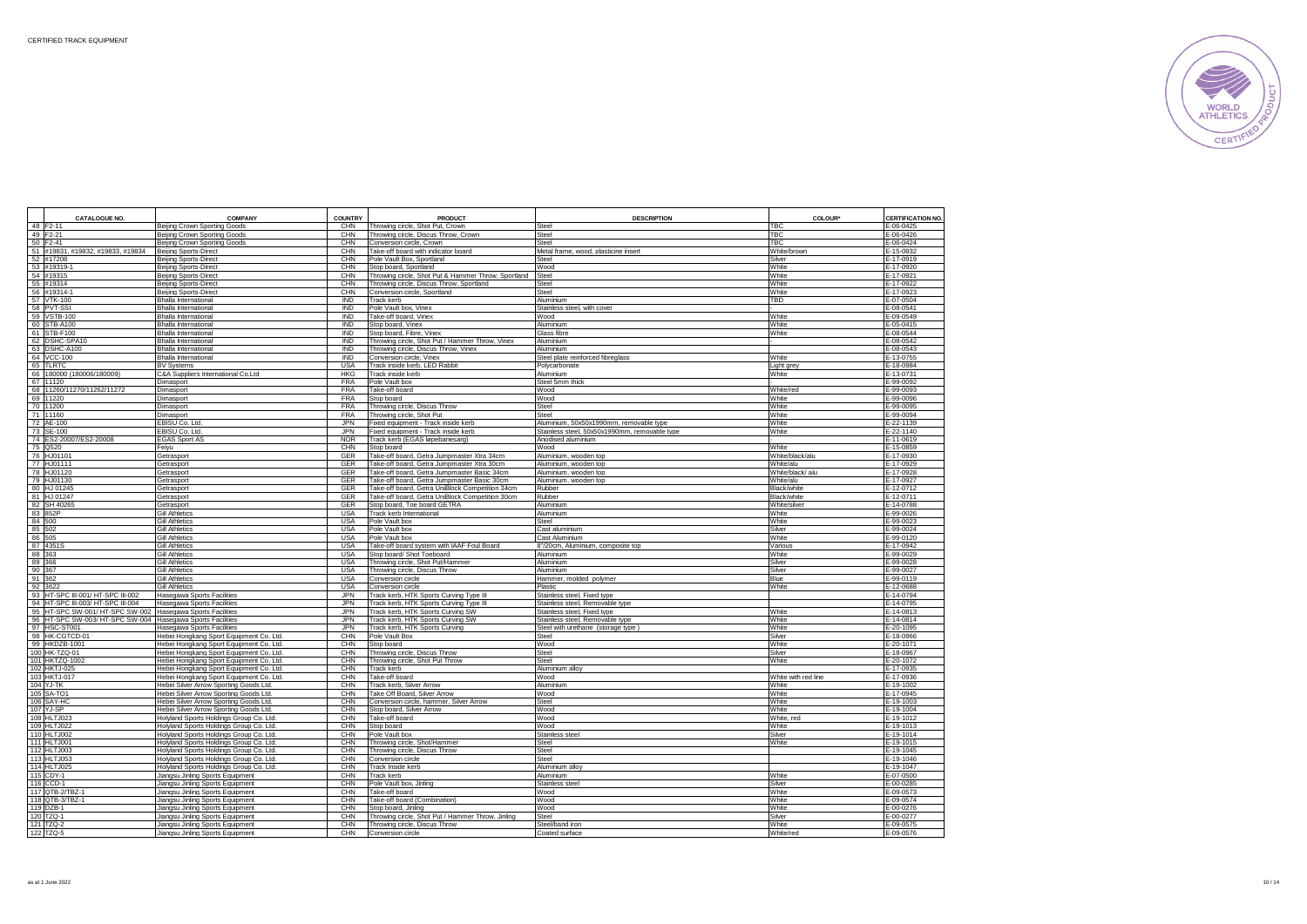

| 48 F2-11<br><b>TBC</b><br>Beijing Crown Sporting Goods<br>CHN<br>Throwing circle, Shot Put, Crown<br><b>Steel</b><br>49 F2-21<br>CHN<br>TBC<br>Beijing Crown Sporting Goods<br>Throwing circle, Discus Throw, Crown<br>Steel<br>50 F2-41<br>CHN<br><b>TBC</b><br>Steel<br>Beijing Crown Sporting Goods<br>Conversion circle, Crown<br>51 #19831, #19832, #19833, #19834<br>CHN<br>Take-off board with indicator board<br>Metal frame, wood, plasticine insert<br>White/brown<br>Beijing Sports-Direct<br>52 #17208<br>CHN<br>Pole Vault Box, Sportland<br>Steel<br>Silver<br>Beijing Sports-Direct<br>53 #19319-1<br>Beijing Sports-Direct<br>CHN<br>Stop board, Sportland<br>Wood<br>White<br>54 #19315<br>Beijing Sports-Direct<br>CHN<br>Throwing circle, Shot Put & Hammer Throw, Sportland<br>Steel<br>White<br>55 #19314<br>CHN<br>Throwing circle, Discus Throw, Sportland<br>White<br>Beijing Sports-Direct<br>Steel<br>56 #19314-1<br>Beijing Sports-Direct<br>CHN<br>Conversion circle, Sportland<br>Steel<br>White<br>57 VTK-100<br>IND<br>TBD<br><b>Bhalla International</b><br>Track kerb<br>Aluminium<br><b>IND</b><br>58 PVT-SSI<br>Pole Vault box, Vinex<br><b>Bhalla International</b><br>Stainless steel, with cover<br>59 VSTB-100<br>IND<br>Take-off board, Vinex<br>White<br><b>Bhalla International</b><br>Wood<br><b>IND</b><br>60 STB-A100<br>Stop board, Vinex<br>White<br><b>Bhalla International</b><br>Aluminium<br>61 STB-F100<br><b>IND</b><br>Stop board, Fibre, Vinex<br>White<br><b>Bhalla International</b><br>Glass fibre<br>62 DSHC-SPA10<br><b>Bhalla International</b><br><b>IND</b><br>Throwing circle, Shot Put / Hammer Throw, Vinex<br>Aluminium<br>63 DSHC-A100<br>Bhalla International<br>IND<br>Throwing circle, Discus Throw, Vinex<br>Aluminium<br>64 VCC-100<br><b>IND</b><br>Conversion circle, Vinex<br>White<br><b>Bhalla International</b><br>Steel plate reinforced fibreglass<br>65 TLRTC<br><b>USA</b><br><b>BV Systems</b><br>Track inside kerb, LED Rabbit<br>Light grey<br>Polycarbonate<br>66 180000 (180006/180009)<br><b>HKG</b><br>White<br>E-13-0731<br>C&A Suppliers International Co.Ltd<br>Track inside kerb<br>Aluminium<br>67 11120<br><b>FRA</b><br>E-99-0092<br>Pole Vault box<br>Steel 5mm thick<br>Dimasport<br>68 11260/11270/11262/11272<br><b>FRA</b><br>White/red<br>E-99-0093<br>Take-off board<br>Wood<br>Dimasport<br>69 11220<br><b>FRA</b><br>Stop board<br>Wood<br>White<br>Dimasport<br>70 11200<br>Dimasport<br><b>FRA</b><br>Throwing circle, Discus Throw<br>Steel<br>White<br>71 11160<br><b>FRA</b><br>Throwing circle, Shot Put<br>Steel<br>White<br>Dimasport<br>72 AE-100<br>EBISU Co. Ltd<br><b>JPN</b><br>Fixed equipment - Track inside kerb<br>Aluminium, 50x50x1990mm, removable type<br>White<br>73 SE-100<br>EBISU Co. Ltd.<br><b>JPN</b><br>Fixed equipment - Track inside kerb<br>Stainless steel, 50x50x1990mm, removable type<br>White<br>74 ES2-20007/ES2-20008<br><b>NOR</b><br><b>EGAS Sport AS</b><br>Track kerb (EGAS løpebanesarg)<br>Anodised aluminium<br>CHN<br>75 Q520<br>Feiyu<br>Stop board<br>Wood<br>White<br>76 HJ01101<br>GER<br>Take-off board, Getra Jumpmaster Xtra 34cm<br>White/black/alu<br>Getrasport<br>Aluminium, wooden top<br>77 HJ01111<br>GER<br>Take-off board, Getra Jumpmaster Xtra 30cm<br>Aluminium, wooden top<br>White/alu<br>Getrasport<br>78 HJ01120<br>GER<br>Take-off board, Getra Jumpmaster Basic 34cm<br>Aluminium, wooden top<br>White/black/alu<br>Getrasport<br>79 HJ01130<br>GER<br>Take-off board, Getra Jumpmaster Basic 30cm<br>Getrasport<br>Aluminium, wooden top<br>White/alu<br>80 HJ 01245<br>GER<br>Take-off board, Getra UniBlock Competition 34cm<br>Getrasport<br>Rubber<br>Black/white<br>81 HJ 01247<br>Getrasport<br>GER<br>Take-off board, Getra UniBlock Competition 30cm<br>Rubber<br>Black/white<br>82 SH 40265<br>GER<br>Getrasport<br>Stop board, Toe board GETRA<br>Aluminium<br>White/silver<br>83 852P<br><b>USA</b><br><b>Gill Athletics</b><br>Track kerb International<br>Aluminium<br>White<br>84 500<br><b>USA</b><br>Pole Vault box<br>White<br><b>Gill Athletics</b><br>Steel<br>85 502<br><b>USA</b><br><b>Gill Athletics</b><br>Pole Vault box<br>Cast aluminium<br>Silver<br>86 505<br><b>USA</b><br>White<br><b>Gill Athletics</b><br>Pole Vault box<br>Cast Aluminium<br>87 4351S<br><b>Gill Athletics</b><br><b>USA</b><br>Take-off board system with IAAF Foul Board<br>8"/20cm, Aluminium, composite top<br>Various<br>88 363<br><b>Gill Athletics</b><br><b>USA</b><br>Stop board/ Shot Toeboard<br>Aluminium<br>White<br>89 366<br><b>USA</b><br>Throwing circle, Shot Put/Hammer<br><b>Gill Athletics</b><br>Aluminium<br>Silver<br>90 367<br>Gill Athletics<br><b>USA</b><br>Throwing circle, Discus Throw<br>Silver<br>E-99-0027<br>Aluminium<br>91 362<br><b>Gill Athletics</b><br>USA<br>Conversion circle<br>Hammer, molded polymer<br>Blue<br>E-99-0119<br>92 3622<br><b>Gill Athletics</b><br><b>USA</b><br>White<br>E-12-0688<br>Conversion circle<br>Plastic<br>93 HT-SPC III-001/ HT-SPC III-002<br><b>JPN</b><br><b>Hasegawa Sports Facilities</b><br>Track kerb, HTK Sports Curving Type III<br>Stainless steel, Fixed type<br>94 HT-SPC III-003/ HT-SPC III-004<br><b>JPN</b><br>Track kerb, HTK Sports Curving Type III<br>Hasegawa Sports Facilities<br>Stainless steel, Removable type<br>95 HT-SPC SW-001/ HT-SPC SW-002<br><b>JPN</b><br>Track kerb, HTK Sports Curving SW<br>Hasegawa Sports Facilities<br>Stainless steel, Fixed type<br>White<br>96 HT-SPC SW-003/ HT-SPC SW-004<br>Hasegawa Sports Facilities<br><b>JPN</b><br>Track kerb, HTK Sports Curving SW<br>White<br>Stainless steel, Removable type<br>97 HSC-ST001<br>JPN<br>Track kerb, HTK Sports Curving<br><b>Hasegawa Sports Facilities</b><br>Steel with urethane (storage type)<br>White<br>98 HK-CGTCD-01<br>CHN<br>Pole Vault Box<br>Hebei Hongkang Sport Equipment Co. Ltd.<br>Steel<br>Silver<br>99 HKDZB-1001<br>Hebei Hongkang Sport Equipment Co. Ltd.<br>CHN<br>Wood<br>White<br>Stop board<br>100 HK-TZQ-01<br>CHN<br>Hebei Hongkang Sport Equipment Co. Ltd.<br>Throwing circle, Discus Throw<br>Steel<br>Silver<br>101 HKTZQ-1002<br>CHN<br>White<br>Throwing circle, Shot Put Throw<br>Steel<br>Hebei Hongkang Sport Equipment Co. Ltd<br>102 HKTJ-025<br>CHN<br><b>Track kerb</b><br>Hebei Hongkang Sport Equipment Co. Ltd<br>Aluminium alloy<br>103 HKTJ-017<br>CHN<br>Take-off board<br>Wood<br>White with red line<br>Hebei Hongkang Sport Equipment Co. Ltd<br>104 YJ-TK<br>Hebei Silver Arrow Sporting Goods Ltd.<br>CHN<br>Track kerb, Silver Arrow<br>Aluminium<br>White<br>105 SA-TO<br>CHN<br>Take Off Board, Silver Arrow<br>Hebei Silver Arrow Sporting Goods Ltd.<br>Wood<br>White<br>106 SAY-HC<br>Hebei Silver Arrow Sporting Goods Ltd.<br>CHN<br>Conversion circle, hammer, Silver Arrow<br>White<br>Steel<br>107 YJ-SP<br>CHN<br>Stop board, Silver Arrow<br>White<br>Hebei Silver Arrow Sporting Goods Ltd.<br>Wood<br>108 HLTJ023<br>Holyland Sports Holdings Group Co. Ltd.<br>CHN<br>Take-off board<br>Wood<br>White, red<br>109 HLTJ022<br>Holyland Sports Holdings Group Co. Ltd.<br>CHN<br>Stop board<br>Wood<br>White<br>CHN<br>110 HLTJ002<br>Pole Vault box<br>Holyland Sports Holdings Group Co. Ltd.<br>Stainless steel<br>Silver<br>CHN<br>111 HLTJ001<br>Holyland Sports Holdings Group Co. Ltd.<br>White<br>Throwing circle, Shot/Hammer<br>Steel<br>112 HLTJ003<br>Holyland Sports Holdings Group Co. Ltd.<br>CHN<br>Throwing circle, Discus Throw<br>Steel<br>113 HLTJ053<br>Holyland Sports Holdings Group Co. Ltd.<br>CHN<br>Conversion circle<br>Steel<br>114 HLTJ025<br>CHN<br>Track Inside kerb<br>Holyland Sports Holdings Group Co. Ltd.<br>Aluminium alloy<br>115 CDY-1<br>Jiangsu Jinling Sports Equipment<br>CHN<br>White<br>Track kerb<br>Aluminium<br>116 CCD-1<br>CHN<br>Jiangsu Jinling Sports Equipment<br>Pole Vault box, Jinling<br>Stainless steel<br>Silver<br>117 QTB-2/TBZ-1<br>CHN<br>White<br>Jiangsu Jinling Sports Equipment<br>Take-off board<br>Wood<br>118 QTB-3/TBZ-1<br>CHN<br>Jiangsu Jinling Sports Equipment<br>Take-off board (Combination)<br>Wood<br>White<br>119 DZB-1<br>White<br>CHN<br>Wood<br>Jiangsu Jinling Sports Equipment<br>Stop board, Jinling<br>120 TZQ-1<br>CHN<br>Throwing circle, Shot Put / Hammer Throw, Jinling<br>Silver<br>Jiangsu Jinling Sports Equipment<br>Steel<br>121 TZQ-2<br>CHN<br>Throwing circle, Discus Throw<br>White<br>Jiangsu Jinling Sports Equipment<br>Steel/band iron<br>122 TZQ-5<br>Jiangsu Jinling Sports Equipment<br>CHN<br>Conversion circle<br>Coated surface<br>White/red | <b>CATALOGUE NO.</b> | <b>COMPANY</b> | <b>COUNTRY</b> | <b>PRODUCT</b> | <b>DESCRIPTION</b> | COLOUR' | CERTIFICATION NO.      |
|-------------------------------------------------------------------------------------------------------------------------------------------------------------------------------------------------------------------------------------------------------------------------------------------------------------------------------------------------------------------------------------------------------------------------------------------------------------------------------------------------------------------------------------------------------------------------------------------------------------------------------------------------------------------------------------------------------------------------------------------------------------------------------------------------------------------------------------------------------------------------------------------------------------------------------------------------------------------------------------------------------------------------------------------------------------------------------------------------------------------------------------------------------------------------------------------------------------------------------------------------------------------------------------------------------------------------------------------------------------------------------------------------------------------------------------------------------------------------------------------------------------------------------------------------------------------------------------------------------------------------------------------------------------------------------------------------------------------------------------------------------------------------------------------------------------------------------------------------------------------------------------------------------------------------------------------------------------------------------------------------------------------------------------------------------------------------------------------------------------------------------------------------------------------------------------------------------------------------------------------------------------------------------------------------------------------------------------------------------------------------------------------------------------------------------------------------------------------------------------------------------------------------------------------------------------------------------------------------------------------------------------------------------------------------------------------------------------------------------------------------------------------------------------------------------------------------------------------------------------------------------------------------------------------------------------------------------------------------------------------------------------------------------------------------------------------------------------------------------------------------------------------------------------------------------------------------------------------------------------------------------------------------------------------------------------------------------------------------------------------------------------------------------------------------------------------------------------------------------------------------------------------------------------------------------------------------------------------------------------------------------------------------------------------------------------------------------------------------------------------------------------------------------------------------------------------------------------------------------------------------------------------------------------------------------------------------------------------------------------------------------------------------------------------------------------------------------------------------------------------------------------------------------------------------------------------------------------------------------------------------------------------------------------------------------------------------------------------------------------------------------------------------------------------------------------------------------------------------------------------------------------------------------------------------------------------------------------------------------------------------------------------------------------------------------------------------------------------------------------------------------------------------------------------------------------------------------------------------------------------------------------------------------------------------------------------------------------------------------------------------------------------------------------------------------------------------------------------------------------------------------------------------------------------------------------------------------------------------------------------------------------------------------------------------------------------------------------------------------------------------------------------------------------------------------------------------------------------------------------------------------------------------------------------------------------------------------------------------------------------------------------------------------------------------------------------------------------------------------------------------------------------------------------------------------------------------------------------------------------------------------------------------------------------------------------------------------------------------------------------------------------------------------------------------------------------------------------------------------------------------------------------------------------------------------------------------------------------------------------------------------------------------------------------------------------------------------------------------------------------------------------------------------------------------------------------------------------------------------------------------------------------------------------------------------------------------------------------------------------------------------------------------------------------------------------------------------------------------------------------------------------------------------------------------------------------------------------------------------------------------------------------------------------------------------------------------------------------------------------------------------------------------------------------------------------------------------------------------------------------------------------------------------------------------------------------------------------------------------------------------------------------------------------------------------------------------------------------------------------------------------------------------------------------------------------------------------------------------------------------------------------------------------------------------------------------------------------------------------------------------------------------------------------------------------------------------------------------------------------------------------------------------------------------------------------------------------------------------------------------------------------------------------------------------------------------------------------------------------------------------------------------------------------------------------------------------------------------------------------------------------------------------------------------------------------------------------------------------------------------------------------------------------------------------------------------------------------------------------------------------------------------------------------------------------------------------------------------------------------------------------------------------------------------------------------------------------------------------------------------------------------------------------------------------------------------------------|----------------------|----------------|----------------|----------------|--------------------|---------|------------------------|
|                                                                                                                                                                                                                                                                                                                                                                                                                                                                                                                                                                                                                                                                                                                                                                                                                                                                                                                                                                                                                                                                                                                                                                                                                                                                                                                                                                                                                                                                                                                                                                                                                                                                                                                                                                                                                                                                                                                                                                                                                                                                                                                                                                                                                                                                                                                                                                                                                                                                                                                                                                                                                                                                                                                                                                                                                                                                                                                                                                                                                                                                                                                                                                                                                                                                                                                                                                                                                                                                                                                                                                                                                                                                                                                                                                                                                                                                                                                                                                                                                                                                                                                                                                                                                                                                                                                                                                                                                                                                                                                                                                                                                                                                                                                                                                                                                                                                                                                                                                                                                                                                                                                                                                                                                                                                                                                                                                                                                                                                                                                                                                                                                                                                                                                                                                                                                                                                                                                                                                                                                                                                                                                                                                                                                                                                                                                                                                                                                                                                                                                                                                                                                                                                                                                                                                                                                                                                                                                                                                                                                                                                                                                                                                                                                                                                                                                                                                                                                                                                                                                                                                                                                                                                                                                                                                                                                                                                                                                                                                                                                                                                                                                                                                                                                                                                                                                                                                                                                                                                                                                                                                                                                                                                                                       |                      |                |                |                |                    |         | E-06-0425              |
|                                                                                                                                                                                                                                                                                                                                                                                                                                                                                                                                                                                                                                                                                                                                                                                                                                                                                                                                                                                                                                                                                                                                                                                                                                                                                                                                                                                                                                                                                                                                                                                                                                                                                                                                                                                                                                                                                                                                                                                                                                                                                                                                                                                                                                                                                                                                                                                                                                                                                                                                                                                                                                                                                                                                                                                                                                                                                                                                                                                                                                                                                                                                                                                                                                                                                                                                                                                                                                                                                                                                                                                                                                                                                                                                                                                                                                                                                                                                                                                                                                                                                                                                                                                                                                                                                                                                                                                                                                                                                                                                                                                                                                                                                                                                                                                                                                                                                                                                                                                                                                                                                                                                                                                                                                                                                                                                                                                                                                                                                                                                                                                                                                                                                                                                                                                                                                                                                                                                                                                                                                                                                                                                                                                                                                                                                                                                                                                                                                                                                                                                                                                                                                                                                                                                                                                                                                                                                                                                                                                                                                                                                                                                                                                                                                                                                                                                                                                                                                                                                                                                                                                                                                                                                                                                                                                                                                                                                                                                                                                                                                                                                                                                                                                                                                                                                                                                                                                                                                                                                                                                                                                                                                                                                                       |                      |                |                |                |                    |         | E-06-0426              |
|                                                                                                                                                                                                                                                                                                                                                                                                                                                                                                                                                                                                                                                                                                                                                                                                                                                                                                                                                                                                                                                                                                                                                                                                                                                                                                                                                                                                                                                                                                                                                                                                                                                                                                                                                                                                                                                                                                                                                                                                                                                                                                                                                                                                                                                                                                                                                                                                                                                                                                                                                                                                                                                                                                                                                                                                                                                                                                                                                                                                                                                                                                                                                                                                                                                                                                                                                                                                                                                                                                                                                                                                                                                                                                                                                                                                                                                                                                                                                                                                                                                                                                                                                                                                                                                                                                                                                                                                                                                                                                                                                                                                                                                                                                                                                                                                                                                                                                                                                                                                                                                                                                                                                                                                                                                                                                                                                                                                                                                                                                                                                                                                                                                                                                                                                                                                                                                                                                                                                                                                                                                                                                                                                                                                                                                                                                                                                                                                                                                                                                                                                                                                                                                                                                                                                                                                                                                                                                                                                                                                                                                                                                                                                                                                                                                                                                                                                                                                                                                                                                                                                                                                                                                                                                                                                                                                                                                                                                                                                                                                                                                                                                                                                                                                                                                                                                                                                                                                                                                                                                                                                                                                                                                                                                       |                      |                |                |                |                    |         | E-06-0424              |
|                                                                                                                                                                                                                                                                                                                                                                                                                                                                                                                                                                                                                                                                                                                                                                                                                                                                                                                                                                                                                                                                                                                                                                                                                                                                                                                                                                                                                                                                                                                                                                                                                                                                                                                                                                                                                                                                                                                                                                                                                                                                                                                                                                                                                                                                                                                                                                                                                                                                                                                                                                                                                                                                                                                                                                                                                                                                                                                                                                                                                                                                                                                                                                                                                                                                                                                                                                                                                                                                                                                                                                                                                                                                                                                                                                                                                                                                                                                                                                                                                                                                                                                                                                                                                                                                                                                                                                                                                                                                                                                                                                                                                                                                                                                                                                                                                                                                                                                                                                                                                                                                                                                                                                                                                                                                                                                                                                                                                                                                                                                                                                                                                                                                                                                                                                                                                                                                                                                                                                                                                                                                                                                                                                                                                                                                                                                                                                                                                                                                                                                                                                                                                                                                                                                                                                                                                                                                                                                                                                                                                                                                                                                                                                                                                                                                                                                                                                                                                                                                                                                                                                                                                                                                                                                                                                                                                                                                                                                                                                                                                                                                                                                                                                                                                                                                                                                                                                                                                                                                                                                                                                                                                                                                                                       |                      |                |                |                |                    |         | E-15-0832              |
|                                                                                                                                                                                                                                                                                                                                                                                                                                                                                                                                                                                                                                                                                                                                                                                                                                                                                                                                                                                                                                                                                                                                                                                                                                                                                                                                                                                                                                                                                                                                                                                                                                                                                                                                                                                                                                                                                                                                                                                                                                                                                                                                                                                                                                                                                                                                                                                                                                                                                                                                                                                                                                                                                                                                                                                                                                                                                                                                                                                                                                                                                                                                                                                                                                                                                                                                                                                                                                                                                                                                                                                                                                                                                                                                                                                                                                                                                                                                                                                                                                                                                                                                                                                                                                                                                                                                                                                                                                                                                                                                                                                                                                                                                                                                                                                                                                                                                                                                                                                                                                                                                                                                                                                                                                                                                                                                                                                                                                                                                                                                                                                                                                                                                                                                                                                                                                                                                                                                                                                                                                                                                                                                                                                                                                                                                                                                                                                                                                                                                                                                                                                                                                                                                                                                                                                                                                                                                                                                                                                                                                                                                                                                                                                                                                                                                                                                                                                                                                                                                                                                                                                                                                                                                                                                                                                                                                                                                                                                                                                                                                                                                                                                                                                                                                                                                                                                                                                                                                                                                                                                                                                                                                                                                                       |                      |                |                |                |                    |         | E-17-0919              |
|                                                                                                                                                                                                                                                                                                                                                                                                                                                                                                                                                                                                                                                                                                                                                                                                                                                                                                                                                                                                                                                                                                                                                                                                                                                                                                                                                                                                                                                                                                                                                                                                                                                                                                                                                                                                                                                                                                                                                                                                                                                                                                                                                                                                                                                                                                                                                                                                                                                                                                                                                                                                                                                                                                                                                                                                                                                                                                                                                                                                                                                                                                                                                                                                                                                                                                                                                                                                                                                                                                                                                                                                                                                                                                                                                                                                                                                                                                                                                                                                                                                                                                                                                                                                                                                                                                                                                                                                                                                                                                                                                                                                                                                                                                                                                                                                                                                                                                                                                                                                                                                                                                                                                                                                                                                                                                                                                                                                                                                                                                                                                                                                                                                                                                                                                                                                                                                                                                                                                                                                                                                                                                                                                                                                                                                                                                                                                                                                                                                                                                                                                                                                                                                                                                                                                                                                                                                                                                                                                                                                                                                                                                                                                                                                                                                                                                                                                                                                                                                                                                                                                                                                                                                                                                                                                                                                                                                                                                                                                                                                                                                                                                                                                                                                                                                                                                                                                                                                                                                                                                                                                                                                                                                                                                       |                      |                |                |                |                    |         | E-17-0920              |
|                                                                                                                                                                                                                                                                                                                                                                                                                                                                                                                                                                                                                                                                                                                                                                                                                                                                                                                                                                                                                                                                                                                                                                                                                                                                                                                                                                                                                                                                                                                                                                                                                                                                                                                                                                                                                                                                                                                                                                                                                                                                                                                                                                                                                                                                                                                                                                                                                                                                                                                                                                                                                                                                                                                                                                                                                                                                                                                                                                                                                                                                                                                                                                                                                                                                                                                                                                                                                                                                                                                                                                                                                                                                                                                                                                                                                                                                                                                                                                                                                                                                                                                                                                                                                                                                                                                                                                                                                                                                                                                                                                                                                                                                                                                                                                                                                                                                                                                                                                                                                                                                                                                                                                                                                                                                                                                                                                                                                                                                                                                                                                                                                                                                                                                                                                                                                                                                                                                                                                                                                                                                                                                                                                                                                                                                                                                                                                                                                                                                                                                                                                                                                                                                                                                                                                                                                                                                                                                                                                                                                                                                                                                                                                                                                                                                                                                                                                                                                                                                                                                                                                                                                                                                                                                                                                                                                                                                                                                                                                                                                                                                                                                                                                                                                                                                                                                                                                                                                                                                                                                                                                                                                                                                                                       |                      |                |                |                |                    |         | E-17-0921              |
|                                                                                                                                                                                                                                                                                                                                                                                                                                                                                                                                                                                                                                                                                                                                                                                                                                                                                                                                                                                                                                                                                                                                                                                                                                                                                                                                                                                                                                                                                                                                                                                                                                                                                                                                                                                                                                                                                                                                                                                                                                                                                                                                                                                                                                                                                                                                                                                                                                                                                                                                                                                                                                                                                                                                                                                                                                                                                                                                                                                                                                                                                                                                                                                                                                                                                                                                                                                                                                                                                                                                                                                                                                                                                                                                                                                                                                                                                                                                                                                                                                                                                                                                                                                                                                                                                                                                                                                                                                                                                                                                                                                                                                                                                                                                                                                                                                                                                                                                                                                                                                                                                                                                                                                                                                                                                                                                                                                                                                                                                                                                                                                                                                                                                                                                                                                                                                                                                                                                                                                                                                                                                                                                                                                                                                                                                                                                                                                                                                                                                                                                                                                                                                                                                                                                                                                                                                                                                                                                                                                                                                                                                                                                                                                                                                                                                                                                                                                                                                                                                                                                                                                                                                                                                                                                                                                                                                                                                                                                                                                                                                                                                                                                                                                                                                                                                                                                                                                                                                                                                                                                                                                                                                                                                                       |                      |                |                |                |                    |         | E-17-0922              |
|                                                                                                                                                                                                                                                                                                                                                                                                                                                                                                                                                                                                                                                                                                                                                                                                                                                                                                                                                                                                                                                                                                                                                                                                                                                                                                                                                                                                                                                                                                                                                                                                                                                                                                                                                                                                                                                                                                                                                                                                                                                                                                                                                                                                                                                                                                                                                                                                                                                                                                                                                                                                                                                                                                                                                                                                                                                                                                                                                                                                                                                                                                                                                                                                                                                                                                                                                                                                                                                                                                                                                                                                                                                                                                                                                                                                                                                                                                                                                                                                                                                                                                                                                                                                                                                                                                                                                                                                                                                                                                                                                                                                                                                                                                                                                                                                                                                                                                                                                                                                                                                                                                                                                                                                                                                                                                                                                                                                                                                                                                                                                                                                                                                                                                                                                                                                                                                                                                                                                                                                                                                                                                                                                                                                                                                                                                                                                                                                                                                                                                                                                                                                                                                                                                                                                                                                                                                                                                                                                                                                                                                                                                                                                                                                                                                                                                                                                                                                                                                                                                                                                                                                                                                                                                                                                                                                                                                                                                                                                                                                                                                                                                                                                                                                                                                                                                                                                                                                                                                                                                                                                                                                                                                                                                       |                      |                |                |                |                    |         | E-17-0923              |
|                                                                                                                                                                                                                                                                                                                                                                                                                                                                                                                                                                                                                                                                                                                                                                                                                                                                                                                                                                                                                                                                                                                                                                                                                                                                                                                                                                                                                                                                                                                                                                                                                                                                                                                                                                                                                                                                                                                                                                                                                                                                                                                                                                                                                                                                                                                                                                                                                                                                                                                                                                                                                                                                                                                                                                                                                                                                                                                                                                                                                                                                                                                                                                                                                                                                                                                                                                                                                                                                                                                                                                                                                                                                                                                                                                                                                                                                                                                                                                                                                                                                                                                                                                                                                                                                                                                                                                                                                                                                                                                                                                                                                                                                                                                                                                                                                                                                                                                                                                                                                                                                                                                                                                                                                                                                                                                                                                                                                                                                                                                                                                                                                                                                                                                                                                                                                                                                                                                                                                                                                                                                                                                                                                                                                                                                                                                                                                                                                                                                                                                                                                                                                                                                                                                                                                                                                                                                                                                                                                                                                                                                                                                                                                                                                                                                                                                                                                                                                                                                                                                                                                                                                                                                                                                                                                                                                                                                                                                                                                                                                                                                                                                                                                                                                                                                                                                                                                                                                                                                                                                                                                                                                                                                                                       |                      |                |                |                |                    |         | E-07-0504              |
|                                                                                                                                                                                                                                                                                                                                                                                                                                                                                                                                                                                                                                                                                                                                                                                                                                                                                                                                                                                                                                                                                                                                                                                                                                                                                                                                                                                                                                                                                                                                                                                                                                                                                                                                                                                                                                                                                                                                                                                                                                                                                                                                                                                                                                                                                                                                                                                                                                                                                                                                                                                                                                                                                                                                                                                                                                                                                                                                                                                                                                                                                                                                                                                                                                                                                                                                                                                                                                                                                                                                                                                                                                                                                                                                                                                                                                                                                                                                                                                                                                                                                                                                                                                                                                                                                                                                                                                                                                                                                                                                                                                                                                                                                                                                                                                                                                                                                                                                                                                                                                                                                                                                                                                                                                                                                                                                                                                                                                                                                                                                                                                                                                                                                                                                                                                                                                                                                                                                                                                                                                                                                                                                                                                                                                                                                                                                                                                                                                                                                                                                                                                                                                                                                                                                                                                                                                                                                                                                                                                                                                                                                                                                                                                                                                                                                                                                                                                                                                                                                                                                                                                                                                                                                                                                                                                                                                                                                                                                                                                                                                                                                                                                                                                                                                                                                                                                                                                                                                                                                                                                                                                                                                                                                                       |                      |                |                |                |                    |         | E-08-0541              |
|                                                                                                                                                                                                                                                                                                                                                                                                                                                                                                                                                                                                                                                                                                                                                                                                                                                                                                                                                                                                                                                                                                                                                                                                                                                                                                                                                                                                                                                                                                                                                                                                                                                                                                                                                                                                                                                                                                                                                                                                                                                                                                                                                                                                                                                                                                                                                                                                                                                                                                                                                                                                                                                                                                                                                                                                                                                                                                                                                                                                                                                                                                                                                                                                                                                                                                                                                                                                                                                                                                                                                                                                                                                                                                                                                                                                                                                                                                                                                                                                                                                                                                                                                                                                                                                                                                                                                                                                                                                                                                                                                                                                                                                                                                                                                                                                                                                                                                                                                                                                                                                                                                                                                                                                                                                                                                                                                                                                                                                                                                                                                                                                                                                                                                                                                                                                                                                                                                                                                                                                                                                                                                                                                                                                                                                                                                                                                                                                                                                                                                                                                                                                                                                                                                                                                                                                                                                                                                                                                                                                                                                                                                                                                                                                                                                                                                                                                                                                                                                                                                                                                                                                                                                                                                                                                                                                                                                                                                                                                                                                                                                                                                                                                                                                                                                                                                                                                                                                                                                                                                                                                                                                                                                                                                       |                      |                |                |                |                    |         | $E - 09 - 0549$        |
|                                                                                                                                                                                                                                                                                                                                                                                                                                                                                                                                                                                                                                                                                                                                                                                                                                                                                                                                                                                                                                                                                                                                                                                                                                                                                                                                                                                                                                                                                                                                                                                                                                                                                                                                                                                                                                                                                                                                                                                                                                                                                                                                                                                                                                                                                                                                                                                                                                                                                                                                                                                                                                                                                                                                                                                                                                                                                                                                                                                                                                                                                                                                                                                                                                                                                                                                                                                                                                                                                                                                                                                                                                                                                                                                                                                                                                                                                                                                                                                                                                                                                                                                                                                                                                                                                                                                                                                                                                                                                                                                                                                                                                                                                                                                                                                                                                                                                                                                                                                                                                                                                                                                                                                                                                                                                                                                                                                                                                                                                                                                                                                                                                                                                                                                                                                                                                                                                                                                                                                                                                                                                                                                                                                                                                                                                                                                                                                                                                                                                                                                                                                                                                                                                                                                                                                                                                                                                                                                                                                                                                                                                                                                                                                                                                                                                                                                                                                                                                                                                                                                                                                                                                                                                                                                                                                                                                                                                                                                                                                                                                                                                                                                                                                                                                                                                                                                                                                                                                                                                                                                                                                                                                                                                                       |                      |                |                |                |                    |         | E-05-0415              |
|                                                                                                                                                                                                                                                                                                                                                                                                                                                                                                                                                                                                                                                                                                                                                                                                                                                                                                                                                                                                                                                                                                                                                                                                                                                                                                                                                                                                                                                                                                                                                                                                                                                                                                                                                                                                                                                                                                                                                                                                                                                                                                                                                                                                                                                                                                                                                                                                                                                                                                                                                                                                                                                                                                                                                                                                                                                                                                                                                                                                                                                                                                                                                                                                                                                                                                                                                                                                                                                                                                                                                                                                                                                                                                                                                                                                                                                                                                                                                                                                                                                                                                                                                                                                                                                                                                                                                                                                                                                                                                                                                                                                                                                                                                                                                                                                                                                                                                                                                                                                                                                                                                                                                                                                                                                                                                                                                                                                                                                                                                                                                                                                                                                                                                                                                                                                                                                                                                                                                                                                                                                                                                                                                                                                                                                                                                                                                                                                                                                                                                                                                                                                                                                                                                                                                                                                                                                                                                                                                                                                                                                                                                                                                                                                                                                                                                                                                                                                                                                                                                                                                                                                                                                                                                                                                                                                                                                                                                                                                                                                                                                                                                                                                                                                                                                                                                                                                                                                                                                                                                                                                                                                                                                                                                       |                      |                |                |                |                    |         | $E - 08 - 0544$        |
|                                                                                                                                                                                                                                                                                                                                                                                                                                                                                                                                                                                                                                                                                                                                                                                                                                                                                                                                                                                                                                                                                                                                                                                                                                                                                                                                                                                                                                                                                                                                                                                                                                                                                                                                                                                                                                                                                                                                                                                                                                                                                                                                                                                                                                                                                                                                                                                                                                                                                                                                                                                                                                                                                                                                                                                                                                                                                                                                                                                                                                                                                                                                                                                                                                                                                                                                                                                                                                                                                                                                                                                                                                                                                                                                                                                                                                                                                                                                                                                                                                                                                                                                                                                                                                                                                                                                                                                                                                                                                                                                                                                                                                                                                                                                                                                                                                                                                                                                                                                                                                                                                                                                                                                                                                                                                                                                                                                                                                                                                                                                                                                                                                                                                                                                                                                                                                                                                                                                                                                                                                                                                                                                                                                                                                                                                                                                                                                                                                                                                                                                                                                                                                                                                                                                                                                                                                                                                                                                                                                                                                                                                                                                                                                                                                                                                                                                                                                                                                                                                                                                                                                                                                                                                                                                                                                                                                                                                                                                                                                                                                                                                                                                                                                                                                                                                                                                                                                                                                                                                                                                                                                                                                                                                                       |                      |                |                |                |                    |         | E-08-0542              |
|                                                                                                                                                                                                                                                                                                                                                                                                                                                                                                                                                                                                                                                                                                                                                                                                                                                                                                                                                                                                                                                                                                                                                                                                                                                                                                                                                                                                                                                                                                                                                                                                                                                                                                                                                                                                                                                                                                                                                                                                                                                                                                                                                                                                                                                                                                                                                                                                                                                                                                                                                                                                                                                                                                                                                                                                                                                                                                                                                                                                                                                                                                                                                                                                                                                                                                                                                                                                                                                                                                                                                                                                                                                                                                                                                                                                                                                                                                                                                                                                                                                                                                                                                                                                                                                                                                                                                                                                                                                                                                                                                                                                                                                                                                                                                                                                                                                                                                                                                                                                                                                                                                                                                                                                                                                                                                                                                                                                                                                                                                                                                                                                                                                                                                                                                                                                                                                                                                                                                                                                                                                                                                                                                                                                                                                                                                                                                                                                                                                                                                                                                                                                                                                                                                                                                                                                                                                                                                                                                                                                                                                                                                                                                                                                                                                                                                                                                                                                                                                                                                                                                                                                                                                                                                                                                                                                                                                                                                                                                                                                                                                                                                                                                                                                                                                                                                                                                                                                                                                                                                                                                                                                                                                                                                       |                      |                |                |                |                    |         | E-08-0543              |
|                                                                                                                                                                                                                                                                                                                                                                                                                                                                                                                                                                                                                                                                                                                                                                                                                                                                                                                                                                                                                                                                                                                                                                                                                                                                                                                                                                                                                                                                                                                                                                                                                                                                                                                                                                                                                                                                                                                                                                                                                                                                                                                                                                                                                                                                                                                                                                                                                                                                                                                                                                                                                                                                                                                                                                                                                                                                                                                                                                                                                                                                                                                                                                                                                                                                                                                                                                                                                                                                                                                                                                                                                                                                                                                                                                                                                                                                                                                                                                                                                                                                                                                                                                                                                                                                                                                                                                                                                                                                                                                                                                                                                                                                                                                                                                                                                                                                                                                                                                                                                                                                                                                                                                                                                                                                                                                                                                                                                                                                                                                                                                                                                                                                                                                                                                                                                                                                                                                                                                                                                                                                                                                                                                                                                                                                                                                                                                                                                                                                                                                                                                                                                                                                                                                                                                                                                                                                                                                                                                                                                                                                                                                                                                                                                                                                                                                                                                                                                                                                                                                                                                                                                                                                                                                                                                                                                                                                                                                                                                                                                                                                                                                                                                                                                                                                                                                                                                                                                                                                                                                                                                                                                                                                                                       |                      |                |                |                |                    |         | $-13 - 0755$           |
|                                                                                                                                                                                                                                                                                                                                                                                                                                                                                                                                                                                                                                                                                                                                                                                                                                                                                                                                                                                                                                                                                                                                                                                                                                                                                                                                                                                                                                                                                                                                                                                                                                                                                                                                                                                                                                                                                                                                                                                                                                                                                                                                                                                                                                                                                                                                                                                                                                                                                                                                                                                                                                                                                                                                                                                                                                                                                                                                                                                                                                                                                                                                                                                                                                                                                                                                                                                                                                                                                                                                                                                                                                                                                                                                                                                                                                                                                                                                                                                                                                                                                                                                                                                                                                                                                                                                                                                                                                                                                                                                                                                                                                                                                                                                                                                                                                                                                                                                                                                                                                                                                                                                                                                                                                                                                                                                                                                                                                                                                                                                                                                                                                                                                                                                                                                                                                                                                                                                                                                                                                                                                                                                                                                                                                                                                                                                                                                                                                                                                                                                                                                                                                                                                                                                                                                                                                                                                                                                                                                                                                                                                                                                                                                                                                                                                                                                                                                                                                                                                                                                                                                                                                                                                                                                                                                                                                                                                                                                                                                                                                                                                                                                                                                                                                                                                                                                                                                                                                                                                                                                                                                                                                                                                                       |                      |                |                |                |                    |         | E-18-0984              |
|                                                                                                                                                                                                                                                                                                                                                                                                                                                                                                                                                                                                                                                                                                                                                                                                                                                                                                                                                                                                                                                                                                                                                                                                                                                                                                                                                                                                                                                                                                                                                                                                                                                                                                                                                                                                                                                                                                                                                                                                                                                                                                                                                                                                                                                                                                                                                                                                                                                                                                                                                                                                                                                                                                                                                                                                                                                                                                                                                                                                                                                                                                                                                                                                                                                                                                                                                                                                                                                                                                                                                                                                                                                                                                                                                                                                                                                                                                                                                                                                                                                                                                                                                                                                                                                                                                                                                                                                                                                                                                                                                                                                                                                                                                                                                                                                                                                                                                                                                                                                                                                                                                                                                                                                                                                                                                                                                                                                                                                                                                                                                                                                                                                                                                                                                                                                                                                                                                                                                                                                                                                                                                                                                                                                                                                                                                                                                                                                                                                                                                                                                                                                                                                                                                                                                                                                                                                                                                                                                                                                                                                                                                                                                                                                                                                                                                                                                                                                                                                                                                                                                                                                                                                                                                                                                                                                                                                                                                                                                                                                                                                                                                                                                                                                                                                                                                                                                                                                                                                                                                                                                                                                                                                                                                       |                      |                |                |                |                    |         |                        |
|                                                                                                                                                                                                                                                                                                                                                                                                                                                                                                                                                                                                                                                                                                                                                                                                                                                                                                                                                                                                                                                                                                                                                                                                                                                                                                                                                                                                                                                                                                                                                                                                                                                                                                                                                                                                                                                                                                                                                                                                                                                                                                                                                                                                                                                                                                                                                                                                                                                                                                                                                                                                                                                                                                                                                                                                                                                                                                                                                                                                                                                                                                                                                                                                                                                                                                                                                                                                                                                                                                                                                                                                                                                                                                                                                                                                                                                                                                                                                                                                                                                                                                                                                                                                                                                                                                                                                                                                                                                                                                                                                                                                                                                                                                                                                                                                                                                                                                                                                                                                                                                                                                                                                                                                                                                                                                                                                                                                                                                                                                                                                                                                                                                                                                                                                                                                                                                                                                                                                                                                                                                                                                                                                                                                                                                                                                                                                                                                                                                                                                                                                                                                                                                                                                                                                                                                                                                                                                                                                                                                                                                                                                                                                                                                                                                                                                                                                                                                                                                                                                                                                                                                                                                                                                                                                                                                                                                                                                                                                                                                                                                                                                                                                                                                                                                                                                                                                                                                                                                                                                                                                                                                                                                                                                       |                      |                |                |                |                    |         |                        |
|                                                                                                                                                                                                                                                                                                                                                                                                                                                                                                                                                                                                                                                                                                                                                                                                                                                                                                                                                                                                                                                                                                                                                                                                                                                                                                                                                                                                                                                                                                                                                                                                                                                                                                                                                                                                                                                                                                                                                                                                                                                                                                                                                                                                                                                                                                                                                                                                                                                                                                                                                                                                                                                                                                                                                                                                                                                                                                                                                                                                                                                                                                                                                                                                                                                                                                                                                                                                                                                                                                                                                                                                                                                                                                                                                                                                                                                                                                                                                                                                                                                                                                                                                                                                                                                                                                                                                                                                                                                                                                                                                                                                                                                                                                                                                                                                                                                                                                                                                                                                                                                                                                                                                                                                                                                                                                                                                                                                                                                                                                                                                                                                                                                                                                                                                                                                                                                                                                                                                                                                                                                                                                                                                                                                                                                                                                                                                                                                                                                                                                                                                                                                                                                                                                                                                                                                                                                                                                                                                                                                                                                                                                                                                                                                                                                                                                                                                                                                                                                                                                                                                                                                                                                                                                                                                                                                                                                                                                                                                                                                                                                                                                                                                                                                                                                                                                                                                                                                                                                                                                                                                                                                                                                                                                       |                      |                |                |                |                    |         | E-99-0096              |
|                                                                                                                                                                                                                                                                                                                                                                                                                                                                                                                                                                                                                                                                                                                                                                                                                                                                                                                                                                                                                                                                                                                                                                                                                                                                                                                                                                                                                                                                                                                                                                                                                                                                                                                                                                                                                                                                                                                                                                                                                                                                                                                                                                                                                                                                                                                                                                                                                                                                                                                                                                                                                                                                                                                                                                                                                                                                                                                                                                                                                                                                                                                                                                                                                                                                                                                                                                                                                                                                                                                                                                                                                                                                                                                                                                                                                                                                                                                                                                                                                                                                                                                                                                                                                                                                                                                                                                                                                                                                                                                                                                                                                                                                                                                                                                                                                                                                                                                                                                                                                                                                                                                                                                                                                                                                                                                                                                                                                                                                                                                                                                                                                                                                                                                                                                                                                                                                                                                                                                                                                                                                                                                                                                                                                                                                                                                                                                                                                                                                                                                                                                                                                                                                                                                                                                                                                                                                                                                                                                                                                                                                                                                                                                                                                                                                                                                                                                                                                                                                                                                                                                                                                                                                                                                                                                                                                                                                                                                                                                                                                                                                                                                                                                                                                                                                                                                                                                                                                                                                                                                                                                                                                                                                                                       |                      |                |                |                |                    |         | E-99-0095              |
|                                                                                                                                                                                                                                                                                                                                                                                                                                                                                                                                                                                                                                                                                                                                                                                                                                                                                                                                                                                                                                                                                                                                                                                                                                                                                                                                                                                                                                                                                                                                                                                                                                                                                                                                                                                                                                                                                                                                                                                                                                                                                                                                                                                                                                                                                                                                                                                                                                                                                                                                                                                                                                                                                                                                                                                                                                                                                                                                                                                                                                                                                                                                                                                                                                                                                                                                                                                                                                                                                                                                                                                                                                                                                                                                                                                                                                                                                                                                                                                                                                                                                                                                                                                                                                                                                                                                                                                                                                                                                                                                                                                                                                                                                                                                                                                                                                                                                                                                                                                                                                                                                                                                                                                                                                                                                                                                                                                                                                                                                                                                                                                                                                                                                                                                                                                                                                                                                                                                                                                                                                                                                                                                                                                                                                                                                                                                                                                                                                                                                                                                                                                                                                                                                                                                                                                                                                                                                                                                                                                                                                                                                                                                                                                                                                                                                                                                                                                                                                                                                                                                                                                                                                                                                                                                                                                                                                                                                                                                                                                                                                                                                                                                                                                                                                                                                                                                                                                                                                                                                                                                                                                                                                                                                                       |                      |                |                |                |                    |         | E-99-0094              |
|                                                                                                                                                                                                                                                                                                                                                                                                                                                                                                                                                                                                                                                                                                                                                                                                                                                                                                                                                                                                                                                                                                                                                                                                                                                                                                                                                                                                                                                                                                                                                                                                                                                                                                                                                                                                                                                                                                                                                                                                                                                                                                                                                                                                                                                                                                                                                                                                                                                                                                                                                                                                                                                                                                                                                                                                                                                                                                                                                                                                                                                                                                                                                                                                                                                                                                                                                                                                                                                                                                                                                                                                                                                                                                                                                                                                                                                                                                                                                                                                                                                                                                                                                                                                                                                                                                                                                                                                                                                                                                                                                                                                                                                                                                                                                                                                                                                                                                                                                                                                                                                                                                                                                                                                                                                                                                                                                                                                                                                                                                                                                                                                                                                                                                                                                                                                                                                                                                                                                                                                                                                                                                                                                                                                                                                                                                                                                                                                                                                                                                                                                                                                                                                                                                                                                                                                                                                                                                                                                                                                                                                                                                                                                                                                                                                                                                                                                                                                                                                                                                                                                                                                                                                                                                                                                                                                                                                                                                                                                                                                                                                                                                                                                                                                                                                                                                                                                                                                                                                                                                                                                                                                                                                                                                       |                      |                |                |                |                    |         | E-22-1139              |
|                                                                                                                                                                                                                                                                                                                                                                                                                                                                                                                                                                                                                                                                                                                                                                                                                                                                                                                                                                                                                                                                                                                                                                                                                                                                                                                                                                                                                                                                                                                                                                                                                                                                                                                                                                                                                                                                                                                                                                                                                                                                                                                                                                                                                                                                                                                                                                                                                                                                                                                                                                                                                                                                                                                                                                                                                                                                                                                                                                                                                                                                                                                                                                                                                                                                                                                                                                                                                                                                                                                                                                                                                                                                                                                                                                                                                                                                                                                                                                                                                                                                                                                                                                                                                                                                                                                                                                                                                                                                                                                                                                                                                                                                                                                                                                                                                                                                                                                                                                                                                                                                                                                                                                                                                                                                                                                                                                                                                                                                                                                                                                                                                                                                                                                                                                                                                                                                                                                                                                                                                                                                                                                                                                                                                                                                                                                                                                                                                                                                                                                                                                                                                                                                                                                                                                                                                                                                                                                                                                                                                                                                                                                                                                                                                                                                                                                                                                                                                                                                                                                                                                                                                                                                                                                                                                                                                                                                                                                                                                                                                                                                                                                                                                                                                                                                                                                                                                                                                                                                                                                                                                                                                                                                                                       |                      |                |                |                |                    |         | E-22-1140              |
|                                                                                                                                                                                                                                                                                                                                                                                                                                                                                                                                                                                                                                                                                                                                                                                                                                                                                                                                                                                                                                                                                                                                                                                                                                                                                                                                                                                                                                                                                                                                                                                                                                                                                                                                                                                                                                                                                                                                                                                                                                                                                                                                                                                                                                                                                                                                                                                                                                                                                                                                                                                                                                                                                                                                                                                                                                                                                                                                                                                                                                                                                                                                                                                                                                                                                                                                                                                                                                                                                                                                                                                                                                                                                                                                                                                                                                                                                                                                                                                                                                                                                                                                                                                                                                                                                                                                                                                                                                                                                                                                                                                                                                                                                                                                                                                                                                                                                                                                                                                                                                                                                                                                                                                                                                                                                                                                                                                                                                                                                                                                                                                                                                                                                                                                                                                                                                                                                                                                                                                                                                                                                                                                                                                                                                                                                                                                                                                                                                                                                                                                                                                                                                                                                                                                                                                                                                                                                                                                                                                                                                                                                                                                                                                                                                                                                                                                                                                                                                                                                                                                                                                                                                                                                                                                                                                                                                                                                                                                                                                                                                                                                                                                                                                                                                                                                                                                                                                                                                                                                                                                                                                                                                                                                                       |                      |                |                |                |                    |         | E-11-0619              |
|                                                                                                                                                                                                                                                                                                                                                                                                                                                                                                                                                                                                                                                                                                                                                                                                                                                                                                                                                                                                                                                                                                                                                                                                                                                                                                                                                                                                                                                                                                                                                                                                                                                                                                                                                                                                                                                                                                                                                                                                                                                                                                                                                                                                                                                                                                                                                                                                                                                                                                                                                                                                                                                                                                                                                                                                                                                                                                                                                                                                                                                                                                                                                                                                                                                                                                                                                                                                                                                                                                                                                                                                                                                                                                                                                                                                                                                                                                                                                                                                                                                                                                                                                                                                                                                                                                                                                                                                                                                                                                                                                                                                                                                                                                                                                                                                                                                                                                                                                                                                                                                                                                                                                                                                                                                                                                                                                                                                                                                                                                                                                                                                                                                                                                                                                                                                                                                                                                                                                                                                                                                                                                                                                                                                                                                                                                                                                                                                                                                                                                                                                                                                                                                                                                                                                                                                                                                                                                                                                                                                                                                                                                                                                                                                                                                                                                                                                                                                                                                                                                                                                                                                                                                                                                                                                                                                                                                                                                                                                                                                                                                                                                                                                                                                                                                                                                                                                                                                                                                                                                                                                                                                                                                                                                       |                      |                |                |                |                    |         | E-15-0859              |
|                                                                                                                                                                                                                                                                                                                                                                                                                                                                                                                                                                                                                                                                                                                                                                                                                                                                                                                                                                                                                                                                                                                                                                                                                                                                                                                                                                                                                                                                                                                                                                                                                                                                                                                                                                                                                                                                                                                                                                                                                                                                                                                                                                                                                                                                                                                                                                                                                                                                                                                                                                                                                                                                                                                                                                                                                                                                                                                                                                                                                                                                                                                                                                                                                                                                                                                                                                                                                                                                                                                                                                                                                                                                                                                                                                                                                                                                                                                                                                                                                                                                                                                                                                                                                                                                                                                                                                                                                                                                                                                                                                                                                                                                                                                                                                                                                                                                                                                                                                                                                                                                                                                                                                                                                                                                                                                                                                                                                                                                                                                                                                                                                                                                                                                                                                                                                                                                                                                                                                                                                                                                                                                                                                                                                                                                                                                                                                                                                                                                                                                                                                                                                                                                                                                                                                                                                                                                                                                                                                                                                                                                                                                                                                                                                                                                                                                                                                                                                                                                                                                                                                                                                                                                                                                                                                                                                                                                                                                                                                                                                                                                                                                                                                                                                                                                                                                                                                                                                                                                                                                                                                                                                                                                                                       |                      |                |                |                |                    |         | E-17-0930              |
|                                                                                                                                                                                                                                                                                                                                                                                                                                                                                                                                                                                                                                                                                                                                                                                                                                                                                                                                                                                                                                                                                                                                                                                                                                                                                                                                                                                                                                                                                                                                                                                                                                                                                                                                                                                                                                                                                                                                                                                                                                                                                                                                                                                                                                                                                                                                                                                                                                                                                                                                                                                                                                                                                                                                                                                                                                                                                                                                                                                                                                                                                                                                                                                                                                                                                                                                                                                                                                                                                                                                                                                                                                                                                                                                                                                                                                                                                                                                                                                                                                                                                                                                                                                                                                                                                                                                                                                                                                                                                                                                                                                                                                                                                                                                                                                                                                                                                                                                                                                                                                                                                                                                                                                                                                                                                                                                                                                                                                                                                                                                                                                                                                                                                                                                                                                                                                                                                                                                                                                                                                                                                                                                                                                                                                                                                                                                                                                                                                                                                                                                                                                                                                                                                                                                                                                                                                                                                                                                                                                                                                                                                                                                                                                                                                                                                                                                                                                                                                                                                                                                                                                                                                                                                                                                                                                                                                                                                                                                                                                                                                                                                                                                                                                                                                                                                                                                                                                                                                                                                                                                                                                                                                                                                                       |                      |                |                |                |                    |         | E-17-0929              |
|                                                                                                                                                                                                                                                                                                                                                                                                                                                                                                                                                                                                                                                                                                                                                                                                                                                                                                                                                                                                                                                                                                                                                                                                                                                                                                                                                                                                                                                                                                                                                                                                                                                                                                                                                                                                                                                                                                                                                                                                                                                                                                                                                                                                                                                                                                                                                                                                                                                                                                                                                                                                                                                                                                                                                                                                                                                                                                                                                                                                                                                                                                                                                                                                                                                                                                                                                                                                                                                                                                                                                                                                                                                                                                                                                                                                                                                                                                                                                                                                                                                                                                                                                                                                                                                                                                                                                                                                                                                                                                                                                                                                                                                                                                                                                                                                                                                                                                                                                                                                                                                                                                                                                                                                                                                                                                                                                                                                                                                                                                                                                                                                                                                                                                                                                                                                                                                                                                                                                                                                                                                                                                                                                                                                                                                                                                                                                                                                                                                                                                                                                                                                                                                                                                                                                                                                                                                                                                                                                                                                                                                                                                                                                                                                                                                                                                                                                                                                                                                                                                                                                                                                                                                                                                                                                                                                                                                                                                                                                                                                                                                                                                                                                                                                                                                                                                                                                                                                                                                                                                                                                                                                                                                                                                       |                      |                |                |                |                    |         | E-17-0928              |
|                                                                                                                                                                                                                                                                                                                                                                                                                                                                                                                                                                                                                                                                                                                                                                                                                                                                                                                                                                                                                                                                                                                                                                                                                                                                                                                                                                                                                                                                                                                                                                                                                                                                                                                                                                                                                                                                                                                                                                                                                                                                                                                                                                                                                                                                                                                                                                                                                                                                                                                                                                                                                                                                                                                                                                                                                                                                                                                                                                                                                                                                                                                                                                                                                                                                                                                                                                                                                                                                                                                                                                                                                                                                                                                                                                                                                                                                                                                                                                                                                                                                                                                                                                                                                                                                                                                                                                                                                                                                                                                                                                                                                                                                                                                                                                                                                                                                                                                                                                                                                                                                                                                                                                                                                                                                                                                                                                                                                                                                                                                                                                                                                                                                                                                                                                                                                                                                                                                                                                                                                                                                                                                                                                                                                                                                                                                                                                                                                                                                                                                                                                                                                                                                                                                                                                                                                                                                                                                                                                                                                                                                                                                                                                                                                                                                                                                                                                                                                                                                                                                                                                                                                                                                                                                                                                                                                                                                                                                                                                                                                                                                                                                                                                                                                                                                                                                                                                                                                                                                                                                                                                                                                                                                                                       |                      |                |                |                |                    |         | E-17-0927              |
|                                                                                                                                                                                                                                                                                                                                                                                                                                                                                                                                                                                                                                                                                                                                                                                                                                                                                                                                                                                                                                                                                                                                                                                                                                                                                                                                                                                                                                                                                                                                                                                                                                                                                                                                                                                                                                                                                                                                                                                                                                                                                                                                                                                                                                                                                                                                                                                                                                                                                                                                                                                                                                                                                                                                                                                                                                                                                                                                                                                                                                                                                                                                                                                                                                                                                                                                                                                                                                                                                                                                                                                                                                                                                                                                                                                                                                                                                                                                                                                                                                                                                                                                                                                                                                                                                                                                                                                                                                                                                                                                                                                                                                                                                                                                                                                                                                                                                                                                                                                                                                                                                                                                                                                                                                                                                                                                                                                                                                                                                                                                                                                                                                                                                                                                                                                                                                                                                                                                                                                                                                                                                                                                                                                                                                                                                                                                                                                                                                                                                                                                                                                                                                                                                                                                                                                                                                                                                                                                                                                                                                                                                                                                                                                                                                                                                                                                                                                                                                                                                                                                                                                                                                                                                                                                                                                                                                                                                                                                                                                                                                                                                                                                                                                                                                                                                                                                                                                                                                                                                                                                                                                                                                                                                                       |                      |                |                |                |                    |         | E-12-0712              |
|                                                                                                                                                                                                                                                                                                                                                                                                                                                                                                                                                                                                                                                                                                                                                                                                                                                                                                                                                                                                                                                                                                                                                                                                                                                                                                                                                                                                                                                                                                                                                                                                                                                                                                                                                                                                                                                                                                                                                                                                                                                                                                                                                                                                                                                                                                                                                                                                                                                                                                                                                                                                                                                                                                                                                                                                                                                                                                                                                                                                                                                                                                                                                                                                                                                                                                                                                                                                                                                                                                                                                                                                                                                                                                                                                                                                                                                                                                                                                                                                                                                                                                                                                                                                                                                                                                                                                                                                                                                                                                                                                                                                                                                                                                                                                                                                                                                                                                                                                                                                                                                                                                                                                                                                                                                                                                                                                                                                                                                                                                                                                                                                                                                                                                                                                                                                                                                                                                                                                                                                                                                                                                                                                                                                                                                                                                                                                                                                                                                                                                                                                                                                                                                                                                                                                                                                                                                                                                                                                                                                                                                                                                                                                                                                                                                                                                                                                                                                                                                                                                                                                                                                                                                                                                                                                                                                                                                                                                                                                                                                                                                                                                                                                                                                                                                                                                                                                                                                                                                                                                                                                                                                                                                                                                       |                      |                |                |                |                    |         | E-12-0711              |
|                                                                                                                                                                                                                                                                                                                                                                                                                                                                                                                                                                                                                                                                                                                                                                                                                                                                                                                                                                                                                                                                                                                                                                                                                                                                                                                                                                                                                                                                                                                                                                                                                                                                                                                                                                                                                                                                                                                                                                                                                                                                                                                                                                                                                                                                                                                                                                                                                                                                                                                                                                                                                                                                                                                                                                                                                                                                                                                                                                                                                                                                                                                                                                                                                                                                                                                                                                                                                                                                                                                                                                                                                                                                                                                                                                                                                                                                                                                                                                                                                                                                                                                                                                                                                                                                                                                                                                                                                                                                                                                                                                                                                                                                                                                                                                                                                                                                                                                                                                                                                                                                                                                                                                                                                                                                                                                                                                                                                                                                                                                                                                                                                                                                                                                                                                                                                                                                                                                                                                                                                                                                                                                                                                                                                                                                                                                                                                                                                                                                                                                                                                                                                                                                                                                                                                                                                                                                                                                                                                                                                                                                                                                                                                                                                                                                                                                                                                                                                                                                                                                                                                                                                                                                                                                                                                                                                                                                                                                                                                                                                                                                                                                                                                                                                                                                                                                                                                                                                                                                                                                                                                                                                                                                                                       |                      |                |                |                |                    |         | E-14-0788              |
|                                                                                                                                                                                                                                                                                                                                                                                                                                                                                                                                                                                                                                                                                                                                                                                                                                                                                                                                                                                                                                                                                                                                                                                                                                                                                                                                                                                                                                                                                                                                                                                                                                                                                                                                                                                                                                                                                                                                                                                                                                                                                                                                                                                                                                                                                                                                                                                                                                                                                                                                                                                                                                                                                                                                                                                                                                                                                                                                                                                                                                                                                                                                                                                                                                                                                                                                                                                                                                                                                                                                                                                                                                                                                                                                                                                                                                                                                                                                                                                                                                                                                                                                                                                                                                                                                                                                                                                                                                                                                                                                                                                                                                                                                                                                                                                                                                                                                                                                                                                                                                                                                                                                                                                                                                                                                                                                                                                                                                                                                                                                                                                                                                                                                                                                                                                                                                                                                                                                                                                                                                                                                                                                                                                                                                                                                                                                                                                                                                                                                                                                                                                                                                                                                                                                                                                                                                                                                                                                                                                                                                                                                                                                                                                                                                                                                                                                                                                                                                                                                                                                                                                                                                                                                                                                                                                                                                                                                                                                                                                                                                                                                                                                                                                                                                                                                                                                                                                                                                                                                                                                                                                                                                                                                                       |                      |                |                |                |                    |         | E-99-0026              |
|                                                                                                                                                                                                                                                                                                                                                                                                                                                                                                                                                                                                                                                                                                                                                                                                                                                                                                                                                                                                                                                                                                                                                                                                                                                                                                                                                                                                                                                                                                                                                                                                                                                                                                                                                                                                                                                                                                                                                                                                                                                                                                                                                                                                                                                                                                                                                                                                                                                                                                                                                                                                                                                                                                                                                                                                                                                                                                                                                                                                                                                                                                                                                                                                                                                                                                                                                                                                                                                                                                                                                                                                                                                                                                                                                                                                                                                                                                                                                                                                                                                                                                                                                                                                                                                                                                                                                                                                                                                                                                                                                                                                                                                                                                                                                                                                                                                                                                                                                                                                                                                                                                                                                                                                                                                                                                                                                                                                                                                                                                                                                                                                                                                                                                                                                                                                                                                                                                                                                                                                                                                                                                                                                                                                                                                                                                                                                                                                                                                                                                                                                                                                                                                                                                                                                                                                                                                                                                                                                                                                                                                                                                                                                                                                                                                                                                                                                                                                                                                                                                                                                                                                                                                                                                                                                                                                                                                                                                                                                                                                                                                                                                                                                                                                                                                                                                                                                                                                                                                                                                                                                                                                                                                                                                       |                      |                |                |                |                    |         | E-99-0023              |
|                                                                                                                                                                                                                                                                                                                                                                                                                                                                                                                                                                                                                                                                                                                                                                                                                                                                                                                                                                                                                                                                                                                                                                                                                                                                                                                                                                                                                                                                                                                                                                                                                                                                                                                                                                                                                                                                                                                                                                                                                                                                                                                                                                                                                                                                                                                                                                                                                                                                                                                                                                                                                                                                                                                                                                                                                                                                                                                                                                                                                                                                                                                                                                                                                                                                                                                                                                                                                                                                                                                                                                                                                                                                                                                                                                                                                                                                                                                                                                                                                                                                                                                                                                                                                                                                                                                                                                                                                                                                                                                                                                                                                                                                                                                                                                                                                                                                                                                                                                                                                                                                                                                                                                                                                                                                                                                                                                                                                                                                                                                                                                                                                                                                                                                                                                                                                                                                                                                                                                                                                                                                                                                                                                                                                                                                                                                                                                                                                                                                                                                                                                                                                                                                                                                                                                                                                                                                                                                                                                                                                                                                                                                                                                                                                                                                                                                                                                                                                                                                                                                                                                                                                                                                                                                                                                                                                                                                                                                                                                                                                                                                                                                                                                                                                                                                                                                                                                                                                                                                                                                                                                                                                                                                                                       |                      |                |                |                |                    |         | E-99-0024              |
|                                                                                                                                                                                                                                                                                                                                                                                                                                                                                                                                                                                                                                                                                                                                                                                                                                                                                                                                                                                                                                                                                                                                                                                                                                                                                                                                                                                                                                                                                                                                                                                                                                                                                                                                                                                                                                                                                                                                                                                                                                                                                                                                                                                                                                                                                                                                                                                                                                                                                                                                                                                                                                                                                                                                                                                                                                                                                                                                                                                                                                                                                                                                                                                                                                                                                                                                                                                                                                                                                                                                                                                                                                                                                                                                                                                                                                                                                                                                                                                                                                                                                                                                                                                                                                                                                                                                                                                                                                                                                                                                                                                                                                                                                                                                                                                                                                                                                                                                                                                                                                                                                                                                                                                                                                                                                                                                                                                                                                                                                                                                                                                                                                                                                                                                                                                                                                                                                                                                                                                                                                                                                                                                                                                                                                                                                                                                                                                                                                                                                                                                                                                                                                                                                                                                                                                                                                                                                                                                                                                                                                                                                                                                                                                                                                                                                                                                                                                                                                                                                                                                                                                                                                                                                                                                                                                                                                                                                                                                                                                                                                                                                                                                                                                                                                                                                                                                                                                                                                                                                                                                                                                                                                                                                                       |                      |                |                |                |                    |         | E-99-0120              |
|                                                                                                                                                                                                                                                                                                                                                                                                                                                                                                                                                                                                                                                                                                                                                                                                                                                                                                                                                                                                                                                                                                                                                                                                                                                                                                                                                                                                                                                                                                                                                                                                                                                                                                                                                                                                                                                                                                                                                                                                                                                                                                                                                                                                                                                                                                                                                                                                                                                                                                                                                                                                                                                                                                                                                                                                                                                                                                                                                                                                                                                                                                                                                                                                                                                                                                                                                                                                                                                                                                                                                                                                                                                                                                                                                                                                                                                                                                                                                                                                                                                                                                                                                                                                                                                                                                                                                                                                                                                                                                                                                                                                                                                                                                                                                                                                                                                                                                                                                                                                                                                                                                                                                                                                                                                                                                                                                                                                                                                                                                                                                                                                                                                                                                                                                                                                                                                                                                                                                                                                                                                                                                                                                                                                                                                                                                                                                                                                                                                                                                                                                                                                                                                                                                                                                                                                                                                                                                                                                                                                                                                                                                                                                                                                                                                                                                                                                                                                                                                                                                                                                                                                                                                                                                                                                                                                                                                                                                                                                                                                                                                                                                                                                                                                                                                                                                                                                                                                                                                                                                                                                                                                                                                                                                       |                      |                |                |                |                    |         | E-17-0942              |
|                                                                                                                                                                                                                                                                                                                                                                                                                                                                                                                                                                                                                                                                                                                                                                                                                                                                                                                                                                                                                                                                                                                                                                                                                                                                                                                                                                                                                                                                                                                                                                                                                                                                                                                                                                                                                                                                                                                                                                                                                                                                                                                                                                                                                                                                                                                                                                                                                                                                                                                                                                                                                                                                                                                                                                                                                                                                                                                                                                                                                                                                                                                                                                                                                                                                                                                                                                                                                                                                                                                                                                                                                                                                                                                                                                                                                                                                                                                                                                                                                                                                                                                                                                                                                                                                                                                                                                                                                                                                                                                                                                                                                                                                                                                                                                                                                                                                                                                                                                                                                                                                                                                                                                                                                                                                                                                                                                                                                                                                                                                                                                                                                                                                                                                                                                                                                                                                                                                                                                                                                                                                                                                                                                                                                                                                                                                                                                                                                                                                                                                                                                                                                                                                                                                                                                                                                                                                                                                                                                                                                                                                                                                                                                                                                                                                                                                                                                                                                                                                                                                                                                                                                                                                                                                                                                                                                                                                                                                                                                                                                                                                                                                                                                                                                                                                                                                                                                                                                                                                                                                                                                                                                                                                                                       |                      |                |                |                |                    |         | E-99-0029              |
|                                                                                                                                                                                                                                                                                                                                                                                                                                                                                                                                                                                                                                                                                                                                                                                                                                                                                                                                                                                                                                                                                                                                                                                                                                                                                                                                                                                                                                                                                                                                                                                                                                                                                                                                                                                                                                                                                                                                                                                                                                                                                                                                                                                                                                                                                                                                                                                                                                                                                                                                                                                                                                                                                                                                                                                                                                                                                                                                                                                                                                                                                                                                                                                                                                                                                                                                                                                                                                                                                                                                                                                                                                                                                                                                                                                                                                                                                                                                                                                                                                                                                                                                                                                                                                                                                                                                                                                                                                                                                                                                                                                                                                                                                                                                                                                                                                                                                                                                                                                                                                                                                                                                                                                                                                                                                                                                                                                                                                                                                                                                                                                                                                                                                                                                                                                                                                                                                                                                                                                                                                                                                                                                                                                                                                                                                                                                                                                                                                                                                                                                                                                                                                                                                                                                                                                                                                                                                                                                                                                                                                                                                                                                                                                                                                                                                                                                                                                                                                                                                                                                                                                                                                                                                                                                                                                                                                                                                                                                                                                                                                                                                                                                                                                                                                                                                                                                                                                                                                                                                                                                                                                                                                                                                                       |                      |                |                |                |                    |         | E-99-0028              |
|                                                                                                                                                                                                                                                                                                                                                                                                                                                                                                                                                                                                                                                                                                                                                                                                                                                                                                                                                                                                                                                                                                                                                                                                                                                                                                                                                                                                                                                                                                                                                                                                                                                                                                                                                                                                                                                                                                                                                                                                                                                                                                                                                                                                                                                                                                                                                                                                                                                                                                                                                                                                                                                                                                                                                                                                                                                                                                                                                                                                                                                                                                                                                                                                                                                                                                                                                                                                                                                                                                                                                                                                                                                                                                                                                                                                                                                                                                                                                                                                                                                                                                                                                                                                                                                                                                                                                                                                                                                                                                                                                                                                                                                                                                                                                                                                                                                                                                                                                                                                                                                                                                                                                                                                                                                                                                                                                                                                                                                                                                                                                                                                                                                                                                                                                                                                                                                                                                                                                                                                                                                                                                                                                                                                                                                                                                                                                                                                                                                                                                                                                                                                                                                                                                                                                                                                                                                                                                                                                                                                                                                                                                                                                                                                                                                                                                                                                                                                                                                                                                                                                                                                                                                                                                                                                                                                                                                                                                                                                                                                                                                                                                                                                                                                                                                                                                                                                                                                                                                                                                                                                                                                                                                                                                       |                      |                |                |                |                    |         |                        |
|                                                                                                                                                                                                                                                                                                                                                                                                                                                                                                                                                                                                                                                                                                                                                                                                                                                                                                                                                                                                                                                                                                                                                                                                                                                                                                                                                                                                                                                                                                                                                                                                                                                                                                                                                                                                                                                                                                                                                                                                                                                                                                                                                                                                                                                                                                                                                                                                                                                                                                                                                                                                                                                                                                                                                                                                                                                                                                                                                                                                                                                                                                                                                                                                                                                                                                                                                                                                                                                                                                                                                                                                                                                                                                                                                                                                                                                                                                                                                                                                                                                                                                                                                                                                                                                                                                                                                                                                                                                                                                                                                                                                                                                                                                                                                                                                                                                                                                                                                                                                                                                                                                                                                                                                                                                                                                                                                                                                                                                                                                                                                                                                                                                                                                                                                                                                                                                                                                                                                                                                                                                                                                                                                                                                                                                                                                                                                                                                                                                                                                                                                                                                                                                                                                                                                                                                                                                                                                                                                                                                                                                                                                                                                                                                                                                                                                                                                                                                                                                                                                                                                                                                                                                                                                                                                                                                                                                                                                                                                                                                                                                                                                                                                                                                                                                                                                                                                                                                                                                                                                                                                                                                                                                                                                       |                      |                |                |                |                    |         |                        |
|                                                                                                                                                                                                                                                                                                                                                                                                                                                                                                                                                                                                                                                                                                                                                                                                                                                                                                                                                                                                                                                                                                                                                                                                                                                                                                                                                                                                                                                                                                                                                                                                                                                                                                                                                                                                                                                                                                                                                                                                                                                                                                                                                                                                                                                                                                                                                                                                                                                                                                                                                                                                                                                                                                                                                                                                                                                                                                                                                                                                                                                                                                                                                                                                                                                                                                                                                                                                                                                                                                                                                                                                                                                                                                                                                                                                                                                                                                                                                                                                                                                                                                                                                                                                                                                                                                                                                                                                                                                                                                                                                                                                                                                                                                                                                                                                                                                                                                                                                                                                                                                                                                                                                                                                                                                                                                                                                                                                                                                                                                                                                                                                                                                                                                                                                                                                                                                                                                                                                                                                                                                                                                                                                                                                                                                                                                                                                                                                                                                                                                                                                                                                                                                                                                                                                                                                                                                                                                                                                                                                                                                                                                                                                                                                                                                                                                                                                                                                                                                                                                                                                                                                                                                                                                                                                                                                                                                                                                                                                                                                                                                                                                                                                                                                                                                                                                                                                                                                                                                                                                                                                                                                                                                                                                       |                      |                |                |                |                    |         | E-14-0794              |
|                                                                                                                                                                                                                                                                                                                                                                                                                                                                                                                                                                                                                                                                                                                                                                                                                                                                                                                                                                                                                                                                                                                                                                                                                                                                                                                                                                                                                                                                                                                                                                                                                                                                                                                                                                                                                                                                                                                                                                                                                                                                                                                                                                                                                                                                                                                                                                                                                                                                                                                                                                                                                                                                                                                                                                                                                                                                                                                                                                                                                                                                                                                                                                                                                                                                                                                                                                                                                                                                                                                                                                                                                                                                                                                                                                                                                                                                                                                                                                                                                                                                                                                                                                                                                                                                                                                                                                                                                                                                                                                                                                                                                                                                                                                                                                                                                                                                                                                                                                                                                                                                                                                                                                                                                                                                                                                                                                                                                                                                                                                                                                                                                                                                                                                                                                                                                                                                                                                                                                                                                                                                                                                                                                                                                                                                                                                                                                                                                                                                                                                                                                                                                                                                                                                                                                                                                                                                                                                                                                                                                                                                                                                                                                                                                                                                                                                                                                                                                                                                                                                                                                                                                                                                                                                                                                                                                                                                                                                                                                                                                                                                                                                                                                                                                                                                                                                                                                                                                                                                                                                                                                                                                                                                                                       |                      |                |                |                |                    |         | E-14-0795              |
|                                                                                                                                                                                                                                                                                                                                                                                                                                                                                                                                                                                                                                                                                                                                                                                                                                                                                                                                                                                                                                                                                                                                                                                                                                                                                                                                                                                                                                                                                                                                                                                                                                                                                                                                                                                                                                                                                                                                                                                                                                                                                                                                                                                                                                                                                                                                                                                                                                                                                                                                                                                                                                                                                                                                                                                                                                                                                                                                                                                                                                                                                                                                                                                                                                                                                                                                                                                                                                                                                                                                                                                                                                                                                                                                                                                                                                                                                                                                                                                                                                                                                                                                                                                                                                                                                                                                                                                                                                                                                                                                                                                                                                                                                                                                                                                                                                                                                                                                                                                                                                                                                                                                                                                                                                                                                                                                                                                                                                                                                                                                                                                                                                                                                                                                                                                                                                                                                                                                                                                                                                                                                                                                                                                                                                                                                                                                                                                                                                                                                                                                                                                                                                                                                                                                                                                                                                                                                                                                                                                                                                                                                                                                                                                                                                                                                                                                                                                                                                                                                                                                                                                                                                                                                                                                                                                                                                                                                                                                                                                                                                                                                                                                                                                                                                                                                                                                                                                                                                                                                                                                                                                                                                                                                                       |                      |                |                |                |                    |         | E-14-0813              |
|                                                                                                                                                                                                                                                                                                                                                                                                                                                                                                                                                                                                                                                                                                                                                                                                                                                                                                                                                                                                                                                                                                                                                                                                                                                                                                                                                                                                                                                                                                                                                                                                                                                                                                                                                                                                                                                                                                                                                                                                                                                                                                                                                                                                                                                                                                                                                                                                                                                                                                                                                                                                                                                                                                                                                                                                                                                                                                                                                                                                                                                                                                                                                                                                                                                                                                                                                                                                                                                                                                                                                                                                                                                                                                                                                                                                                                                                                                                                                                                                                                                                                                                                                                                                                                                                                                                                                                                                                                                                                                                                                                                                                                                                                                                                                                                                                                                                                                                                                                                                                                                                                                                                                                                                                                                                                                                                                                                                                                                                                                                                                                                                                                                                                                                                                                                                                                                                                                                                                                                                                                                                                                                                                                                                                                                                                                                                                                                                                                                                                                                                                                                                                                                                                                                                                                                                                                                                                                                                                                                                                                                                                                                                                                                                                                                                                                                                                                                                                                                                                                                                                                                                                                                                                                                                                                                                                                                                                                                                                                                                                                                                                                                                                                                                                                                                                                                                                                                                                                                                                                                                                                                                                                                                                                       |                      |                |                |                |                    |         | $E - 14 - 0814$        |
|                                                                                                                                                                                                                                                                                                                                                                                                                                                                                                                                                                                                                                                                                                                                                                                                                                                                                                                                                                                                                                                                                                                                                                                                                                                                                                                                                                                                                                                                                                                                                                                                                                                                                                                                                                                                                                                                                                                                                                                                                                                                                                                                                                                                                                                                                                                                                                                                                                                                                                                                                                                                                                                                                                                                                                                                                                                                                                                                                                                                                                                                                                                                                                                                                                                                                                                                                                                                                                                                                                                                                                                                                                                                                                                                                                                                                                                                                                                                                                                                                                                                                                                                                                                                                                                                                                                                                                                                                                                                                                                                                                                                                                                                                                                                                                                                                                                                                                                                                                                                                                                                                                                                                                                                                                                                                                                                                                                                                                                                                                                                                                                                                                                                                                                                                                                                                                                                                                                                                                                                                                                                                                                                                                                                                                                                                                                                                                                                                                                                                                                                                                                                                                                                                                                                                                                                                                                                                                                                                                                                                                                                                                                                                                                                                                                                                                                                                                                                                                                                                                                                                                                                                                                                                                                                                                                                                                                                                                                                                                                                                                                                                                                                                                                                                                                                                                                                                                                                                                                                                                                                                                                                                                                                                                       |                      |                |                |                |                    |         | E-20-1095              |
|                                                                                                                                                                                                                                                                                                                                                                                                                                                                                                                                                                                                                                                                                                                                                                                                                                                                                                                                                                                                                                                                                                                                                                                                                                                                                                                                                                                                                                                                                                                                                                                                                                                                                                                                                                                                                                                                                                                                                                                                                                                                                                                                                                                                                                                                                                                                                                                                                                                                                                                                                                                                                                                                                                                                                                                                                                                                                                                                                                                                                                                                                                                                                                                                                                                                                                                                                                                                                                                                                                                                                                                                                                                                                                                                                                                                                                                                                                                                                                                                                                                                                                                                                                                                                                                                                                                                                                                                                                                                                                                                                                                                                                                                                                                                                                                                                                                                                                                                                                                                                                                                                                                                                                                                                                                                                                                                                                                                                                                                                                                                                                                                                                                                                                                                                                                                                                                                                                                                                                                                                                                                                                                                                                                                                                                                                                                                                                                                                                                                                                                                                                                                                                                                                                                                                                                                                                                                                                                                                                                                                                                                                                                                                                                                                                                                                                                                                                                                                                                                                                                                                                                                                                                                                                                                                                                                                                                                                                                                                                                                                                                                                                                                                                                                                                                                                                                                                                                                                                                                                                                                                                                                                                                                                                       |                      |                |                |                |                    |         | E-18-0966              |
|                                                                                                                                                                                                                                                                                                                                                                                                                                                                                                                                                                                                                                                                                                                                                                                                                                                                                                                                                                                                                                                                                                                                                                                                                                                                                                                                                                                                                                                                                                                                                                                                                                                                                                                                                                                                                                                                                                                                                                                                                                                                                                                                                                                                                                                                                                                                                                                                                                                                                                                                                                                                                                                                                                                                                                                                                                                                                                                                                                                                                                                                                                                                                                                                                                                                                                                                                                                                                                                                                                                                                                                                                                                                                                                                                                                                                                                                                                                                                                                                                                                                                                                                                                                                                                                                                                                                                                                                                                                                                                                                                                                                                                                                                                                                                                                                                                                                                                                                                                                                                                                                                                                                                                                                                                                                                                                                                                                                                                                                                                                                                                                                                                                                                                                                                                                                                                                                                                                                                                                                                                                                                                                                                                                                                                                                                                                                                                                                                                                                                                                                                                                                                                                                                                                                                                                                                                                                                                                                                                                                                                                                                                                                                                                                                                                                                                                                                                                                                                                                                                                                                                                                                                                                                                                                                                                                                                                                                                                                                                                                                                                                                                                                                                                                                                                                                                                                                                                                                                                                                                                                                                                                                                                                                                       |                      |                |                |                |                    |         | $-20 - 1071$           |
|                                                                                                                                                                                                                                                                                                                                                                                                                                                                                                                                                                                                                                                                                                                                                                                                                                                                                                                                                                                                                                                                                                                                                                                                                                                                                                                                                                                                                                                                                                                                                                                                                                                                                                                                                                                                                                                                                                                                                                                                                                                                                                                                                                                                                                                                                                                                                                                                                                                                                                                                                                                                                                                                                                                                                                                                                                                                                                                                                                                                                                                                                                                                                                                                                                                                                                                                                                                                                                                                                                                                                                                                                                                                                                                                                                                                                                                                                                                                                                                                                                                                                                                                                                                                                                                                                                                                                                                                                                                                                                                                                                                                                                                                                                                                                                                                                                                                                                                                                                                                                                                                                                                                                                                                                                                                                                                                                                                                                                                                                                                                                                                                                                                                                                                                                                                                                                                                                                                                                                                                                                                                                                                                                                                                                                                                                                                                                                                                                                                                                                                                                                                                                                                                                                                                                                                                                                                                                                                                                                                                                                                                                                                                                                                                                                                                                                                                                                                                                                                                                                                                                                                                                                                                                                                                                                                                                                                                                                                                                                                                                                                                                                                                                                                                                                                                                                                                                                                                                                                                                                                                                                                                                                                                                                       |                      |                |                |                |                    |         | E-18-0967              |
|                                                                                                                                                                                                                                                                                                                                                                                                                                                                                                                                                                                                                                                                                                                                                                                                                                                                                                                                                                                                                                                                                                                                                                                                                                                                                                                                                                                                                                                                                                                                                                                                                                                                                                                                                                                                                                                                                                                                                                                                                                                                                                                                                                                                                                                                                                                                                                                                                                                                                                                                                                                                                                                                                                                                                                                                                                                                                                                                                                                                                                                                                                                                                                                                                                                                                                                                                                                                                                                                                                                                                                                                                                                                                                                                                                                                                                                                                                                                                                                                                                                                                                                                                                                                                                                                                                                                                                                                                                                                                                                                                                                                                                                                                                                                                                                                                                                                                                                                                                                                                                                                                                                                                                                                                                                                                                                                                                                                                                                                                                                                                                                                                                                                                                                                                                                                                                                                                                                                                                                                                                                                                                                                                                                                                                                                                                                                                                                                                                                                                                                                                                                                                                                                                                                                                                                                                                                                                                                                                                                                                                                                                                                                                                                                                                                                                                                                                                                                                                                                                                                                                                                                                                                                                                                                                                                                                                                                                                                                                                                                                                                                                                                                                                                                                                                                                                                                                                                                                                                                                                                                                                                                                                                                                                       |                      |                |                |                |                    |         | E-20-1072              |
|                                                                                                                                                                                                                                                                                                                                                                                                                                                                                                                                                                                                                                                                                                                                                                                                                                                                                                                                                                                                                                                                                                                                                                                                                                                                                                                                                                                                                                                                                                                                                                                                                                                                                                                                                                                                                                                                                                                                                                                                                                                                                                                                                                                                                                                                                                                                                                                                                                                                                                                                                                                                                                                                                                                                                                                                                                                                                                                                                                                                                                                                                                                                                                                                                                                                                                                                                                                                                                                                                                                                                                                                                                                                                                                                                                                                                                                                                                                                                                                                                                                                                                                                                                                                                                                                                                                                                                                                                                                                                                                                                                                                                                                                                                                                                                                                                                                                                                                                                                                                                                                                                                                                                                                                                                                                                                                                                                                                                                                                                                                                                                                                                                                                                                                                                                                                                                                                                                                                                                                                                                                                                                                                                                                                                                                                                                                                                                                                                                                                                                                                                                                                                                                                                                                                                                                                                                                                                                                                                                                                                                                                                                                                                                                                                                                                                                                                                                                                                                                                                                                                                                                                                                                                                                                                                                                                                                                                                                                                                                                                                                                                                                                                                                                                                                                                                                                                                                                                                                                                                                                                                                                                                                                                                                       |                      |                |                |                |                    |         | E-17-0935              |
|                                                                                                                                                                                                                                                                                                                                                                                                                                                                                                                                                                                                                                                                                                                                                                                                                                                                                                                                                                                                                                                                                                                                                                                                                                                                                                                                                                                                                                                                                                                                                                                                                                                                                                                                                                                                                                                                                                                                                                                                                                                                                                                                                                                                                                                                                                                                                                                                                                                                                                                                                                                                                                                                                                                                                                                                                                                                                                                                                                                                                                                                                                                                                                                                                                                                                                                                                                                                                                                                                                                                                                                                                                                                                                                                                                                                                                                                                                                                                                                                                                                                                                                                                                                                                                                                                                                                                                                                                                                                                                                                                                                                                                                                                                                                                                                                                                                                                                                                                                                                                                                                                                                                                                                                                                                                                                                                                                                                                                                                                                                                                                                                                                                                                                                                                                                                                                                                                                                                                                                                                                                                                                                                                                                                                                                                                                                                                                                                                                                                                                                                                                                                                                                                                                                                                                                                                                                                                                                                                                                                                                                                                                                                                                                                                                                                                                                                                                                                                                                                                                                                                                                                                                                                                                                                                                                                                                                                                                                                                                                                                                                                                                                                                                                                                                                                                                                                                                                                                                                                                                                                                                                                                                                                                                       |                      |                |                |                |                    |         | E-17-0936              |
|                                                                                                                                                                                                                                                                                                                                                                                                                                                                                                                                                                                                                                                                                                                                                                                                                                                                                                                                                                                                                                                                                                                                                                                                                                                                                                                                                                                                                                                                                                                                                                                                                                                                                                                                                                                                                                                                                                                                                                                                                                                                                                                                                                                                                                                                                                                                                                                                                                                                                                                                                                                                                                                                                                                                                                                                                                                                                                                                                                                                                                                                                                                                                                                                                                                                                                                                                                                                                                                                                                                                                                                                                                                                                                                                                                                                                                                                                                                                                                                                                                                                                                                                                                                                                                                                                                                                                                                                                                                                                                                                                                                                                                                                                                                                                                                                                                                                                                                                                                                                                                                                                                                                                                                                                                                                                                                                                                                                                                                                                                                                                                                                                                                                                                                                                                                                                                                                                                                                                                                                                                                                                                                                                                                                                                                                                                                                                                                                                                                                                                                                                                                                                                                                                                                                                                                                                                                                                                                                                                                                                                                                                                                                                                                                                                                                                                                                                                                                                                                                                                                                                                                                                                                                                                                                                                                                                                                                                                                                                                                                                                                                                                                                                                                                                                                                                                                                                                                                                                                                                                                                                                                                                                                                                                       |                      |                |                |                |                    |         | E-19-1002              |
|                                                                                                                                                                                                                                                                                                                                                                                                                                                                                                                                                                                                                                                                                                                                                                                                                                                                                                                                                                                                                                                                                                                                                                                                                                                                                                                                                                                                                                                                                                                                                                                                                                                                                                                                                                                                                                                                                                                                                                                                                                                                                                                                                                                                                                                                                                                                                                                                                                                                                                                                                                                                                                                                                                                                                                                                                                                                                                                                                                                                                                                                                                                                                                                                                                                                                                                                                                                                                                                                                                                                                                                                                                                                                                                                                                                                                                                                                                                                                                                                                                                                                                                                                                                                                                                                                                                                                                                                                                                                                                                                                                                                                                                                                                                                                                                                                                                                                                                                                                                                                                                                                                                                                                                                                                                                                                                                                                                                                                                                                                                                                                                                                                                                                                                                                                                                                                                                                                                                                                                                                                                                                                                                                                                                                                                                                                                                                                                                                                                                                                                                                                                                                                                                                                                                                                                                                                                                                                                                                                                                                                                                                                                                                                                                                                                                                                                                                                                                                                                                                                                                                                                                                                                                                                                                                                                                                                                                                                                                                                                                                                                                                                                                                                                                                                                                                                                                                                                                                                                                                                                                                                                                                                                                                                       |                      |                |                |                |                    |         | E-17-0945              |
|                                                                                                                                                                                                                                                                                                                                                                                                                                                                                                                                                                                                                                                                                                                                                                                                                                                                                                                                                                                                                                                                                                                                                                                                                                                                                                                                                                                                                                                                                                                                                                                                                                                                                                                                                                                                                                                                                                                                                                                                                                                                                                                                                                                                                                                                                                                                                                                                                                                                                                                                                                                                                                                                                                                                                                                                                                                                                                                                                                                                                                                                                                                                                                                                                                                                                                                                                                                                                                                                                                                                                                                                                                                                                                                                                                                                                                                                                                                                                                                                                                                                                                                                                                                                                                                                                                                                                                                                                                                                                                                                                                                                                                                                                                                                                                                                                                                                                                                                                                                                                                                                                                                                                                                                                                                                                                                                                                                                                                                                                                                                                                                                                                                                                                                                                                                                                                                                                                                                                                                                                                                                                                                                                                                                                                                                                                                                                                                                                                                                                                                                                                                                                                                                                                                                                                                                                                                                                                                                                                                                                                                                                                                                                                                                                                                                                                                                                                                                                                                                                                                                                                                                                                                                                                                                                                                                                                                                                                                                                                                                                                                                                                                                                                                                                                                                                                                                                                                                                                                                                                                                                                                                                                                                                                       |                      |                |                |                |                    |         | E-19-1003              |
|                                                                                                                                                                                                                                                                                                                                                                                                                                                                                                                                                                                                                                                                                                                                                                                                                                                                                                                                                                                                                                                                                                                                                                                                                                                                                                                                                                                                                                                                                                                                                                                                                                                                                                                                                                                                                                                                                                                                                                                                                                                                                                                                                                                                                                                                                                                                                                                                                                                                                                                                                                                                                                                                                                                                                                                                                                                                                                                                                                                                                                                                                                                                                                                                                                                                                                                                                                                                                                                                                                                                                                                                                                                                                                                                                                                                                                                                                                                                                                                                                                                                                                                                                                                                                                                                                                                                                                                                                                                                                                                                                                                                                                                                                                                                                                                                                                                                                                                                                                                                                                                                                                                                                                                                                                                                                                                                                                                                                                                                                                                                                                                                                                                                                                                                                                                                                                                                                                                                                                                                                                                                                                                                                                                                                                                                                                                                                                                                                                                                                                                                                                                                                                                                                                                                                                                                                                                                                                                                                                                                                                                                                                                                                                                                                                                                                                                                                                                                                                                                                                                                                                                                                                                                                                                                                                                                                                                                                                                                                                                                                                                                                                                                                                                                                                                                                                                                                                                                                                                                                                                                                                                                                                                                                                       |                      |                |                |                |                    |         | E-19-1004              |
|                                                                                                                                                                                                                                                                                                                                                                                                                                                                                                                                                                                                                                                                                                                                                                                                                                                                                                                                                                                                                                                                                                                                                                                                                                                                                                                                                                                                                                                                                                                                                                                                                                                                                                                                                                                                                                                                                                                                                                                                                                                                                                                                                                                                                                                                                                                                                                                                                                                                                                                                                                                                                                                                                                                                                                                                                                                                                                                                                                                                                                                                                                                                                                                                                                                                                                                                                                                                                                                                                                                                                                                                                                                                                                                                                                                                                                                                                                                                                                                                                                                                                                                                                                                                                                                                                                                                                                                                                                                                                                                                                                                                                                                                                                                                                                                                                                                                                                                                                                                                                                                                                                                                                                                                                                                                                                                                                                                                                                                                                                                                                                                                                                                                                                                                                                                                                                                                                                                                                                                                                                                                                                                                                                                                                                                                                                                                                                                                                                                                                                                                                                                                                                                                                                                                                                                                                                                                                                                                                                                                                                                                                                                                                                                                                                                                                                                                                                                                                                                                                                                                                                                                                                                                                                                                                                                                                                                                                                                                                                                                                                                                                                                                                                                                                                                                                                                                                                                                                                                                                                                                                                                                                                                                                                       |                      |                |                |                |                    |         | E-19-1012              |
|                                                                                                                                                                                                                                                                                                                                                                                                                                                                                                                                                                                                                                                                                                                                                                                                                                                                                                                                                                                                                                                                                                                                                                                                                                                                                                                                                                                                                                                                                                                                                                                                                                                                                                                                                                                                                                                                                                                                                                                                                                                                                                                                                                                                                                                                                                                                                                                                                                                                                                                                                                                                                                                                                                                                                                                                                                                                                                                                                                                                                                                                                                                                                                                                                                                                                                                                                                                                                                                                                                                                                                                                                                                                                                                                                                                                                                                                                                                                                                                                                                                                                                                                                                                                                                                                                                                                                                                                                                                                                                                                                                                                                                                                                                                                                                                                                                                                                                                                                                                                                                                                                                                                                                                                                                                                                                                                                                                                                                                                                                                                                                                                                                                                                                                                                                                                                                                                                                                                                                                                                                                                                                                                                                                                                                                                                                                                                                                                                                                                                                                                                                                                                                                                                                                                                                                                                                                                                                                                                                                                                                                                                                                                                                                                                                                                                                                                                                                                                                                                                                                                                                                                                                                                                                                                                                                                                                                                                                                                                                                                                                                                                                                                                                                                                                                                                                                                                                                                                                                                                                                                                                                                                                                                                                       |                      |                |                |                |                    |         | E-19-1013              |
|                                                                                                                                                                                                                                                                                                                                                                                                                                                                                                                                                                                                                                                                                                                                                                                                                                                                                                                                                                                                                                                                                                                                                                                                                                                                                                                                                                                                                                                                                                                                                                                                                                                                                                                                                                                                                                                                                                                                                                                                                                                                                                                                                                                                                                                                                                                                                                                                                                                                                                                                                                                                                                                                                                                                                                                                                                                                                                                                                                                                                                                                                                                                                                                                                                                                                                                                                                                                                                                                                                                                                                                                                                                                                                                                                                                                                                                                                                                                                                                                                                                                                                                                                                                                                                                                                                                                                                                                                                                                                                                                                                                                                                                                                                                                                                                                                                                                                                                                                                                                                                                                                                                                                                                                                                                                                                                                                                                                                                                                                                                                                                                                                                                                                                                                                                                                                                                                                                                                                                                                                                                                                                                                                                                                                                                                                                                                                                                                                                                                                                                                                                                                                                                                                                                                                                                                                                                                                                                                                                                                                                                                                                                                                                                                                                                                                                                                                                                                                                                                                                                                                                                                                                                                                                                                                                                                                                                                                                                                                                                                                                                                                                                                                                                                                                                                                                                                                                                                                                                                                                                                                                                                                                                                                                       |                      |                |                |                |                    |         | E-19-1014              |
|                                                                                                                                                                                                                                                                                                                                                                                                                                                                                                                                                                                                                                                                                                                                                                                                                                                                                                                                                                                                                                                                                                                                                                                                                                                                                                                                                                                                                                                                                                                                                                                                                                                                                                                                                                                                                                                                                                                                                                                                                                                                                                                                                                                                                                                                                                                                                                                                                                                                                                                                                                                                                                                                                                                                                                                                                                                                                                                                                                                                                                                                                                                                                                                                                                                                                                                                                                                                                                                                                                                                                                                                                                                                                                                                                                                                                                                                                                                                                                                                                                                                                                                                                                                                                                                                                                                                                                                                                                                                                                                                                                                                                                                                                                                                                                                                                                                                                                                                                                                                                                                                                                                                                                                                                                                                                                                                                                                                                                                                                                                                                                                                                                                                                                                                                                                                                                                                                                                                                                                                                                                                                                                                                                                                                                                                                                                                                                                                                                                                                                                                                                                                                                                                                                                                                                                                                                                                                                                                                                                                                                                                                                                                                                                                                                                                                                                                                                                                                                                                                                                                                                                                                                                                                                                                                                                                                                                                                                                                                                                                                                                                                                                                                                                                                                                                                                                                                                                                                                                                                                                                                                                                                                                                                                       |                      |                |                |                |                    |         | E-19-1015<br>E-19-1045 |
|                                                                                                                                                                                                                                                                                                                                                                                                                                                                                                                                                                                                                                                                                                                                                                                                                                                                                                                                                                                                                                                                                                                                                                                                                                                                                                                                                                                                                                                                                                                                                                                                                                                                                                                                                                                                                                                                                                                                                                                                                                                                                                                                                                                                                                                                                                                                                                                                                                                                                                                                                                                                                                                                                                                                                                                                                                                                                                                                                                                                                                                                                                                                                                                                                                                                                                                                                                                                                                                                                                                                                                                                                                                                                                                                                                                                                                                                                                                                                                                                                                                                                                                                                                                                                                                                                                                                                                                                                                                                                                                                                                                                                                                                                                                                                                                                                                                                                                                                                                                                                                                                                                                                                                                                                                                                                                                                                                                                                                                                                                                                                                                                                                                                                                                                                                                                                                                                                                                                                                                                                                                                                                                                                                                                                                                                                                                                                                                                                                                                                                                                                                                                                                                                                                                                                                                                                                                                                                                                                                                                                                                                                                                                                                                                                                                                                                                                                                                                                                                                                                                                                                                                                                                                                                                                                                                                                                                                                                                                                                                                                                                                                                                                                                                                                                                                                                                                                                                                                                                                                                                                                                                                                                                                                                       |                      |                |                |                |                    |         | E-19-1046              |
|                                                                                                                                                                                                                                                                                                                                                                                                                                                                                                                                                                                                                                                                                                                                                                                                                                                                                                                                                                                                                                                                                                                                                                                                                                                                                                                                                                                                                                                                                                                                                                                                                                                                                                                                                                                                                                                                                                                                                                                                                                                                                                                                                                                                                                                                                                                                                                                                                                                                                                                                                                                                                                                                                                                                                                                                                                                                                                                                                                                                                                                                                                                                                                                                                                                                                                                                                                                                                                                                                                                                                                                                                                                                                                                                                                                                                                                                                                                                                                                                                                                                                                                                                                                                                                                                                                                                                                                                                                                                                                                                                                                                                                                                                                                                                                                                                                                                                                                                                                                                                                                                                                                                                                                                                                                                                                                                                                                                                                                                                                                                                                                                                                                                                                                                                                                                                                                                                                                                                                                                                                                                                                                                                                                                                                                                                                                                                                                                                                                                                                                                                                                                                                                                                                                                                                                                                                                                                                                                                                                                                                                                                                                                                                                                                                                                                                                                                                                                                                                                                                                                                                                                                                                                                                                                                                                                                                                                                                                                                                                                                                                                                                                                                                                                                                                                                                                                                                                                                                                                                                                                                                                                                                                                                                       |                      |                |                |                |                    |         | E-19-1047              |
|                                                                                                                                                                                                                                                                                                                                                                                                                                                                                                                                                                                                                                                                                                                                                                                                                                                                                                                                                                                                                                                                                                                                                                                                                                                                                                                                                                                                                                                                                                                                                                                                                                                                                                                                                                                                                                                                                                                                                                                                                                                                                                                                                                                                                                                                                                                                                                                                                                                                                                                                                                                                                                                                                                                                                                                                                                                                                                                                                                                                                                                                                                                                                                                                                                                                                                                                                                                                                                                                                                                                                                                                                                                                                                                                                                                                                                                                                                                                                                                                                                                                                                                                                                                                                                                                                                                                                                                                                                                                                                                                                                                                                                                                                                                                                                                                                                                                                                                                                                                                                                                                                                                                                                                                                                                                                                                                                                                                                                                                                                                                                                                                                                                                                                                                                                                                                                                                                                                                                                                                                                                                                                                                                                                                                                                                                                                                                                                                                                                                                                                                                                                                                                                                                                                                                                                                                                                                                                                                                                                                                                                                                                                                                                                                                                                                                                                                                                                                                                                                                                                                                                                                                                                                                                                                                                                                                                                                                                                                                                                                                                                                                                                                                                                                                                                                                                                                                                                                                                                                                                                                                                                                                                                                                                       |                      |                |                |                |                    |         | E-07-0500              |
|                                                                                                                                                                                                                                                                                                                                                                                                                                                                                                                                                                                                                                                                                                                                                                                                                                                                                                                                                                                                                                                                                                                                                                                                                                                                                                                                                                                                                                                                                                                                                                                                                                                                                                                                                                                                                                                                                                                                                                                                                                                                                                                                                                                                                                                                                                                                                                                                                                                                                                                                                                                                                                                                                                                                                                                                                                                                                                                                                                                                                                                                                                                                                                                                                                                                                                                                                                                                                                                                                                                                                                                                                                                                                                                                                                                                                                                                                                                                                                                                                                                                                                                                                                                                                                                                                                                                                                                                                                                                                                                                                                                                                                                                                                                                                                                                                                                                                                                                                                                                                                                                                                                                                                                                                                                                                                                                                                                                                                                                                                                                                                                                                                                                                                                                                                                                                                                                                                                                                                                                                                                                                                                                                                                                                                                                                                                                                                                                                                                                                                                                                                                                                                                                                                                                                                                                                                                                                                                                                                                                                                                                                                                                                                                                                                                                                                                                                                                                                                                                                                                                                                                                                                                                                                                                                                                                                                                                                                                                                                                                                                                                                                                                                                                                                                                                                                                                                                                                                                                                                                                                                                                                                                                                                                       |                      |                |                |                |                    |         | E-00-0285              |
|                                                                                                                                                                                                                                                                                                                                                                                                                                                                                                                                                                                                                                                                                                                                                                                                                                                                                                                                                                                                                                                                                                                                                                                                                                                                                                                                                                                                                                                                                                                                                                                                                                                                                                                                                                                                                                                                                                                                                                                                                                                                                                                                                                                                                                                                                                                                                                                                                                                                                                                                                                                                                                                                                                                                                                                                                                                                                                                                                                                                                                                                                                                                                                                                                                                                                                                                                                                                                                                                                                                                                                                                                                                                                                                                                                                                                                                                                                                                                                                                                                                                                                                                                                                                                                                                                                                                                                                                                                                                                                                                                                                                                                                                                                                                                                                                                                                                                                                                                                                                                                                                                                                                                                                                                                                                                                                                                                                                                                                                                                                                                                                                                                                                                                                                                                                                                                                                                                                                                                                                                                                                                                                                                                                                                                                                                                                                                                                                                                                                                                                                                                                                                                                                                                                                                                                                                                                                                                                                                                                                                                                                                                                                                                                                                                                                                                                                                                                                                                                                                                                                                                                                                                                                                                                                                                                                                                                                                                                                                                                                                                                                                                                                                                                                                                                                                                                                                                                                                                                                                                                                                                                                                                                                                                       |                      |                |                |                |                    |         | E-09-0573              |
|                                                                                                                                                                                                                                                                                                                                                                                                                                                                                                                                                                                                                                                                                                                                                                                                                                                                                                                                                                                                                                                                                                                                                                                                                                                                                                                                                                                                                                                                                                                                                                                                                                                                                                                                                                                                                                                                                                                                                                                                                                                                                                                                                                                                                                                                                                                                                                                                                                                                                                                                                                                                                                                                                                                                                                                                                                                                                                                                                                                                                                                                                                                                                                                                                                                                                                                                                                                                                                                                                                                                                                                                                                                                                                                                                                                                                                                                                                                                                                                                                                                                                                                                                                                                                                                                                                                                                                                                                                                                                                                                                                                                                                                                                                                                                                                                                                                                                                                                                                                                                                                                                                                                                                                                                                                                                                                                                                                                                                                                                                                                                                                                                                                                                                                                                                                                                                                                                                                                                                                                                                                                                                                                                                                                                                                                                                                                                                                                                                                                                                                                                                                                                                                                                                                                                                                                                                                                                                                                                                                                                                                                                                                                                                                                                                                                                                                                                                                                                                                                                                                                                                                                                                                                                                                                                                                                                                                                                                                                                                                                                                                                                                                                                                                                                                                                                                                                                                                                                                                                                                                                                                                                                                                                                                       |                      |                |                |                |                    |         | E-09-0574              |
|                                                                                                                                                                                                                                                                                                                                                                                                                                                                                                                                                                                                                                                                                                                                                                                                                                                                                                                                                                                                                                                                                                                                                                                                                                                                                                                                                                                                                                                                                                                                                                                                                                                                                                                                                                                                                                                                                                                                                                                                                                                                                                                                                                                                                                                                                                                                                                                                                                                                                                                                                                                                                                                                                                                                                                                                                                                                                                                                                                                                                                                                                                                                                                                                                                                                                                                                                                                                                                                                                                                                                                                                                                                                                                                                                                                                                                                                                                                                                                                                                                                                                                                                                                                                                                                                                                                                                                                                                                                                                                                                                                                                                                                                                                                                                                                                                                                                                                                                                                                                                                                                                                                                                                                                                                                                                                                                                                                                                                                                                                                                                                                                                                                                                                                                                                                                                                                                                                                                                                                                                                                                                                                                                                                                                                                                                                                                                                                                                                                                                                                                                                                                                                                                                                                                                                                                                                                                                                                                                                                                                                                                                                                                                                                                                                                                                                                                                                                                                                                                                                                                                                                                                                                                                                                                                                                                                                                                                                                                                                                                                                                                                                                                                                                                                                                                                                                                                                                                                                                                                                                                                                                                                                                                                                       |                      |                |                |                |                    |         | E-00-0276              |
|                                                                                                                                                                                                                                                                                                                                                                                                                                                                                                                                                                                                                                                                                                                                                                                                                                                                                                                                                                                                                                                                                                                                                                                                                                                                                                                                                                                                                                                                                                                                                                                                                                                                                                                                                                                                                                                                                                                                                                                                                                                                                                                                                                                                                                                                                                                                                                                                                                                                                                                                                                                                                                                                                                                                                                                                                                                                                                                                                                                                                                                                                                                                                                                                                                                                                                                                                                                                                                                                                                                                                                                                                                                                                                                                                                                                                                                                                                                                                                                                                                                                                                                                                                                                                                                                                                                                                                                                                                                                                                                                                                                                                                                                                                                                                                                                                                                                                                                                                                                                                                                                                                                                                                                                                                                                                                                                                                                                                                                                                                                                                                                                                                                                                                                                                                                                                                                                                                                                                                                                                                                                                                                                                                                                                                                                                                                                                                                                                                                                                                                                                                                                                                                                                                                                                                                                                                                                                                                                                                                                                                                                                                                                                                                                                                                                                                                                                                                                                                                                                                                                                                                                                                                                                                                                                                                                                                                                                                                                                                                                                                                                                                                                                                                                                                                                                                                                                                                                                                                                                                                                                                                                                                                                                                       |                      |                |                |                |                    |         | E-00-0277              |
|                                                                                                                                                                                                                                                                                                                                                                                                                                                                                                                                                                                                                                                                                                                                                                                                                                                                                                                                                                                                                                                                                                                                                                                                                                                                                                                                                                                                                                                                                                                                                                                                                                                                                                                                                                                                                                                                                                                                                                                                                                                                                                                                                                                                                                                                                                                                                                                                                                                                                                                                                                                                                                                                                                                                                                                                                                                                                                                                                                                                                                                                                                                                                                                                                                                                                                                                                                                                                                                                                                                                                                                                                                                                                                                                                                                                                                                                                                                                                                                                                                                                                                                                                                                                                                                                                                                                                                                                                                                                                                                                                                                                                                                                                                                                                                                                                                                                                                                                                                                                                                                                                                                                                                                                                                                                                                                                                                                                                                                                                                                                                                                                                                                                                                                                                                                                                                                                                                                                                                                                                                                                                                                                                                                                                                                                                                                                                                                                                                                                                                                                                                                                                                                                                                                                                                                                                                                                                                                                                                                                                                                                                                                                                                                                                                                                                                                                                                                                                                                                                                                                                                                                                                                                                                                                                                                                                                                                                                                                                                                                                                                                                                                                                                                                                                                                                                                                                                                                                                                                                                                                                                                                                                                                                                       |                      |                |                |                |                    |         | E-09-0575              |
|                                                                                                                                                                                                                                                                                                                                                                                                                                                                                                                                                                                                                                                                                                                                                                                                                                                                                                                                                                                                                                                                                                                                                                                                                                                                                                                                                                                                                                                                                                                                                                                                                                                                                                                                                                                                                                                                                                                                                                                                                                                                                                                                                                                                                                                                                                                                                                                                                                                                                                                                                                                                                                                                                                                                                                                                                                                                                                                                                                                                                                                                                                                                                                                                                                                                                                                                                                                                                                                                                                                                                                                                                                                                                                                                                                                                                                                                                                                                                                                                                                                                                                                                                                                                                                                                                                                                                                                                                                                                                                                                                                                                                                                                                                                                                                                                                                                                                                                                                                                                                                                                                                                                                                                                                                                                                                                                                                                                                                                                                                                                                                                                                                                                                                                                                                                                                                                                                                                                                                                                                                                                                                                                                                                                                                                                                                                                                                                                                                                                                                                                                                                                                                                                                                                                                                                                                                                                                                                                                                                                                                                                                                                                                                                                                                                                                                                                                                                                                                                                                                                                                                                                                                                                                                                                                                                                                                                                                                                                                                                                                                                                                                                                                                                                                                                                                                                                                                                                                                                                                                                                                                                                                                                                                                       |                      |                |                |                |                    |         | E-09-0576              |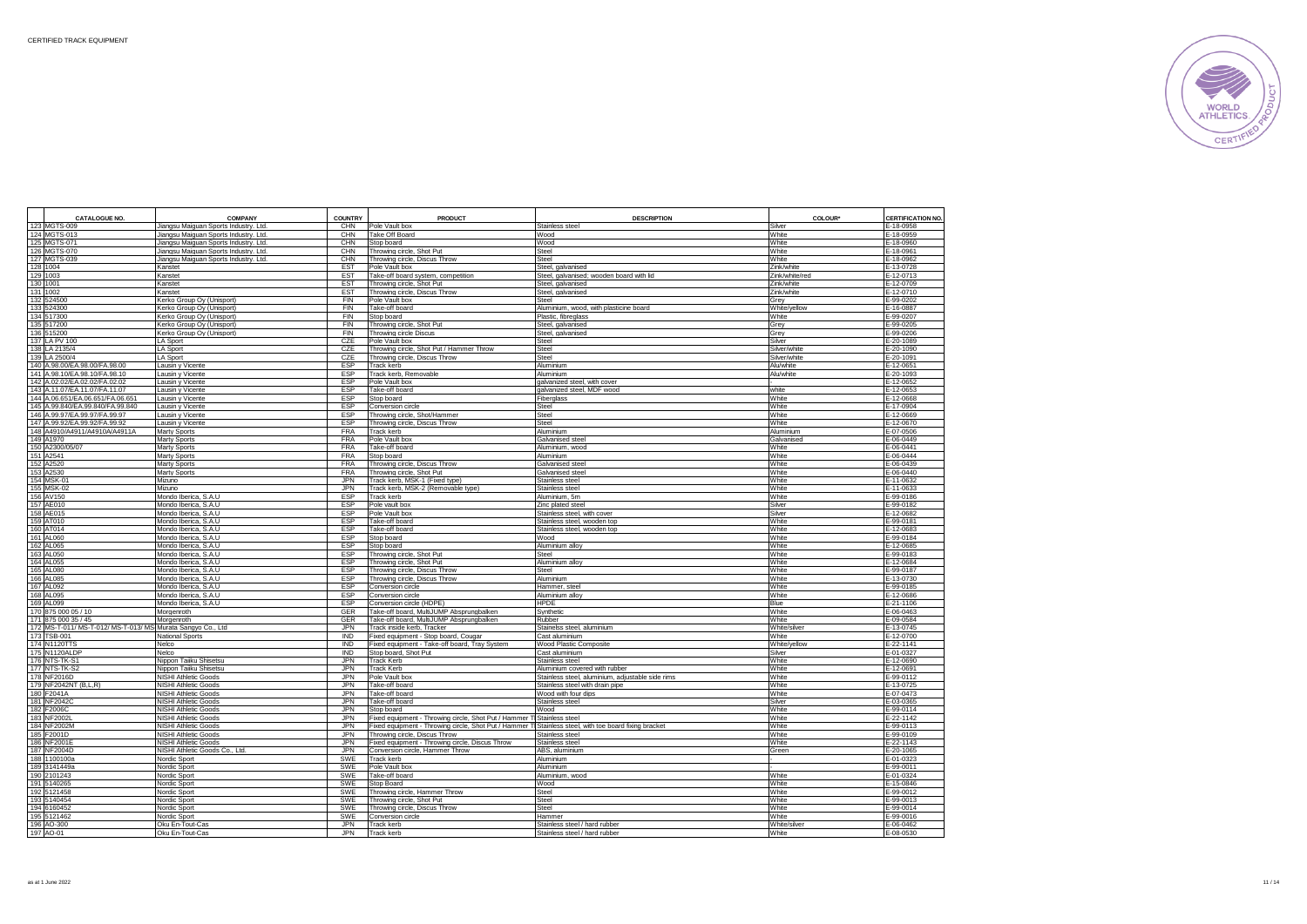

| <b>CATALOGUE NO</b>                                            | <b>COMPANY</b>                        | <b>COUNTRY</b>    | <b>PRODUCT</b>                                                                                       | <b>DESCRIPTION</b>                                       | COLOUR*        | CERTIFICATION NO.      |
|----------------------------------------------------------------|---------------------------------------|-------------------|------------------------------------------------------------------------------------------------------|----------------------------------------------------------|----------------|------------------------|
| 123 MGTS-009                                                   | Jiangsu Maiguan Sports Industry, Ltd. | CHN               | Pole Vault box                                                                                       | Stainless steel                                          | Silver         | E-18-0958              |
| 124 MGTS-013                                                   | liangsu Maiguan Sports Industry. Ltd. | CHN               | Take Off Board                                                                                       | Wood                                                     | White          | E-18-0959              |
| 125 MGTS-071                                                   | Jiangsu Maiguan Sports Industry, Ltd. | CHN               | Stop board                                                                                           | Wood                                                     | White          | E-18-0960              |
| 126 MGTS-070                                                   | liangsu Maiguan Sports Industry. Ltd. | CHN               | hrowing circle, Shot Put                                                                             | Steel                                                    | White          | E-18-0961              |
| 127 MGTS-039                                                   | Jiangsu Maiguan Sports Industry. Ltd. | CHN               | Throwing circle, Discus Throw                                                                        | Steel                                                    | White          | E-18-0962              |
| 128 1004                                                       | Kanstet                               | <b>EST</b>        | Pole Vault box                                                                                       | Steel, galvanised                                        | Zink/white     | E-13-0728              |
| 129 1003                                                       | Kanstet                               | <b>EST</b>        | Take-off board system, competition                                                                   | Steel, galvanised; wooden board with lid                 | Zink/white/red | E-12-0713              |
| 130 1001                                                       | Kanstet                               | <b>EST</b>        | Throwing circle, Shot Put                                                                            | Steel, galvanised                                        | Zink/white     | E-12-0709              |
| 131 1002                                                       | Kanstet                               | ES <sub>T</sub>   | Throwing circle, Discus Throw                                                                        | Steel, galvanised                                        | Zink/white     | E-12-0710              |
| 132 524500                                                     | Kerko Group Oy (Unisport)             | <b>FIN</b>        | Pole Vault box                                                                                       | Steel                                                    | Grev           | E-99-0202              |
| 133 524300                                                     | Kerko Group Oy (Unisport)             | <b>FIN</b>        | Take-off board                                                                                       | Aluminium, wood, with plasticine board                   | White/yellow   | E-16-0887              |
| 134 517300                                                     | Kerko Group Oy (Unisport)             | FIN               | Stop board                                                                                           | Plastic, fibreglass                                      | White          | E-99-0207              |
| 135 517200                                                     | Kerko Group Oy (Unisport)             | <b>FIN</b>        | Throwing circle, Shot Put                                                                            | Steel, galvanised                                        | Grey           | $E - 99 - 0205$        |
| 136 515200                                                     | Kerko Group Oy (Unisport)             | FIN               | Throwing circle Discus                                                                               | Steel, galvanised                                        | Grey           | E-99-0206              |
| 137 LA PV 100                                                  | <b>LA Sport</b>                       | CZE               | Pole Vault box                                                                                       | Steel                                                    | Silver         | E-20-1089              |
| 138 LA 2135/4                                                  | LA Sport                              | CZE               | Throwing circle, Shot Put / Hammer Throw                                                             | Steel                                                    | Silver/white   | E-20-1090              |
| 139 LA 2500/4<br>140 A.98.00/EA.98.00/FA.98.00                 | <b>LA Sport</b>                       | CZE               | Throwing circle, Discus Throw                                                                        | Steel                                                    | Silver/white   | E-20-1091              |
|                                                                | Lausin y Vicente                      | <b>ESP</b>        | rack kerb                                                                                            | Aluminium                                                | Alu/white      | E-12-0651              |
| 141 A.98.10/EA.98.10/FA.98.10<br>142 A.02.02/EA.02.02/FA.02.02 | ausin y Vicente                       | <b>ESP</b><br>ESP | rack kerb, Removable                                                                                 | Aluminium                                                | Alu/white      | E-20-1093<br>E-12-0652 |
| 143 A.11.07/EA.11.07/FA.11.07                                  | ausin y Vicente<br>Lausin y Vicente   | ESP               | Pole Vault box<br>Take-off board                                                                     | alvanized steel, with cover<br>alvanized steel, MDF wood | white          | E-12-0653              |
| 144 A.06.651/EA.06.651/FA.06.651                               | Lausin y Vicente                      | ESP               | Stop board                                                                                           | Fiberglass                                               | White          | E-12-0668              |
| 145 A.99.840/EA.99.840/FA.99.840                               | Lausin y Vicente                      | ESP               | Conversion circle                                                                                    | Steel                                                    | White          | E-17-0904              |
| 146 A.99.97/EA.99.97/FA.99.97                                  | Lausin y Vicente                      | ESP               | Throwing circle, Shot/Hammer                                                                         | Steel                                                    | White          | E-12-0669              |
| 147 A.99.92/EA.99.92/FA.99.92                                  | Lausin y Vicente                      | ESP               | Throwing circle, Discus Throw                                                                        | Steel                                                    | White          | E-12-0670              |
| 148 A4910/A4911/A4910A/A4911A                                  | <b>Marty Sports</b>                   | <b>FRA</b>        | Track kerb                                                                                           | Aluminium                                                | Aluminium      | E-07-0506              |
| 149 A1970                                                      | Marty Sports                          | <b>FRA</b>        | Pole Vault box                                                                                       | Galvanised steel                                         | Galvanised     | E-06-0449              |
| 150 A2300/05/07                                                | Marty Sports                          | <b>FRA</b>        | Take-off board                                                                                       | Aluminium, wood                                          | White          | E-06-0441              |
| 151 A2541                                                      | Marty Sports                          | <b>FRA</b>        | Stop board                                                                                           | Aluminium                                                | White          | E-06-0444              |
| 152 A2520                                                      | Marty Sports                          | <b>FRA</b>        | Throwing circle, Discus Throw                                                                        | Galvanised steel                                         | White          | E-06-0439              |
| 153 A2530                                                      | Marty Sports                          | <b>FRA</b>        | Throwing circle, Shot Put                                                                            | Galvanised steel                                         | White          | E-06-0440              |
| 154 MSK-01                                                     | Mizuno                                | <b>JPN</b>        | rack kerb, MSK-1 (Fixed type)                                                                        | Stainless steel                                          | White          | E-11-0632              |
| 155 MSK-02                                                     | Mizuno                                | <b>JPN</b>        | rack kerb, MSK-2 (Removable type)                                                                    | Stainless steel                                          | White          | E-11-0633              |
| 156 AV150                                                      | Mondo Iberica, S.A.U                  | <b>ESP</b>        | <b>Track kerb</b>                                                                                    | Aluminium, 5m                                            | White          | E-99-0186              |
| 157 AE010                                                      | Mondo Iberica, S.A.U                  | <b>ESP</b>        | Pole vault box                                                                                       | Zinc plated steel                                        | Silver         | E-99-0182              |
| 158 AE015                                                      | Mondo Iberica, S.A.U                  | ESP               | Pole Vault box                                                                                       | Stainless steel, with cover                              | Silver         | E-12-0682              |
| 159 AT010                                                      | Mondo Iberica, S.A.U                  | ESP               | Take-off board                                                                                       | Stainless steel, wooden top                              | White          | E-99-0181              |
| 160 AT014                                                      | Mondo Iberica, S.A.U                  | ESP               | Take-off board                                                                                       | Stainless steel, wooden top                              | White          | E-12-0683              |
| 161 AL060                                                      | Mondo Iberica, S.A.U                  | ESP               | Stop board                                                                                           | Wood                                                     | White          | E-99-0184              |
| 162 AL065                                                      | Mondo Iberica, S.A.U                  | <b>ESP</b>        | Stop board                                                                                           | Aluminium alloy                                          | White          | E-12-0685              |
| 163 AL050                                                      | Mondo Iberica, S.A.U                  | ESP               | Throwing circle, Shot Put                                                                            | Steel                                                    | White          | E-99-0183              |
| 164 AL055                                                      | Mondo Iberica, S.A.U                  | ESP               | hrowing circle, Shot Put                                                                             | Aluminium alloy                                          | White          | E-12-0684              |
| 165 AL080                                                      | Mondo Iberica, S.A.U                  | ESP               | Throwing circle, Discus Throw                                                                        | Steel                                                    | White          | E-99-0187              |
| 166 AL085                                                      | Mondo Iberica, S.A.U                  | ESP               | Throwing circle, Discus Throw                                                                        | Aluminium                                                | White          | E-13-0730              |
| 167 AL092                                                      | Mondo Iberica, S.A.U                  | <b>ESP</b>        | Conversion circle                                                                                    | Hammer, steel                                            | White          | E-99-0185              |
| 168 AL095<br>169 AL099                                         | Mondo Iberica, S.A.U                  | ESP<br>ESP        | Conversion circle                                                                                    | Aluminium alloy<br><b>HPDE</b>                           | White          | E-12-0686<br>E-21-1106 |
| 170 875 000 05 / 10                                            | Mondo Iberica, S.A.U<br>Morgenroth    | GER               | Conversion circle (HDPE)<br>Take-off board, MultiJUMP Absprungbalken                                 |                                                          | Blue<br>White  | E-06-0463              |
| 171 875 000 35 / 45                                            |                                       | GER               | Fake-off board, MultiJUMP Absprungbalken                                                             | Synthetic<br>Rubber                                      | White          | E-09-0584              |
| 172 MS-T-011/ MS-T-012/ MS-T-013/ MS Murata Sangyo Co., Ltd    | Morgenroth                            | <b>JPN</b>        | rack inside kerb, Tracker                                                                            | Stainelss steel, aluminium                               | White/silver   | E-13-0745              |
| 173 TSB-001                                                    | National Sports                       | <b>IND</b>        | ixed equipment - Stop board, Cougar                                                                  | Cast aluminium                                           | White          | E-12-0700              |
| 174 N1120TTS                                                   | Nelco                                 | IND               | ixed equipment - Take-off board, Tray System                                                         | Wood Plastic Composite                                   | White/yellow   | E-22-1141              |
| 175 N1120ALDF                                                  | Nelco                                 | <b>IND</b>        | Stop board, Shot Put                                                                                 | Cast aluminium                                           | Silver         | E-01-0327              |
| 176 NTS-TK-S1                                                  | Nippon Taiiku Shisetsu                | <b>JPN</b>        | <b>Track Kerb</b>                                                                                    | Stainless steel                                          | White          | E-12-0690              |
| 177 NTS-TK-S2                                                  | Nippon Taiiku Shisetsu                | <b>JPN</b>        | <b>Track Kerb</b>                                                                                    | Aluminium covered with rubber                            | White          | E-12-0691              |
| 178 NF2016D                                                    | NISHI Athletic Goods                  | <b>JPN</b>        | Pole Vault box                                                                                       | Stainless steel, aluminium, adjustable side rims         | White          | E-99-0112              |
| 179 NF2042NT (B,L,R)                                           | <b>NISHI Athletic Goods</b>           | <b>JPN</b>        | Take-off board                                                                                       | Stainless steel with drain pipe                          | White          | E-13-0725              |
| 180 F2041A                                                     | <b>NISHI Athletic Goods</b>           | <b>JPN</b>        | Take-off board                                                                                       | Wood with four dips                                      | White          | E-07-0473              |
| 181 NF2042C                                                    | NISHI Athletic Goods                  | JPN               | Take-off board                                                                                       | Stainless steel                                          | Silver         | E-03-0365              |
| 182 F2006C                                                     | NISHI Athletic Goods                  | <b>JPN</b>        | Stop board                                                                                           | Wood                                                     | White          | E-99-0114              |
| 183 NF2002I                                                    | <b>NISHI Athletic Goods</b>           | <b>JPN</b>        | ixed equipment - Throwing circle, Shot Put / Hammer T Stainless steel                                |                                                          | White          | E-22-1142              |
| 184 NF2002M                                                    | NISHI Athletic Goods                  | <b>JPN</b>        | ixed equipment - Throwing circle, Shot Put / Hammer T Stainless steel, with toe board fixing bracket |                                                          | White          | E-99-0113              |
| 185 F2001D                                                     | NISHI Athletic Goods                  | <b>JPN</b>        | Throwing circle, Discus Throw                                                                        | Stainless steel                                          | White          | E-99-0109              |
| 186 NF2001E                                                    | NISHI Athletic Goods                  | <b>JPN</b>        | ixed equipment - Throwing circle, Discus Throw                                                       | Stainless steel                                          | White          | E-22-1143              |
| 187 NF2004D                                                    | NISHI Athletic Goods Co., Ltd.        | <b>JPN</b>        | Conversion circle, Hammer Throw                                                                      | ABS, aluminium                                           | Green          | E-20-1065              |
| 188 1100100a                                                   | Nordic Sport                          | SWE               | rack kerb                                                                                            | Aluminium                                                |                | E-01-0323              |
| 189 3141449a                                                   | Nordic Sport                          | SWE               | Pole Vault box                                                                                       | Aluminium                                                |                | E-99-0011              |
| 190 2101243<br>191 5140265                                     | Nordic Sport<br>Nordic Sport          | SWE<br>SWE        | Take-off board<br>Stop Board                                                                         | Aluminium, wood<br>Wood                                  | White<br>White | E-01-0324<br>E-15-0846 |
| 192 5121458                                                    | Nordic Sport                          | <b>SWE</b>        | Throwing circle, Hammer Throw                                                                        | Steel                                                    | White          | E-99-0012              |
| 193 5140454                                                    |                                       | SWE               | Throwing circle, Shot Put                                                                            | Steel                                                    | White          | E-99-0013              |
| 194 6160452                                                    | Nordic Sport<br>Nordic Sport          | <b>SWE</b>        | Throwing circle, Discus Throw                                                                        | Steel                                                    | White          | E-99-0014              |
| 195 5121462                                                    | Nordic Sport                          | <b>SWE</b>        | Conversion circle                                                                                    | Hammer                                                   | White          | $E-99-0016$            |
| 196 AO-300                                                     | Oku En-Tout-Cas                       | <b>JPN</b>        | <b>Track kerb</b>                                                                                    | Stainless steel / hard rubber                            | White/silve    | E-06-0462              |
| 197 AO-01                                                      | Oku En-Tout-Cas                       | <b>JPN</b>        | Track kerb                                                                                           | Stainless steel / hard rubber                            | White          | E-08-0530              |
|                                                                |                                       |                   |                                                                                                      |                                                          |                |                        |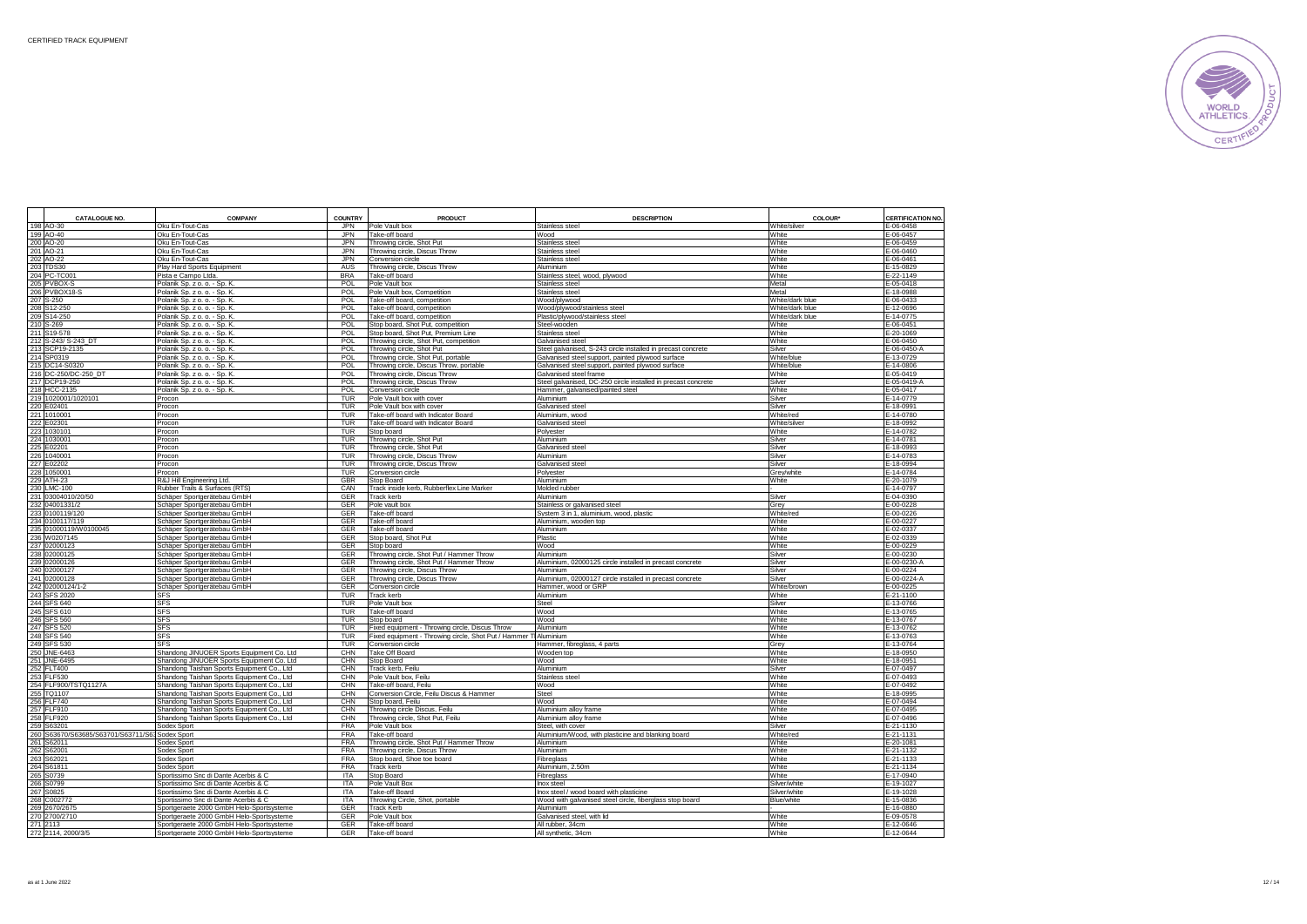

| <b>CATALOGUE NO.</b>                            | <b>COMPANY</b>                                                                       | <b>COUNTRY</b>           | <b>PRODUCT</b>                                                   | <b>DESCRIPTION</b>                                            | COLOUR*                            | CERTIFICATION NO.         |
|-------------------------------------------------|--------------------------------------------------------------------------------------|--------------------------|------------------------------------------------------------------|---------------------------------------------------------------|------------------------------------|---------------------------|
| 198 AO-30                                       | Oku En-Tout-Cas                                                                      | <b>JPN</b>               | Pole Vault box                                                   | Stainless steel                                               | White/silver                       | E-06-0458                 |
| 199 AO-40                                       | Oku En-Tout-Cas                                                                      | JPN                      | Take-off board                                                   | Wood                                                          | White                              | E-06-0457                 |
| 200 AO-20                                       | Oku En-Tout-Cas                                                                      | <b>JPN</b>               | Throwing circle, Shot Put                                        | Stainless steel                                               | White                              | E-06-0459                 |
| 201 AO-21                                       | Oku En-Tout-Cas                                                                      | JPN                      | Throwing circle, Discus Throw                                    | Stainless steel                                               | White                              | E-06-0460                 |
| 202 AO-22                                       | Oku En-Tout-Cas                                                                      | JPN                      | Conversion circle                                                | Stainless stee                                                | White                              | E-06-0461                 |
| 203 TDS30                                       | Play Hard Sports Equipment                                                           | AUS                      | Throwing circle, Discus Throw                                    | Aluminium                                                     | White                              | E-15-0829                 |
| 204 PC-TC001                                    | Pista e Campo Ltda                                                                   | <b>BRA</b>               | Take-off board                                                   | Stainless steel, wood, plywood                                | White                              | E-22-1149                 |
| 205 PVBOX-S                                     | Polanik Sp. z o. o. - Sp. K.                                                         | <b>POL</b>               | Pole Vault box                                                   | Stainless steel                                               | Metal                              | E-05-0418                 |
| 206 PVBOX18-S                                   | Polanik Sp. z o. o. - Sp. K.                                                         | <b>POL</b>               | Pole Vault box, Competition                                      | Stainless steel                                               | Metal                              | E-18-0988                 |
| 207 S-250                                       | Polanik Sp. z o. o. - Sp. K.                                                         | POL<br>POL               | Take-off board, competition                                      | Wood/plywood                                                  | White/dark blue<br>White/dark blue | E-06-0433<br>E-12-0696    |
| 208 S12-250<br>209 S14-250                      | Polanik Sp. z o. o. - Sp. K.<br>Polanik Sp. z o. o. - Sp. K.                         | <b>POL</b>               | Take-off board, competition<br>Take-off board, competition       | Wood/plywood/stainless steel                                  | White/dark blue                    | E-14-0775                 |
| 210 S-269                                       | Polanik Sp. z o. o. - Sp. K                                                          | POL                      | Stop board, Shot Put, competition                                | Plastic/plywood/stainless steel<br>Steel-wooden               | White                              | E-06-0451                 |
| 211 S19-578                                     | Polanik Sp. z o. o. - Sp. K.                                                         | POL                      | Stop board, Shot Put, Premium Line                               | Stainless steel                                               | White                              | E-20-1069                 |
| 212 S-243/ S-243 DT                             | Polanik Sp. z o. o. - Sp. K.                                                         | POL                      | Throwing circle, Shot Put, competition                           | Galvanised steel                                              | White                              | E-06-0450                 |
| 213 SCP19-2135                                  | Polanik Sp. z o. o. - Sp. K.                                                         | POL                      | Throwing circle, Shot Put                                        | Steel galvanised, S-243 circle installed in precast concrete  | Silver                             | E-06-0450-                |
| 214 SP0319                                      | Polanik Sp. z o. o. - Sp. K.                                                         | POL                      | Throwing circle, Shot Put, portable                              | Galvanised steel support, painted plywood surface             | White/blue                         | E-13-0729                 |
| 215 DC14-S0320                                  | Polanik Sp. z o. o. - Sp. K.                                                         | <b>POL</b>               | Throwing circle, Discus Throw, portable                          | Galvanised steel support, painted plywood surface             | White/blue                         | E-14-0806                 |
| 216 DC-250/DC-250_DT                            | Polanik Sp. z o. o. - Sp. K.                                                         | POL                      | Throwing circle, Discus Throw                                    | Galvanised steel frame                                        | White                              | $-05 - 0419$              |
| 217 DCP19-250                                   | Polanik Sp. z o. o. - Sp. K.                                                         | POL                      | Throwing circle, Discus Throw                                    | Steel galvanised, DC-250 circle installed in precast concrete | Silver                             | E-05-0419-A               |
| 218 HCC-2135                                    | Polanik Sp. z o. o. - Sp. K.                                                         | POL                      | Conversion circle                                                | Hammer, galvanised/painted steel                              | White                              | E-05-0417                 |
| 219 1020001/1020101                             | Procon                                                                               | <b>TUR</b>               | Pole Vault box with cover                                        | Aluminium                                                     | Silver                             | E-14-0779                 |
| 220 E02401                                      | Procon                                                                               | TUR                      | Pole Vault box with cover                                        | Galvanised steel                                              | Silver                             | $-18 - 0991$              |
| 221 1010001                                     | Procon                                                                               | TUR                      | Take-off board with Indicator Board                              | Aluminium, wood                                               | White/red                          | E-14-0780                 |
| 222 E02301<br>223 1030101                       | Procon<br>Procon                                                                     | TUR<br>TUR               | Take-off board with Indicator Board<br>Stop board                | Galvanised steel<br>Polyester                                 | White/silver<br>White              | E-18-0992<br>E-14-0782    |
| 224 1030001                                     | Procon                                                                               | TUR                      | Throwing circle, Shot Put                                        | Aluminium                                                     | Silver                             | E-14-0781                 |
| 225 E02201                                      | Procon                                                                               | <b>TUR</b>               | Throwing circle, Shot Put                                        | Galvanised steel                                              | Silver                             | E-18-0993                 |
| 226 1040001                                     | Procon                                                                               | <b>TUR</b>               | Throwing circle, Discus Throw                                    | Aluminium                                                     | Silver                             | E-14-0783                 |
| 227 E02202                                      | Procon                                                                               | <b>TUR</b>               | Throwing circle, Discus Throw                                    | Galvanised stee                                               | Silver                             | E-18-0994                 |
| 228 105000                                      | Procon                                                                               | TUR                      | Conversion circle                                                | Polyester                                                     | Grey/white                         | E-14-0784                 |
| 229 ATH-23                                      | R&J Hill Engineering Ltd.                                                            | GBR                      | <b>Stop Board</b>                                                | Aluminium                                                     | White                              | E-20-1079                 |
| 230 LMC-100                                     | Rubber Trails & Surfaces (RTS)                                                       | CAN                      | Track inside kerb, Rubberflex Line Marker                        | Molded rubber                                                 |                                    | E-14-0797                 |
| 231 03004010/20/50                              | Schäper Sportgerätebau GmbH                                                          | GER                      | Track kerb                                                       | Aluminium                                                     | Silver                             | E-04-0390                 |
| 232 04001331/2                                  | Schäper Sportgerätebau GmbH                                                          | GER<br>GER               | Pole vault box                                                   | Stainless or galvanised steel                                 | Grey<br>White/red                  | E-00-0228                 |
| 233 0100119/120                                 | Schäper Sportgerätebau GmbH                                                          |                          | Take-off board                                                   | System 3 in 1, aluminium, wood, plastic                       |                                    | E-00-0226                 |
| 234 0100117/119<br>235 01000119/W0100045        | Schäper Sportgerätebau GmbH<br>Schäper Sportgerätebau GmbH                           | GER<br>GER               | Take-off board<br>Take-off board                                 | Aluminium, wooden top<br>Aluminium                            | White<br>White                     | E-00-0227<br>E-02-0337    |
| 236 W0207145                                    | Schäper Sportgerätebau GmbH                                                          | GER                      | Stop board, Shot Put                                             | Plastic                                                       | White                              | E-02-0339                 |
| 237 02000123                                    | Schäper Sportgerätebau GmbH                                                          | <b>GER</b>               | Stop board                                                       | Wood                                                          | White                              | E-00-0229                 |
| 238 02000125                                    | Schäper Sportgerätebau GmbH                                                          | GER                      | Throwing circle, Shot Put / Hammer Throw                         | Aluminium                                                     | Silver                             | $-00 - 0230$              |
| 239 02000126                                    | Schäper Sportgerätebau GmbH                                                          | GER                      | Throwing circle, Shot Put / Hammer Throw                         | Aluminium, 02000125 circle installed in precast concrete      | Silver                             | E-00-0230-A               |
| 240 02000127                                    | Schäper Sportgerätebau GmbH                                                          | GER                      | Throwing circle, Discus Throw                                    | Aluminium                                                     | Silver                             | E-00-0224                 |
| 241 02000128                                    | Schäper Sportgerätebau GmbH                                                          | GER                      | Throwing circle, Discus Throw                                    | Aluminium, 02000127 circle installed in precast concrete      | Silver                             | E-00-0224-A               |
| 242 02000124/1-2                                | Schäper Sportgerätebau GmbH                                                          | GER                      | Conversion circle                                                | Hammer, wood or GRP                                           | White/brown                        | E-00-0225                 |
| 243 SFS 2020                                    | <b>SFS</b>                                                                           | TUR                      | <b>Track kerb</b>                                                | Aluminium                                                     | White                              | E-21-1100                 |
| 244 SFS 640                                     | <b>SFS</b>                                                                           | <b>TUR</b>               | Pole Vault box                                                   | Steel                                                         | Silver                             | E-13-0766                 |
| 245 SFS 610                                     | <b>SFS</b><br><b>SFS</b>                                                             | <b>TUR</b><br><b>TUR</b> | Take-off board                                                   | Wood                                                          | White<br>White                     | E-13-0765<br>E-13-0767    |
| 246 SFS 560<br>247 SFS 520                      | <b>SFS</b>                                                                           | TUR                      | Stop board<br>Fixed equipment - Throwing circle, Discus Throw    | Wood<br>Aluminium                                             | White                              | E-13-0762                 |
| 248 SFS 540                                     | <b>SFS</b>                                                                           | <b>TUR</b>               | Fixed equipment - Throwing circle, Shot Put / Hammer T Aluminium |                                                               | White                              | E-13-0763                 |
| 249 SFS 530                                     | <b>SFS</b>                                                                           | TUR                      | Conversion circle                                                | Hammer, fibreglass, 4 parts                                   | Grey                               | E-13-0764                 |
| 250 JNE-6463                                    | Shandong JINUOER Sports Equipment Co. Ltd                                            | CHN                      | Take Off Board                                                   | Wooden top                                                    | White                              | E-18-0950                 |
| 251 JNE-6495                                    | Shandong JINUOER Sports Equipment Co. Ltd                                            | CHN                      | Stop Board                                                       | Wood                                                          | White                              | E-18-0951                 |
| 252 FLT400                                      | Shandong Taishan Sports Equipment Co., Ltd                                           | CHN                      | Track kerb, Feilu                                                | Aluminium                                                     | Silver                             | E-07-0497                 |
| 253 FLF530                                      | Shandong Taishan Sports Equipment Co., Ltd                                           | CHN                      | Pole Vault box. Feilu                                            | Stainless stee                                                | White                              | E-07-0493                 |
| 254 FLF900/TSTQ1127A                            | Shandong Taishan Sports Equipment Co., Ltd                                           | CHN                      | Take-off board, Feilu                                            | Wood                                                          | White                              | E-07-0492                 |
| 255 TQ1107                                      | Shandong Taishan Sports Equipment Co., Ltd                                           | CHN                      | Conversion Circle, Feilu Discus & Hammer                         | Steel                                                         | White                              | E-18-0995                 |
| 256 FLF740                                      | Shandong Taishan Sports Equipment Co., Ltd                                           | CHN                      | Stop board, Feilu                                                | Wood                                                          | White                              | E-07-0494                 |
| 257 FLF910<br>258 FLF920                        | Shandong Taishan Sports Equipment Co., Ltd                                           | CHN<br>CHN               | Throwing circle Discus, Feilu                                    | Aluminium alloy frame                                         | White<br>White                     | E-07-0495<br>$-07 - 0496$ |
| 259 S63201                                      | Shandong Taishan Sports Equipment Co., Ltd<br>Sodex Sport                            | <b>FRA</b>               | Throwing circle, Shot Put, Feilu<br>Pole Vault box               | Aluminium alloy frame<br>Steel, with cover                    | Silver                             | E-21-1130                 |
| 260 S63670/S63685/S63701/S63711/S63 Sodex Sport |                                                                                      | <b>FRA</b>               | Take-off board                                                   | Aluminium/Wood, with plasticine and blanking board            | White/red                          | E-21-1131                 |
| 261 S62011                                      | Sodex Sport                                                                          | <b>FRA</b>               | Throwing circle, Shot Put / Hammer Throw                         | Aluminium                                                     | White                              | E-20-1081                 |
| 262 S6200                                       | Sodex Sport                                                                          | <b>FRA</b>               | Throwing circle, Discus Throw                                    | Aluminium                                                     | White                              | E-21-1132                 |
| 263 S6202                                       | Sodex Sport                                                                          | <b>FRA</b>               | Stop board, Shoe toe board                                       | Fibreglass                                                    | White                              | E-21-1133                 |
| 264 S6181                                       | Sodex Sport                                                                          | <b>FRA</b>               | <b>Track kerb</b>                                                | Aluminium, 2.50m                                              | White                              | E-21-1134                 |
| 265 S0739                                       | Sportissimo Snc di Dante Acerbis & C                                                 | ITA                      | Stop Board                                                       | Fibreglass                                                    | White                              | E-17-0940                 |
| 266 S0799                                       | Sportissimo Snc di Dante Acerbis & C                                                 | ITA                      | Pole Vault Box                                                   | Inox steel                                                    | Silver/white                       | E-19-1027                 |
| 267 S0825                                       | Sportissimo Snc di Dante Acerbis & C                                                 | ITA                      | Take-off Board                                                   | Inox steel / wood board with plasticine                       | Silver/white                       | E-19-1028                 |
| 268 C002772                                     | Sportissimo Snc di Dante Acerbis & C                                                 | <b>ITA</b>               | Throwing Circle, Shot, portable                                  | Wood with galvanised steel circle, fiberglass stop board      | Blue/white                         | E-15-0836                 |
| 269 2670/2675                                   | Sportgeraete 2000 GmbH Helo-Sportsysteme                                             | GER                      | <b>Track Kerb</b>                                                | Aluminium                                                     |                                    | E-16-0880                 |
| 270 2700/2710<br>271 2113                       | Sportgeraete 2000 GmbH Helo-Sportsysteme<br>Sportgeraete 2000 GmbH Helo-Sportsysteme | GER<br>GER               | Pole Vault box<br>Take-off board                                 | Galvanised steel, with lid<br>All rubber, 34cm                | White<br>White                     | E-09-0578<br>E-12-0646    |
| 272 2114, 2000/3/5                              | Sportgeraete 2000 GmbH Helo-Sportsysteme                                             | GER                      | Take-off board                                                   | All synthetic, 34cm                                           | White                              | E-12-0644                 |
|                                                 |                                                                                      |                          |                                                                  |                                                               |                                    |                           |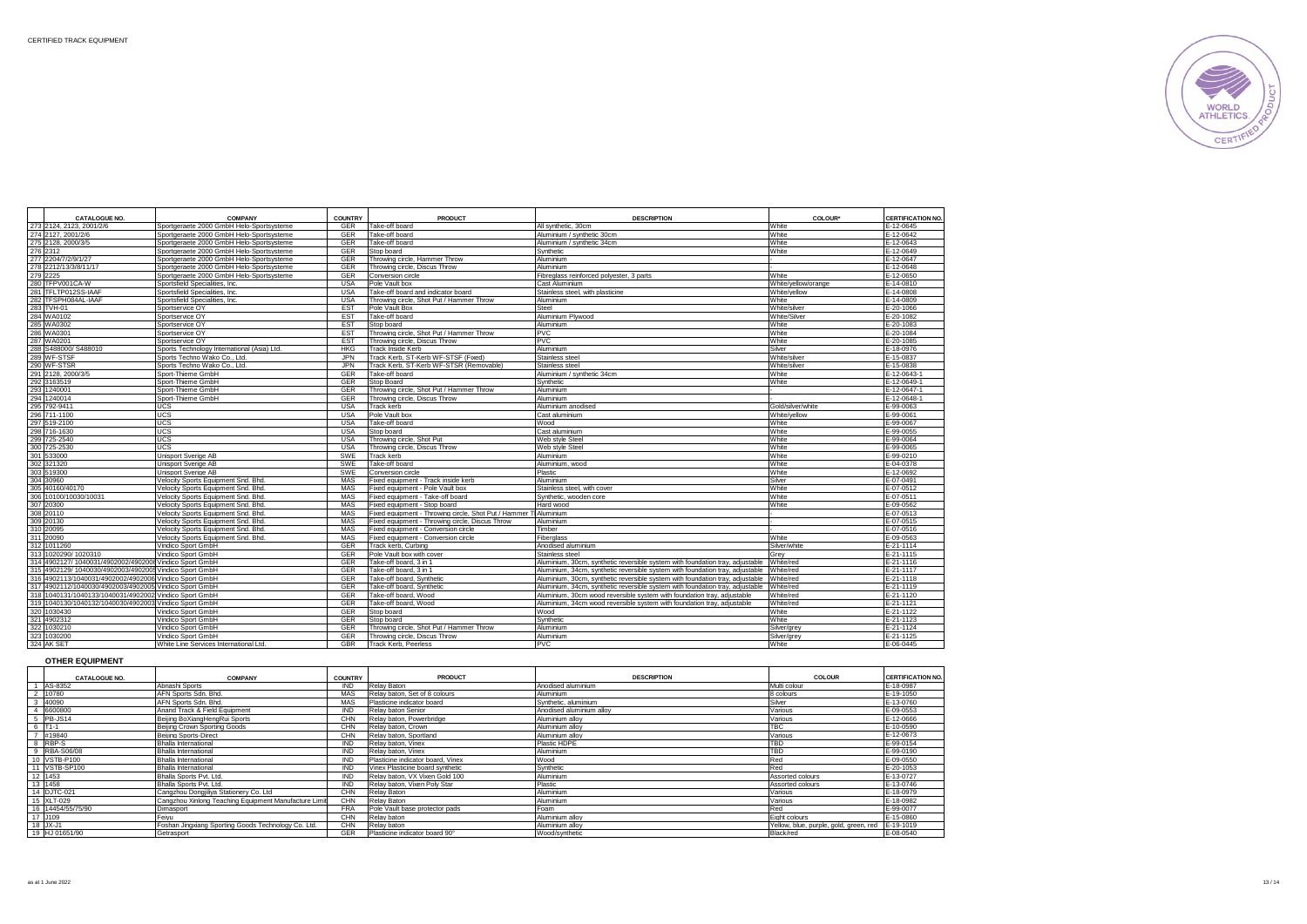

| <b>CATALOGUE NO.</b>                                    | <b>COMPANY</b>                             | <b>COUNTRY</b> | <b>PRODUCT</b>                                         | <b>DESCRIPTION</b>                                                            | COLOUR*             | <b>CERTIFICATION NO.</b> |
|---------------------------------------------------------|--------------------------------------------|----------------|--------------------------------------------------------|-------------------------------------------------------------------------------|---------------------|--------------------------|
| 273 2124, 2123, 2001/2/6                                | Sportgeraete 2000 GmbH Helo-Sportsysteme   | <b>GER</b>     | Take-off board                                         | All synthetic, 30cm                                                           | White               | $E-12-0645$              |
| 274 2127, 2001/2/6                                      | Sportgeraete 2000 GmbH Helo-Sportsysteme   | <b>GER</b>     | Take-off board                                         | Aluminium / synthetic 30cm                                                    | White               | E-12-0642                |
| 275 2128, 2000/3/5                                      | Sportgeraete 2000 GmbH Helo-Sportsysteme   | <b>GER</b>     | Take-off board                                         | Aluminium / synthetic 34cm                                                    | White               | E-12-0643                |
| 276 2312                                                | Sportgeraete 2000 GmbH Helo-Sportsysteme   | <b>GFR</b>     | Stop board                                             | Synthetic                                                                     | White               | E-12-0649                |
| 277 2204/7/2/9/1/27                                     | Sportgeraete 2000 GmbH Helo-Sportsysteme   | <b>GER</b>     | Throwing circle, Hammer Throw                          | Aluminium                                                                     |                     | E-12-0647                |
| 278 2212/13/3/8/11/17                                   | Sportgeraete 2000 GmbH Helo-Sportsysteme   | <b>GER</b>     | Throwing circle, Discus Throw                          | Aluminium                                                                     |                     | E-12-0648                |
| 279 2225                                                | Sportgeraete 2000 GmbH Helo-Sportsysteme   | <b>GER</b>     | Conversion circle                                      | Fibreglass reinforced polvester, 3 parts                                      | White               | E-12-0650                |
| 280 TFPV001CA-W                                         | Sportsfield Specialities, Inc.             | <b>USA</b>     | Pole Vault box                                         | Cast Aluminium                                                                | White/yellow/orange | E-14-0810                |
| 281 TFLTP012SS-IAAF                                     | Sportsfield Specialities, Inc.             | <b>USA</b>     | Take-off board and indicator board                     | Stainless steel, with plasticine                                              | White/vellow        | E-14-0808                |
| 282 TFSPH084AL-IAAF                                     | Sportsfield Specialities, Inc.             | <b>USA</b>     | Throwing circle, Shot Put / Hammer Throw               | Aluminium                                                                     | White               | E-14-0809                |
| 283 TVH-01                                              | Sportservice OY                            | <b>EST</b>     | Pole Vault Box                                         | Steel                                                                         | White/silver        | E-20-1066                |
| 284 WA0102                                              | Sportservice OY                            | <b>EST</b>     | Take-off board                                         | Aluminium Plywood                                                             | White/Silver        | E-20-1082                |
| 285 WA0302                                              | Sportservice OY                            | <b>EST</b>     | Stop board                                             | Aluminium                                                                     | White               | E-20-1083                |
| 286 WA0301                                              | Sportservice OY                            | <b>EST</b>     | Throwing circle, Shot Put / Hammer Throw               | <b>PVC</b>                                                                    | White               | E-20-1084                |
| 287 WA0201                                              | Sportservice OY                            | <b>EST</b>     | Throwing circle. Discus Throw                          | <b>PVC</b>                                                                    | White               | E-20-1085                |
| 288 S488000/ S488010                                    | Sports Technology International (Asia) Ltd | <b>HKG</b>     | <b>Track Inside Kerb</b>                               | Aluminium                                                                     | Silver              | E-18-0976                |
| 289 WF-STSF                                             | Sports Techno Wako Co., Ltd.               | <b>JPN</b>     | Track Kerb, ST-Kerb WF-STSF (Fixed)                    | Stainless stee                                                                | White/silver        | E-15-0837                |
| 290 WF-STSR                                             | Sports Techno Wako Co., Ltd.               | <b>JPN</b>     | Track Kerb, ST-Kerb WF-STSR (Removable)                | Stainless steel                                                               | White/silver        | E-15-0838                |
| 291 2128, 2000/3/5                                      | Sport-Thieme GmbH                          | <b>GER</b>     | Take-off board                                         | Aluminium / synthetic 34cm                                                    | White               | E-12-0643-               |
| 292 3163519                                             | Sport-Thieme GmbH                          | <b>GER</b>     | Stop Board                                             | Synthetic                                                                     | White               | E-12-0649-1              |
| 293 1240001                                             | Sport-Thieme GmbH                          | <b>GER</b>     | Throwing circle, Shot Put / Hammer Throw               | Aluminium                                                                     |                     | E-12-0647-1              |
| 294 1240014                                             | Sport-Thieme GmbH                          | <b>GER</b>     | Throwing circle, Discus Throw                          | Aluminium                                                                     |                     | E-12-0648-               |
| 295 792-9411                                            | UCS                                        | <b>USA</b>     | Track kerb                                             | Aluminium anodised                                                            | Gold/silver/white   | E-99-0063                |
| 296 711-1100                                            | <b>UCS</b>                                 | <b>USA</b>     | Pole Vault box                                         | Cast aluminium                                                                | White/vellow        | E-99-0061                |
| 297 519-2100                                            | <b>UCS</b>                                 | <b>USA</b>     | Take-off board                                         | Wood                                                                          | White               | E-99-0067                |
| 298 716-1630                                            | UCS                                        | <b>USA</b>     | Stop board                                             | Cast aluminium                                                                | White               | E-99-0055                |
| 299 725-2540                                            | UCS                                        | <b>USA</b>     | Throwing circle, Shot Put                              | Web style Steel                                                               | White               | E-99-0064                |
| 300 725-2530                                            | UCS                                        | <b>USA</b>     | Throwing circle, Discus Throw                          | Web style Steel                                                               | White               | E-99-0065                |
| 301 533000                                              | Unisport Sverige AB                        | SWF            | Track kerb                                             | Aluminium                                                                     | White               | E-99-0210                |
| 302 321320                                              | Unisport Sverige AB                        | SWE            | Take-off board                                         | Aluminium, wood                                                               | White               | E-04-0378                |
| 303 519300                                              | Unisport Sverige AB                        | <b>SWE</b>     | Conversion circle                                      | Plastic                                                                       | White               | E-12-0692                |
| 304 30960                                               | Velocity Sports Equipment Snd. Bhd.        | MAS            | Fixed equipment - Track inside kerb                    | Aluminium                                                                     | Silver              | E-07-0491                |
| 305 40160/40170                                         | Velocity Sports Equipment Snd, Bhd,        | MAS            | Fixed equipment - Pole Vault box                       | Stainless steel, with cover                                                   | White               | E-07-0512                |
| 306 10100/10030/10031                                   | Velocity Sports Equipment Snd, Bhd,        | MAS            | Fixed equipment - Take-off board                       | Synthetic, wooden core                                                        | White               | E-07-0511                |
| 307 20300                                               | Velocity Sports Equipment Snd, Bhd,        | <b>MAS</b>     | Fixed equipment - Stop board                           | Hard wood                                                                     | White               | E-09-0562                |
| 308 20110                                               | Velocity Sports Equipment Snd. Bhd.        | <b>MAS</b>     | Fixed equipment - Throwing circle, Shot Put / Hammer T | Aluminium                                                                     |                     | E-07-0513                |
| 309 20130                                               | Velocity Sports Equipment Snd, Bhd.        | MAS            | Fixed equipment - Throwing circle, Discus Throw        | Aluminium                                                                     |                     | E-07-0515                |
| 310 20095                                               | Velocity Sports Equipment Snd, Bhd,        | MAS            | Fixed equipment - Conversion circle                    | Timber                                                                        |                     | E-07-0516                |
| 311 20090                                               | Velocity Sports Equipment Snd, Bhd,        | MAS            | Fixed equipment - Conversion circle                    | Fiberglass                                                                    | White               | E-09-0563                |
| 312 1011260                                             | Vindico Sport GmbH                         | <b>GER</b>     | Track kerb, Curbing                                    | Anodised aluminium                                                            | Silver/white        | E-21-1114                |
| 313 1020290/ 1020310                                    | Vindico Sport GmbH                         | <b>GER</b>     | Pole Vault box with cover                              | Stainless steel                                                               | Grev                | E-21-1115                |
| 314 4902127/ 1040031/4902002/4902006 Vindico Sport GmbH |                                            | <b>GER</b>     | Take-off board, 3 in 1                                 | Aluminium, 30cm, synthetic reversible system with foundation tray, adjustable | White/red           | E-21-1116                |
| 315 4902129/ 1040030/4902003/4902005 Vindico Sport GmbH |                                            | <b>GER</b>     | Take-off board, 3 in 1                                 | Aluminium, 34cm, synthetic reversible system with foundation tray, adjustable | White/red           | E-21-1117                |
| 316 4902113/1040031/4902002/4902006 Vindico Sport GmbH  |                                            | <b>GER</b>     | Take-off board, Synthetic                              | Aluminium, 30cm, synthetic reversible system with foundation tray, adjustable | White/red           | E-21-1118                |
| 317 4902112/1040030/4902003/4902005 Vindico Sport GmbH  |                                            | <b>GER</b>     | Take-off board, Synthetic                              | Aluminium, 34cm, synthetic reversible system with foundation tray, adjustable | White/red           | E-21-1119                |
| 318 1040131/1040133/1040031/4902002 Vindico Sport GmbH  |                                            | GER            | Take-off board, Wood                                   | Aluminium, 30cm wood reversible system with foundation tray, adjustable       | White/red           | E-21-1120                |
| 319 1040130/1040132/1040030/4902003 Vindico Sport GmbH  |                                            | GER            | Take-off board, Wood                                   | Aluminium. 34cm wood reversible system with foundation tray, adjustable       | White/red           | E-21-1121                |
| 320 1030430                                             | Vindico Sport GmbH                         | <b>GER</b>     | Stop board                                             | Wood                                                                          | White               | E-21-1122                |
| 321 4902312                                             | Vindico Sport GmbH                         | <b>GER</b>     | Stop board                                             | Synthetic                                                                     | White               | E-21-1123                |
| 322 1030210                                             | Vindico Sport GmbH                         | <b>GER</b>     | Throwing circle, Shot Put / Hammer Throw               | Aluminium                                                                     | Silver/arev         | E-21-1124                |
| 323 1030200                                             | Vindico Sport GmbH                         | <b>GER</b>     | Throwing circle, Discus Throw                          | Aluminium                                                                     | Silver/grey         | E-21-1125                |
| 324 AK SET                                              | White Line Services International Ltd.     | <b>GBR</b>     | <b>Track Kerb, Peerless</b>                            | <b>PVC</b>                                                                    | White               | E-06-0445                |

## **OTHER EQUIPMENT**

| <b>CATALOGUE NO.</b> | <b>COMPANY</b>                                        | <b>COUNTRY</b> | <b>PRODUCT</b>                    | <b>DESCRIPTION</b>       | COLOUR                                 | <b>CERTIFICATION NO.</b> |
|----------------------|-------------------------------------------------------|----------------|-----------------------------------|--------------------------|----------------------------------------|--------------------------|
| AS-8352              | Abnashi Sports                                        | <b>IND</b>     | Relay Baton                       | Anodised aluminium       | Multi colour                           | E-18-0987                |
| 10780                | AFN Sports Sdn. Bhd.                                  | MAS            | Relay baton, Set of 8 colours     | Aluminium                | 8 colours                              | E-19-1050                |
| 40090                | AFN Sports Sdn, Bhd.                                  | MAS            | Plasticine indicator board        | Synthetic, aluminium     | Silver                                 | E-13-0760                |
| 6600800              | Anand Track & Field Equipment                         | <b>IND</b>     | Relay baton Senior                | Anodised aluminium allov | Various                                | E-09-0553                |
| PB-JS14              | Beijing BoXiangHengRui Sports                         | CHN            | Relay baton, Powerbridge          | Aluminium allov          | Various                                | E-12-0666                |
| $TT1-1$              | Beijing Crown Sporting Goods                          | CHN            | Relay baton, Crown                | Aluminium allov          | <b>TBC</b>                             | E-10-0590                |
| #19840               | Beiling Sports-Direct                                 | CHN            | Relay baton, Sportland            | Aluminium allov          | Various                                | E-12-0673                |
| RBP-S                | <b>Bhalla International</b>                           | <b>IND</b>     | Relay baton, Vinex                | Plastic HDPE             | TBD                                    | E-99-0154                |
| RBA-S06/08           | Bhalla International                                  | <b>IND</b>     | Relay baton, Vinex                | Aluminium                | <b>TBD</b>                             | E-99-0190                |
| 10 VSTB-P100         | <b>Bhalla International</b>                           | <b>IND</b>     | Plasticine indicator board. Vinex | Wood                     | Red                                    | E-09-0550                |
| VSTB-SP100           | Bhalla International                                  | <b>IND</b>     | Vinex Plasticine board synthetic  | Synthetic                | Red                                    | E-20-1053                |
| 1453                 | Bhalla Sports Pvt. Ltd.                               | <b>IND</b>     | Relay baton, VX Vixen Gold 100    | Aluminium                | Assorted colours                       | E-13-0727                |
| 13 1458              | Bhalla Sports Pvt. Ltd.                               | <b>IND</b>     | Relay baton, Vixen Poly Star      | Plastic                  | Assorted colours                       | E-13-0746                |
| <b>DJTC-021</b>      | Cangzhou Dongilliva Stationery Co. Ltd                | CHN            | Relay Baton                       | Aluminium                | Various                                | E-18-0979                |
| 5 XLT-029            | Cangzhou Xinlong Teaching Equipment Manufacture Limit | CHN            | Relay Baton                       | Aluminium                | Various                                | E-18-0982                |
| 16 14454/55/75/90    | Dimasport                                             | <b>FRA</b>     | Pole Vault base protector pads    | Foam                     | Red                                    | E-99-0077                |
| J <sub>109</sub>     | Feivu                                                 | CHN            | Relay baton                       | Aluminium allov          | Eight colours                          | E-15-0860                |
| $18$ JX-J1           | Foshan Jingxiang Sporting Goods Technology Co. Ltd.   | CHN            | Relay baton                       | Aluminium allov          | Yellow, blue, purple, gold, green, red | E-19-1019                |
| 19 HJ 01651/90       | Getrasport                                            | GER            | Plasticine indicator board 90°    | Wood/synthetic           | Black/red                              | E-08-0540                |